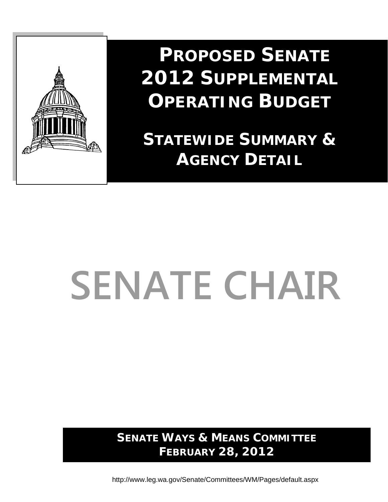

 **PROPOSED SENATE 2012 SUPPLEMENTAL OPERATING BUDGET**

**STATEWIDE SUMMARY & AGENCY DETAIL**

# **SENATE CHAIR**

**SENATE WAYS & MEANS COMMITTEE FEBRUARY 28, 2012** 

http://www.leg.wa.gov/Senate/Committees/WM/Pages/default.aspx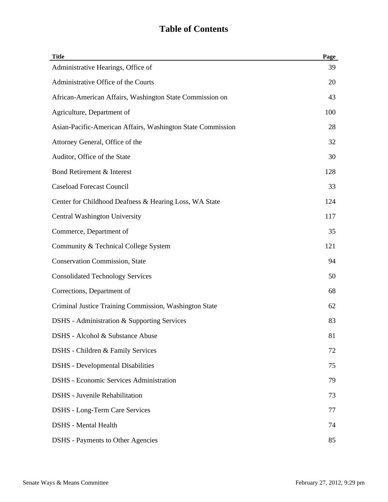| <b>Title</b>                                                | Page |
|-------------------------------------------------------------|------|
| Administrative Hearings, Office of                          | 39   |
| Administrative Office of the Courts                         | 20   |
| African-American Affairs, Washington State Commission on    | 43   |
| Agriculture, Department of                                  | 100  |
| Asian-Pacific-American Affairs, Washington State Commission | 28   |
| Attorney General, Office of the                             | 32   |
| Auditor, Office of the State                                | 30   |
| Bond Retirement & Interest                                  | 128  |
| <b>Caseload Forecast Council</b>                            | 33   |
| Center for Childhood Deafness & Hearing Loss, WA State      | 124  |
| <b>Central Washington University</b>                        | 117  |
| Commerce, Department of                                     | 35   |
| Community & Technical College System                        | 121  |
| <b>Conservation Commission, State</b>                       | 94   |
| <b>Consolidated Technology Services</b>                     | 50   |
| Corrections, Department of                                  | 68   |
| Criminal Justice Training Commission, Washington State      | 62   |
| DSHS - Administration & Supporting Services                 | 83   |
| DSHS - Alcohol & Substance Abuse                            | 81   |
| DSHS - Children & Family Services                           | 72   |
| <b>DSHS</b> - Developmental Disabilities                    | 75   |
| <b>DSHS</b> - Economic Services Administration              | 79   |
| <b>DSHS</b> - Juvenile Rehabilitation                       | 73   |
| <b>DSHS</b> - Long-Term Care Services                       | 77   |
| <b>DSHS</b> - Mental Health                                 | 74   |
| <b>DSHS</b> - Payments to Other Agencies                    | 85   |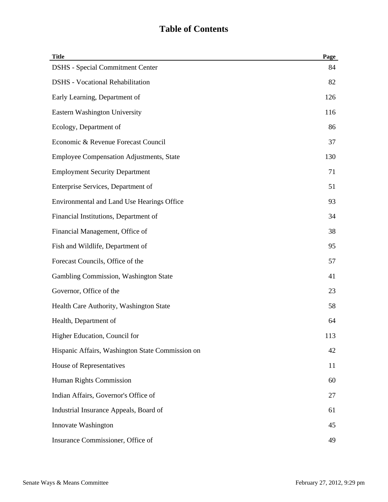| <b>Title</b>                                     | Page |
|--------------------------------------------------|------|
| <b>DSHS</b> - Special Commitment Center          | 84   |
| <b>DSHS</b> - Vocational Rehabilitation          | 82   |
| Early Learning, Department of                    | 126  |
| <b>Eastern Washington University</b>             | 116  |
| Ecology, Department of                           | 86   |
| Economic & Revenue Forecast Council              | 37   |
| <b>Employee Compensation Adjustments, State</b>  | 130  |
| <b>Employment Security Department</b>            | 71   |
| Enterprise Services, Department of               | 51   |
| Environmental and Land Use Hearings Office       | 93   |
| Financial Institutions, Department of            | 34   |
| Financial Management, Office of                  | 38   |
| Fish and Wildlife, Department of                 | 95   |
| Forecast Councils, Office of the                 | 57   |
| Gambling Commission, Washington State            | 41   |
| Governor, Office of the                          | 23   |
| Health Care Authority, Washington State          | 58   |
| Health, Department of                            | 64   |
| Higher Education, Council for                    | 113  |
| Hispanic Affairs, Washington State Commission on | 42   |
| House of Representatives                         | 11   |
| Human Rights Commission                          | 60   |
| Indian Affairs, Governor's Office of             | 27   |
| Industrial Insurance Appeals, Board of           | 61   |
| Innovate Washington                              | 45   |
| Insurance Commissioner, Office of                | 49   |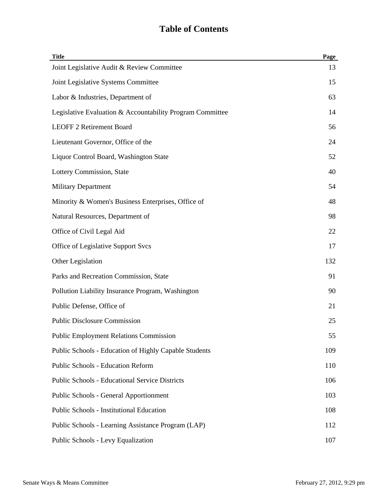| <b>Title</b>                                              | Page |
|-----------------------------------------------------------|------|
| Joint Legislative Audit & Review Committee                | 13   |
| Joint Legislative Systems Committee                       | 15   |
| Labor & Industries, Department of                         | 63   |
| Legislative Evaluation & Accountability Program Committee | 14   |
| <b>LEOFF 2 Retirement Board</b>                           | 56   |
| Lieutenant Governor, Office of the                        | 24   |
| Liquor Control Board, Washington State                    | 52   |
| Lottery Commission, State                                 | 40   |
| <b>Military Department</b>                                | 54   |
| Minority & Women's Business Enterprises, Office of        | 48   |
| Natural Resources, Department of                          | 98   |
| Office of Civil Legal Aid                                 | 22   |
| Office of Legislative Support Svcs                        | 17   |
| Other Legislation                                         | 132  |
| Parks and Recreation Commission, State                    | 91   |
| Pollution Liability Insurance Program, Washington         | 90   |
| Public Defense, Office of                                 | 21   |
| <b>Public Disclosure Commission</b>                       | 25   |
| <b>Public Employment Relations Commission</b>             | 55   |
| Public Schools - Education of Highly Capable Students     | 109  |
| <b>Public Schools - Education Reform</b>                  | 110  |
| <b>Public Schools - Educational Service Districts</b>     | 106  |
| <b>Public Schools - General Apportionment</b>             | 103  |
| <b>Public Schools - Institutional Education</b>           | 108  |
| Public Schools - Learning Assistance Program (LAP)        | 112  |
| Public Schools - Levy Equalization                        | 107  |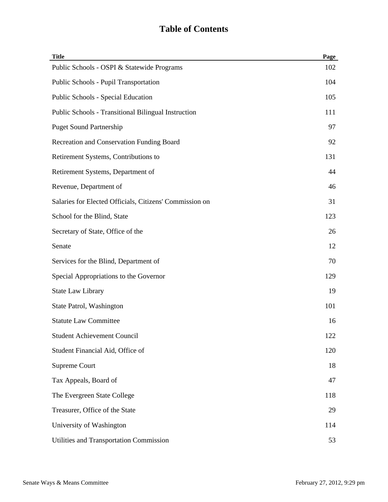| <b>Title</b>                                            | Page |
|---------------------------------------------------------|------|
| Public Schools - OSPI & Statewide Programs              | 102  |
| Public Schools - Pupil Transportation                   | 104  |
| Public Schools - Special Education                      | 105  |
| Public Schools - Transitional Bilingual Instruction     | 111  |
| <b>Puget Sound Partnership</b>                          | 97   |
| Recreation and Conservation Funding Board               | 92   |
| Retirement Systems, Contributions to                    | 131  |
| Retirement Systems, Department of                       | 44   |
| Revenue, Department of                                  | 46   |
| Salaries for Elected Officials, Citizens' Commission on | 31   |
| School for the Blind, State                             | 123  |
| Secretary of State, Office of the                       | 26   |
| Senate                                                  | 12   |
| Services for the Blind, Department of                   | 70   |
| Special Appropriations to the Governor                  | 129  |
| <b>State Law Library</b>                                | 19   |
| State Patrol, Washington                                | 101  |
| <b>Statute Law Committee</b>                            | 16   |
| <b>Student Achievement Council</b>                      | 122  |
| Student Financial Aid, Office of                        | 120  |
| Supreme Court                                           | 18   |
| Tax Appeals, Board of                                   | 47   |
| The Evergreen State College                             | 118  |
| Treasurer, Office of the State                          | 29   |
| University of Washington                                | 114  |
| Utilities and Transportation Commission                 | 53   |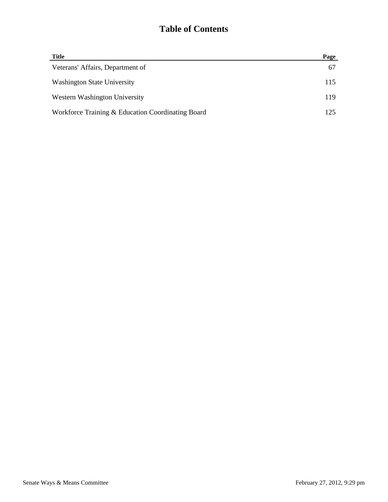| <b>Title</b>                                      | Page |
|---------------------------------------------------|------|
| Veterans' Affairs, Department of                  | 67   |
| <b>Washington State University</b>                | 115  |
| Western Washington University                     | 119  |
| Workforce Training & Education Coordinating Board | 125  |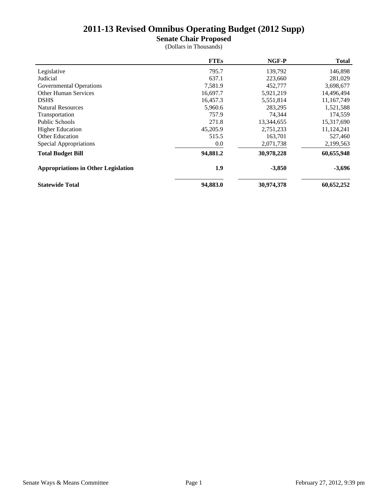**Senate Chair Proposed**

|                                            | <b>FTEs</b> | NGF-P      | <b>Total</b> |
|--------------------------------------------|-------------|------------|--------------|
| Legislative                                | 795.7       | 139,792    | 146,898      |
| Judicial                                   | 637.1       | 223,660    | 281,029      |
| Governmental Operations                    | 7,581.9     | 452,777    | 3,698,677    |
| <b>Other Human Services</b>                | 16,697.7    | 5,921,219  | 14,496,494   |
| <b>DSHS</b>                                | 16,457.3    | 5,551,814  | 11,167,749   |
| <b>Natural Resources</b>                   | 5,960.6     | 283,295    | 1,521,588    |
| Transportation                             | 757.9       | 74.344     | 174,559      |
| Public Schools                             | 271.8       | 13,344,655 | 15,317,690   |
| <b>Higher Education</b>                    | 45,205.9    | 2,751,233  | 11,124,241   |
| <b>Other Education</b>                     | 515.5       | 163,701    | 527,460      |
| Special Appropriations                     | 0.0         | 2,071,738  | 2,199,563    |
| <b>Total Budget Bill</b>                   | 94,881.2    | 30,978,228 | 60,655,948   |
| <b>Appropriations in Other Legislation</b> | 1.9         | $-3,850$   | $-3,696$     |
| <b>Statewide Total</b>                     | 94,883.0    | 30,974,378 | 60,652,252   |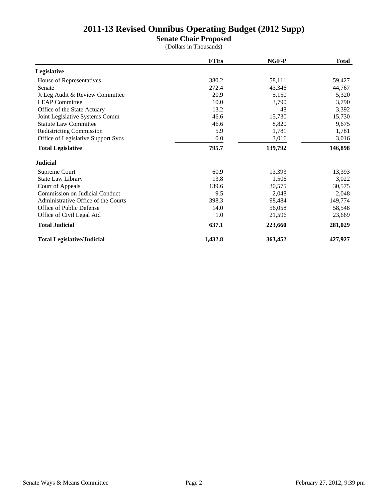**Senate Chair Proposed**

|                                       | <b>FTEs</b> | NGF-P   | <b>Total</b> |
|---------------------------------------|-------------|---------|--------------|
| Legislative                           |             |         |              |
| House of Representatives              | 380.2       | 58,111  | 59,427       |
| Senate                                | 272.4       | 43,346  | 44,767       |
| Jt Leg Audit & Review Committee       | 20.9        | 5,150   | 5,320        |
| <b>LEAP</b> Committee                 | 10.0        | 3,790   | 3,790        |
| Office of the State Actuary           | 13.2        | 48      | 3,392        |
| Joint Legislative Systems Comm        | 46.6        | 15,730  | 15,730       |
| <b>Statute Law Committee</b>          | 46.6        | 8,820   | 9,675        |
| <b>Redistricting Commission</b>       | 5.9         | 1,781   | 1,781        |
| Office of Legislative Support Svcs    | 0.0         | 3,016   | 3,016        |
| <b>Total Legislative</b>              | 795.7       | 139,792 | 146,898      |
| <b>Judicial</b>                       |             |         |              |
| Supreme Court                         | 60.9        | 13,393  | 13,393       |
| State Law Library                     | 13.8        | 1,506   | 3,022        |
| Court of Appeals                      | 139.6       | 30,575  | 30,575       |
| <b>Commission on Judicial Conduct</b> | 9.5         | 2,048   | 2,048        |
| Administrative Office of the Courts   | 398.3       | 98,484  | 149,774      |
| Office of Public Defense              | 14.0        | 56,058  | 58,548       |
| Office of Civil Legal Aid             | 1.0         | 21,596  | 23,669       |
| <b>Total Judicial</b>                 | 637.1       | 223,660 | 281,029      |
| <b>Total Legislative/Judicial</b>     | 1,432.8     | 363,452 | 427,927      |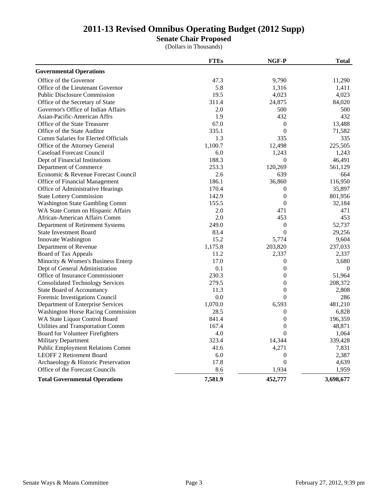**Senate Chair Proposed**

|                                           | <b>FTEs</b> | NGF-P            | <b>Total</b> |
|-------------------------------------------|-------------|------------------|--------------|
| <b>Governmental Operations</b>            |             |                  |              |
| Office of the Governor                    | 47.3        | 9,790            | 11,290       |
| Office of the Lieutenant Governor         | 5.8         | 1,316            | 1,411        |
| <b>Public Disclosure Commission</b>       | 19.5        | 4,023            | 4,023        |
| Office of the Secretary of State          | 311.4       | 24,875           | 84,020       |
| Governor's Office of Indian Affairs       | 2.0         | 500              | 500          |
| Asian-Pacific-American Affrs              | 1.9         | 432              | 432          |
| Office of the State Treasurer             | 67.0        | $\boldsymbol{0}$ | 13,488       |
| Office of the State Auditor               | 335.1       | $\boldsymbol{0}$ | 71,582       |
| Comm Salaries for Elected Officials       | 1.3         | 335              | 335          |
| Office of the Attorney General            | 1,100.7     | 12,498           | 225,505      |
| <b>Caseload Forecast Council</b>          | 6.0         | 1,243            | 1,243        |
| Dept of Financial Institutions            | 188.3       | $\boldsymbol{0}$ | 46,491       |
| Department of Commerce                    | 253.3       | 120,269          | 561,129      |
| Economic & Revenue Forecast Council       | 2.6         | 639              | 664          |
| Office of Financial Management            | 186.1       | 36,860           | 116,950      |
| Office of Administrative Hearings         | 170.4       | $\theta$         | 35,897       |
| <b>State Lottery Commission</b>           | 142.9       | $\overline{0}$   | 801,956      |
| Washington State Gambling Comm            | 155.5       | $\boldsymbol{0}$ | 32,184       |
| WA State Comm on Hispanic Affairs         | 2.0         | 471              | 471          |
| African-American Affairs Comm             | 2.0         | 453              | 453          |
| Department of Retirement Systems          | 249.0       | $\boldsymbol{0}$ | 52,737       |
| <b>State Investment Board</b>             | 83.4        | $\boldsymbol{0}$ | 29,256       |
| Innovate Washington                       | 15.2        | 5,774            | 9,604        |
| Department of Revenue                     | 1,175.8     | 203,820          | 237,033      |
| Board of Tax Appeals                      | 11.2        | 2,337            | 2,337        |
| Minority & Women's Business Enterp        | 17.0        | $\overline{0}$   | 3,680        |
| Dept of General Administration            | 0.1         | $\boldsymbol{0}$ | $\Omega$     |
| Office of Insurance Commissioner          | 230.3       | $\overline{0}$   | 51,964       |
| <b>Consolidated Technology Services</b>   | 279.5       | $\overline{0}$   | 208,372      |
| <b>State Board of Accountancy</b>         | 11.3        | $\overline{0}$   | 2,808        |
| Forensic Investigations Council           | 0.0         | $\theta$         | 286          |
| Department of Enterprise Services         | 1,070.0     | 6,593            | 481,210      |
| <b>Washington Horse Racing Commission</b> | 28.5        | 0                | 6,828        |
| WA State Liquor Control Board             | 841.4       | $\boldsymbol{0}$ | 196,359      |
| Utilities and Transportation Comm         | 167.4       | $\overline{0}$   | 48,871       |
| Board for Volunteer Firefighters          | 4.0         | $\theta$         | 1,064        |
| <b>Military Department</b>                | 323.4       | 14,344           | 339,428      |
| <b>Public Employment Relations Comm</b>   | 41.6        | 4,271            | 7,831        |
| <b>LEOFF 2 Retirement Board</b>           | 6.0         | $\overline{0}$   | 2,387        |
| Archaeology & Historic Preservation       | 17.8        | $\overline{0}$   | 4,639        |
| Office of the Forecast Councils           | 8.6         | 1,934            | 1,959        |
| <b>Total Governmental Operations</b>      | 7,581.9     | 452,777          | 3,698,677    |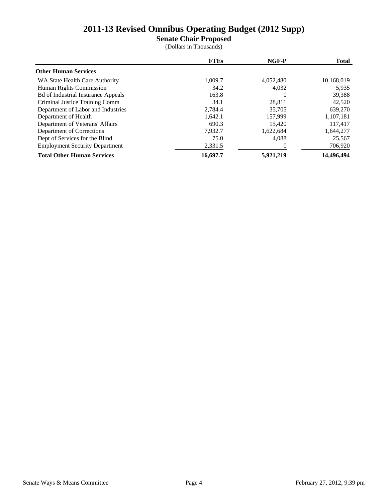**Senate Chair Proposed**

|                                           | <b>FTEs</b> | NGF-P     | <b>Total</b> |
|-------------------------------------------|-------------|-----------|--------------|
| <b>Other Human Services</b>               |             |           |              |
| WA State Health Care Authority            | 1,009.7     | 4,052,480 | 10,168,019   |
| Human Rights Commission                   | 34.2        | 4,032     | 5,935        |
| <b>Bd of Industrial Insurance Appeals</b> | 163.8       | $\theta$  | 39,388       |
| Criminal Justice Training Comm            | 34.1        | 28,811    | 42,520       |
| Department of Labor and Industries        | 2.784.4     | 35,705    | 639,270      |
| Department of Health                      | 1,642.1     | 157,999   | 1,107,181    |
| Department of Veterans' Affairs           | 690.3       | 15.420    | 117,417      |
| Department of Corrections                 | 7,932.7     | 1,622,684 | 1,644,277    |
| Dept of Services for the Blind            | 75.0        | 4,088     | 25,567       |
| <b>Employment Security Department</b>     | 2,331.5     | $\Omega$  | 706,920      |
| <b>Total Other Human Services</b>         | 16,697.7    | 5,921,219 | 14,496,494   |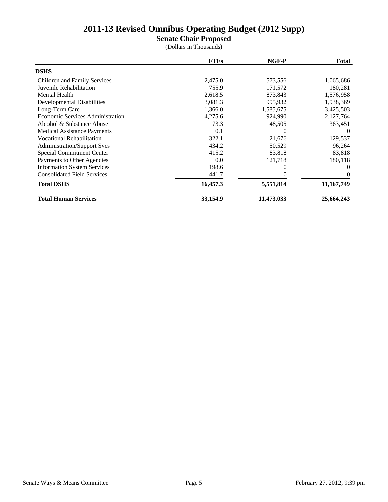**Senate Chair Proposed**

|                                         | <b>FTEs</b> | NGF-P      | <b>Total</b> |
|-----------------------------------------|-------------|------------|--------------|
| <b>DSHS</b>                             |             |            |              |
| Children and Family Services            | 2,475.0     | 573,556    | 1,065,686    |
| Juvenile Rehabilitation                 | 755.9       | 171,572    | 180,281      |
| <b>Mental Health</b>                    | 2,618.5     | 873,843    | 1,576,958    |
| Developmental Disabilities              | 3,081.3     | 995,932    | 1,938,369    |
| Long-Term Care                          | 1,366.0     | 1,585,675  | 3,425,503    |
| <b>Economic Services Administration</b> | 4,275.6     | 924,990    | 2,127,764    |
| Alcohol & Substance Abuse               | 73.3        | 148,505    | 363,451      |
| <b>Medical Assistance Payments</b>      | 0.1         | $\Omega$   | 0            |
| <b>Vocational Rehabilitation</b>        | 322.1       | 21,676     | 129,537      |
| <b>Administration/Support Svcs</b>      | 434.2       | 50,529     | 96,264       |
| Special Commitment Center               | 415.2       | 83,818     | 83,818       |
| Payments to Other Agencies              | 0.0         | 121,718    | 180,118      |
| <b>Information System Services</b>      | 198.6       |            | $\Omega$     |
| <b>Consolidated Field Services</b>      | 441.7       |            | $\Omega$     |
| <b>Total DSHS</b>                       | 16,457.3    | 5,551,814  | 11,167,749   |
| <b>Total Human Services</b>             | 33,154.9    | 11,473,033 | 25,664,243   |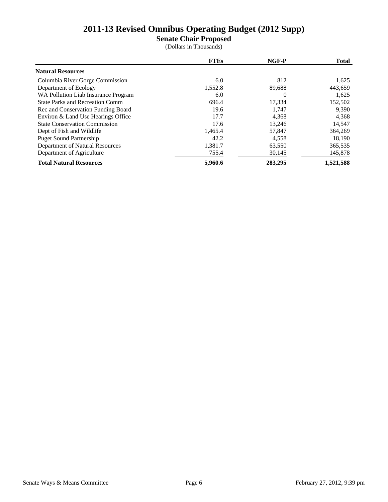**Senate Chair Proposed**

|                                        | <b>FTEs</b> | NGF-P    | <b>Total</b> |
|----------------------------------------|-------------|----------|--------------|
| <b>Natural Resources</b>               |             |          |              |
| Columbia River Gorge Commission        | 6.0         | 812      | 1,625        |
| Department of Ecology                  | 1,552.8     | 89,688   | 443,659      |
| WA Pollution Liab Insurance Program    | 6.0         | $\Omega$ | 1,625        |
| <b>State Parks and Recreation Comm</b> | 696.4       | 17,334   | 152,502      |
| Rec and Conservation Funding Board     | 19.6        | 1,747    | 9,390        |
| Environ & Land Use Hearings Office     | 17.7        | 4,368    | 4,368        |
| <b>State Conservation Commission</b>   | 17.6        | 13,246   | 14,547       |
| Dept of Fish and Wildlife              | 1,465.4     | 57,847   | 364,269      |
| <b>Puget Sound Partnership</b>         | 42.2        | 4,558    | 18,190       |
| Department of Natural Resources        | 1,381.7     | 63,550   | 365,535      |
| Department of Agriculture              | 755.4       | 30,145   | 145,878      |
| <b>Total Natural Resources</b>         | 5,960.6     | 283,295  | 1,521,588    |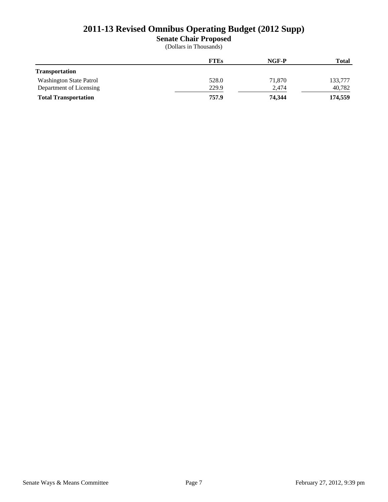**Senate Chair Proposed**

|                                | <b>FTEs</b> | NGF-P  | <b>Total</b> |
|--------------------------------|-------------|--------|--------------|
| <b>Transportation</b>          |             |        |              |
| <b>Washington State Patrol</b> | 528.0       | 71,870 | 133,777      |
| Department of Licensing        | 229.9       | 2,474  | 40,782       |
| <b>Total Transportation</b>    | 757.9       | 74.344 | 174,559      |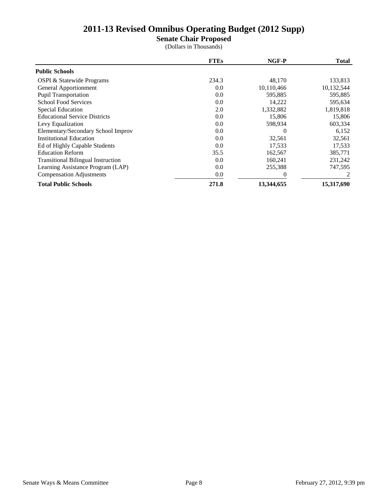**Senate Chair Proposed**

|                                           | <b>FTEs</b> | NGF-P      | <b>Total</b> |
|-------------------------------------------|-------------|------------|--------------|
| <b>Public Schools</b>                     |             |            |              |
| <b>OSPI &amp; Statewide Programs</b>      | 234.3       | 48,170     | 133,813      |
| General Apportionment                     | 0.0         | 10,110,466 | 10,132,544   |
| <b>Pupil Transportation</b>               | 0.0         | 595,885    | 595,885      |
| <b>School Food Services</b>               | 0.0         | 14,222     | 595,634      |
| <b>Special Education</b>                  | 2.0         | 1,332,882  | 1,819,818    |
| <b>Educational Service Districts</b>      | 0.0         | 15,806     | 15,806       |
| Levy Equalization                         | 0.0         | 598,934    | 603,334      |
| Elementary/Secondary School Improv        | 0.0         | $\Omega$   | 6,152        |
| <b>Institutional Education</b>            | 0.0         | 32,561     | 32,561       |
| Ed of Highly Capable Students             | 0.0         | 17,533     | 17,533       |
| <b>Education Reform</b>                   | 35.5        | 162,567    | 385,771      |
| <b>Transitional Bilingual Instruction</b> | 0.0         | 160,241    | 231,242      |
| Learning Assistance Program (LAP)         | 0.0         | 255,388    | 747,595      |
| <b>Compensation Adjustments</b>           | 0.0         |            |              |
| <b>Total Public Schools</b>               | 271.8       | 13,344,655 | 15,317,690   |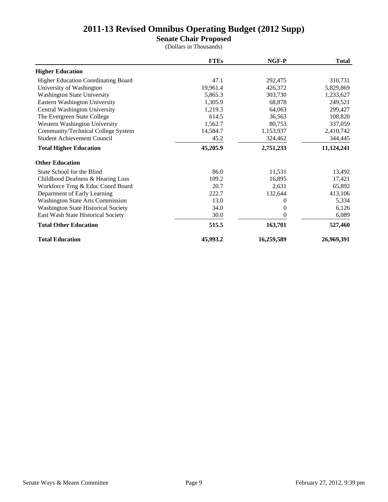**Senate Chair Proposed**

|                                            | <b>FTEs</b> | NGF-P      | <b>Total</b> |
|--------------------------------------------|-------------|------------|--------------|
| <b>Higher Education</b>                    |             |            |              |
| <b>Higher Education Coordinating Board</b> | 47.1        | 292,475    | 310,731      |
| University of Washington                   | 19,961.4    | 426,372    | 5,829,869    |
| <b>Washington State University</b>         | 5,865.3     | 303,730    | 1,233,627    |
| Eastern Washington University              | 1,305.9     | 68,878     | 249,521      |
| Central Washington University              | 1,219.3     | 64,063     | 299,427      |
| The Evergreen State College                | 614.5       | 36,563     | 108,820      |
| Western Washington University              | 1,562.7     | 80,753     | 337,059      |
| Community/Technical College System         | 14,584.7    | 1,153,937  | 2,410,742    |
| <b>Student Achievement Council</b>         | 45.2        | 324,462    | 344,445      |
| <b>Total Higher Education</b>              | 45,205.9    | 2,751,233  | 11,124,241   |
| <b>Other Education</b>                     |             |            |              |
| State School for the Blind                 | 86.0        | 11,531     | 13,492       |
| Childhood Deafness & Hearing Loss          | 109.2       | 16,895     | 17,421       |
| Workforce Trng & Educ Coord Board          | 20.7        | 2,631      | 65,892       |
| Department of Early Learning               | 222.7       | 132,644    | 413,106      |
| Washington State Arts Commission           | 13.0        | $\theta$   | 5,334        |
| <b>Washington State Historical Society</b> | 34.0        | $\theta$   | 6,126        |
| East Wash State Historical Society         | 30.0        | 0          | 6,089        |
| <b>Total Other Education</b>               | 515.5       | 163,701    | 527,460      |
| <b>Total Education</b>                     | 45,993.2    | 16,259,589 | 26,969,391   |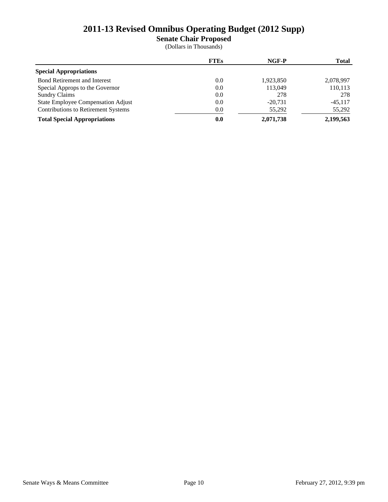**Senate Chair Proposed**

|                                            | <b>FTEs</b> | NGF-P     | <b>Total</b> |
|--------------------------------------------|-------------|-----------|--------------|
| <b>Special Appropriations</b>              |             |           |              |
| <b>Bond Retirement and Interest</b>        | 0.0         | 1,923,850 | 2,078,997    |
| Special Approps to the Governor            | 0.0         | 113,049   | 110,113      |
| <b>Sundry Claims</b>                       | 0.0         | 278       | 278          |
| State Employee Compensation Adjust         | 0.0         | $-20.731$ | $-45.117$    |
| <b>Contributions to Retirement Systems</b> | 0.0         | 55,292    | 55,292       |
| <b>Total Special Appropriations</b>        | 0.0         | 2,071,738 | 2,199,563    |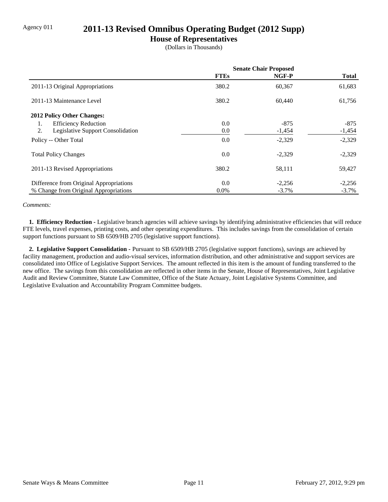## Agency 011 **2011-13 Revised Omnibus Operating Budget (2012 Supp)**

#### **House of Representatives**

(Dollars in Thousands)

|                                         | <b>Senate Chair Proposed</b> |          |              |
|-----------------------------------------|------------------------------|----------|--------------|
|                                         | <b>FTEs</b>                  | NGF-P    | <b>Total</b> |
| 2011-13 Original Appropriations         | 380.2                        | 60,367   | 61,683       |
| 2011-13 Maintenance Level               | 380.2                        | 60,440   | 61,756       |
| 2012 Policy Other Changes:              |                              |          |              |
| <b>Efficiency Reduction</b><br>1.       | 0.0                          | $-875$   | -875         |
| 2.<br>Legislative Support Consolidation | 0.0                          | $-1,454$ | $-1,454$     |
| Policy -- Other Total                   | 0.0                          | $-2,329$ | $-2,329$     |
| <b>Total Policy Changes</b>             | 0.0                          | $-2,329$ | $-2,329$     |
| 2011-13 Revised Appropriations          | 380.2                        | 58,111   | 59,427       |
| Difference from Original Appropriations | 0.0                          | $-2,256$ | $-2,256$     |
| % Change from Original Appropriations   | $0.0\%$                      | $-3.7\%$ | $-3.7\%$     |

*Comments:*

 **1. Efficiency Reduction -** Legislative branch agencies will achieve savings by identifying administrative efficiencies that will reduce FTE levels, travel expenses, printing costs, and other operating expenditures. This includes savings from the consolidation of certain support functions pursuant to SB 6509/HB 2705 (legislative support functions).

 **2. Legislative Support Consolidation -** Pursuant to SB 6509/HB 2705 (legislative support functions), savings are achieved by facility management, production and audio-visual services, information distribution, and other administrative and support services are consolidated into Office of Legislative Support Services. The amount reflected in this item is the amount of funding transferred to the new office. The savings from this consolidation are reflected in other items in the Senate, House of Representatives, Joint Legislative Audit and Review Committee, Statute Law Committee, Office of the State Actuary, Joint Legislative Systems Committee, and Legislative Evaluation and Accountability Program Committee budgets.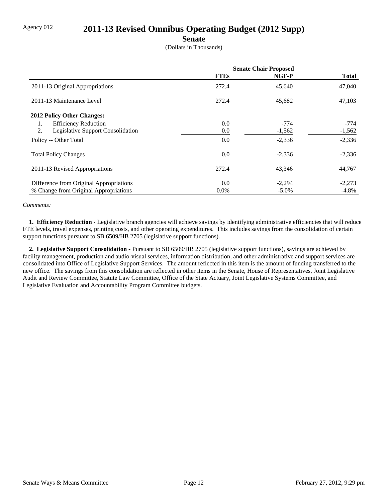## Agency 012 **2011-13 Revised Omnibus Operating Budget (2012 Supp)**

#### **Senate**

(Dollars in Thousands)

|                                         | <b>Senate Chair Proposed</b> |          |              |
|-----------------------------------------|------------------------------|----------|--------------|
|                                         | <b>FTEs</b>                  | NGF-P    | <b>Total</b> |
| 2011-13 Original Appropriations         | 272.4                        | 45,640   | 47,040       |
| 2011-13 Maintenance Level               | 272.4                        | 45,682   | 47,103       |
| <b>2012 Policy Other Changes:</b>       |                              |          |              |
| <b>Efficiency Reduction</b><br>1.       | 0.0                          | $-774$   | $-774$       |
| 2.<br>Legislative Support Consolidation | 0.0                          | $-1,562$ | $-1,562$     |
| Policy -- Other Total                   | 0.0                          | $-2,336$ | $-2,336$     |
| <b>Total Policy Changes</b>             | 0.0                          | $-2,336$ | $-2,336$     |
| 2011-13 Revised Appropriations          | 272.4                        | 43,346   | 44,767       |
| Difference from Original Appropriations | 0.0                          | $-2,294$ | $-2,273$     |
| % Change from Original Appropriations   | $0.0\%$                      | $-5.0\%$ | $-4.8\%$     |

*Comments:*

 **1. Efficiency Reduction -** Legislative branch agencies will achieve savings by identifying administrative efficiencies that will reduce FTE levels, travel expenses, printing costs, and other operating expenditures. This includes savings from the consolidation of certain support functions pursuant to SB 6509/HB 2705 (legislative support functions).

 **2. Legislative Support Consolidation -** Pursuant to SB 6509/HB 2705 (legislative support functions), savings are achieved by facility management, production and audio-visual services, information distribution, and other administrative and support services are consolidated into Office of Legislative Support Services. The amount reflected in this item is the amount of funding transferred to the new office. The savings from this consolidation are reflected in other items in the Senate, House of Representatives, Joint Legislative Audit and Review Committee, Statute Law Committee, Office of the State Actuary, Joint Legislative Systems Committee, and Legislative Evaluation and Accountability Program Committee budgets.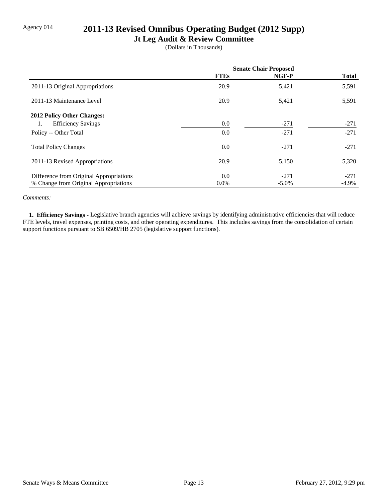## Agency 014 **2011-13 Revised Omnibus Operating Budget (2012 Supp)**

## **Jt Leg Audit & Review Committee**

(Dollars in Thousands)

|                                         | <b>Senate Chair Proposed</b> |          |              |
|-----------------------------------------|------------------------------|----------|--------------|
|                                         | <b>FTEs</b>                  | NGF-P    | <b>Total</b> |
| 2011-13 Original Appropriations         | 20.9                         | 5,421    | 5,591        |
| 2011-13 Maintenance Level               | 20.9                         | 5,421    | 5,591        |
| 2012 Policy Other Changes:              |                              |          |              |
| <b>Efficiency Savings</b><br>1.         | 0.0                          | $-271$   | $-271$       |
| Policy -- Other Total                   | 0.0                          | $-271$   | $-271$       |
| <b>Total Policy Changes</b>             | 0.0                          | $-271$   | $-271$       |
| 2011-13 Revised Appropriations          | 20.9                         | 5,150    | 5,320        |
| Difference from Original Appropriations | 0.0                          | $-271$   | $-271$       |
| % Change from Original Appropriations   | $0.0\%$                      | $-5.0\%$ | $-4.9%$      |

#### *Comments:*

 **1. Efficiency Savings -** Legislative branch agencies will achieve savings by identifying administrative efficiencies that will reduce FTE levels, travel expenses, printing costs, and other operating expenditures. This includes savings from the consolidation of certain support functions pursuant to SB 6509/HB 2705 (legislative support functions).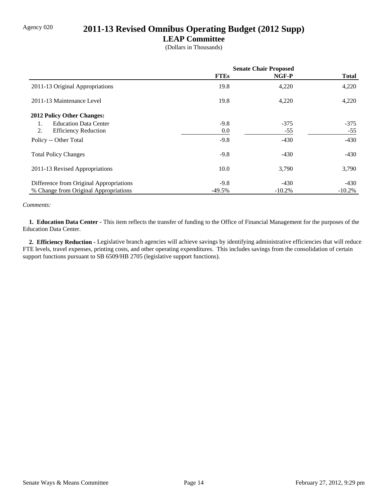# Agency 020 **2011-13 Revised Omnibus Operating Budget (2012 Supp)**

#### **LEAP Committee**

(Dollars in Thousands)

|                                         | <b>Senate Chair Proposed</b> |           |              |
|-----------------------------------------|------------------------------|-----------|--------------|
|                                         | <b>FTEs</b>                  | NGF-P     | <b>Total</b> |
| 2011-13 Original Appropriations         | 19.8                         | 4,220     | 4,220        |
| 2011-13 Maintenance Level               | 19.8                         | 4,220     | 4,220        |
| <b>2012 Policy Other Changes:</b>       |                              |           |              |
| <b>Education Data Center</b><br>1.      | $-9.8$                       | $-375$    | $-375$       |
| 2.<br><b>Efficiency Reduction</b>       | 0.0                          | $-55$     | $-55$        |
| Policy -- Other Total                   | $-9.8$                       | $-430$    | $-430$       |
| <b>Total Policy Changes</b>             | $-9.8$                       | $-430$    | $-430$       |
| 2011-13 Revised Appropriations          | 10.0                         | 3,790     | 3,790        |
| Difference from Original Appropriations | $-9.8$                       | $-430$    | $-430$       |
| % Change from Original Appropriations   | $-49.5%$                     | $-10.2\%$ | $-10.2\%$    |

#### *Comments:*

 **1. Education Data Center -** This item reflects the transfer of funding to the Office of Financial Management for the purposes of the Education Data Center.

 **2. Efficiency Reduction -** Legislative branch agencies will achieve savings by identifying administrative efficiencies that will reduce FTE levels, travel expenses, printing costs, and other operating expenditures. This includes savings from the consolidation of certain support functions pursuant to SB 6509/HB 2705 (legislative support functions).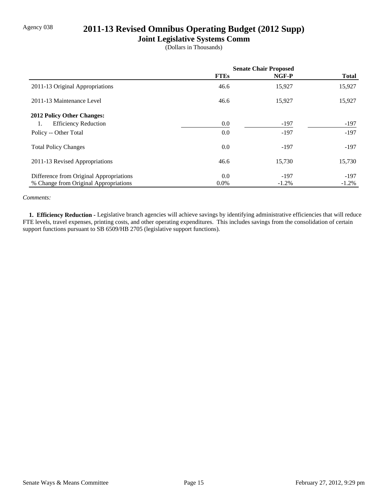## Agency 038 **2011-13 Revised Omnibus Operating Budget (2012 Supp)**

## **Joint Legislative Systems Comm**

(Dollars in Thousands)

|                                         | <b>Senate Chair Proposed</b> |          |              |
|-----------------------------------------|------------------------------|----------|--------------|
|                                         | <b>FTEs</b>                  | NGF-P    | <b>Total</b> |
| 2011-13 Original Appropriations         | 46.6                         | 15,927   | 15,927       |
| 2011-13 Maintenance Level               | 46.6                         | 15,927   | 15,927       |
| <b>2012 Policy Other Changes:</b>       |                              |          |              |
| <b>Efficiency Reduction</b><br>1.       | 0.0                          | $-197$   | $-197$       |
| Policy -- Other Total                   | 0.0                          | $-197$   | $-197$       |
| <b>Total Policy Changes</b>             | 0.0                          | $-197$   | $-197$       |
| 2011-13 Revised Appropriations          | 46.6                         | 15,730   | 15,730       |
| Difference from Original Appropriations | 0.0                          | $-197$   | $-197$       |
| % Change from Original Appropriations   | $0.0\%$                      | $-1.2\%$ | $-1.2\%$     |

#### *Comments:*

 **1. Efficiency Reduction -** Legislative branch agencies will achieve savings by identifying administrative efficiencies that will reduce FTE levels, travel expenses, printing costs, and other operating expenditures. This includes savings from the consolidation of certain support functions pursuant to SB 6509/HB 2705 (legislative support functions).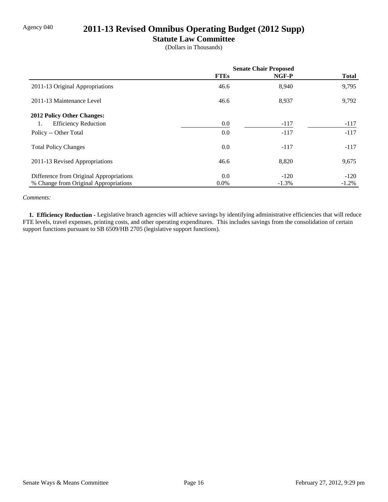## Agency 040 **2011-13 Revised Omnibus Operating Budget (2012 Supp)**

#### **Statute Law Committee**

(Dollars in Thousands)

|                                         | <b>Senate Chair Proposed</b> |          |              |
|-----------------------------------------|------------------------------|----------|--------------|
|                                         | <b>FTEs</b>                  | NGF-P    | <b>Total</b> |
| 2011-13 Original Appropriations         | 46.6                         | 8,940    | 9,795        |
| 2011-13 Maintenance Level               | 46.6                         | 8,937    | 9,792        |
| 2012 Policy Other Changes:              |                              |          |              |
| <b>Efficiency Reduction</b><br>1.       | 0.0                          | $-117$   | $-117$       |
| Policy -- Other Total                   | 0.0                          | $-117$   | $-117$       |
| <b>Total Policy Changes</b>             | 0.0                          | $-117$   | $-117$       |
| 2011-13 Revised Appropriations          | 46.6                         | 8,820    | 9,675        |
| Difference from Original Appropriations | 0.0                          | $-120$   | $-120$       |
| % Change from Original Appropriations   | $0.0\%$                      | $-1.3\%$ | $-1.2%$      |

#### *Comments:*

 **1. Efficiency Reduction -** Legislative branch agencies will achieve savings by identifying administrative efficiencies that will reduce FTE levels, travel expenses, printing costs, and other operating expenditures. This includes savings from the consolidation of certain support functions pursuant to SB 6509/HB 2705 (legislative support functions).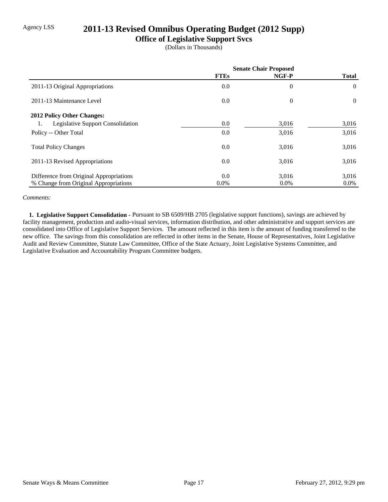## Agency LSS **2011-13 Revised Omnibus Operating Budget (2012 Supp)**

## **Office of Legislative Support Svcs**

(Dollars in Thousands)

|                                                | <b>Senate Chair Proposed</b> |          |              |
|------------------------------------------------|------------------------------|----------|--------------|
|                                                | <b>FTEs</b>                  | NGF-P    | <b>Total</b> |
| 2011-13 Original Appropriations                | 0.0                          | $\theta$ | $\Omega$     |
| 2011-13 Maintenance Level                      | 0.0                          | $\theta$ | $\Omega$     |
| 2012 Policy Other Changes:                     |                              |          |              |
| <b>Legislative Support Consolidation</b><br>1. | 0.0                          | 3,016    | 3,016        |
| Policy -- Other Total                          | 0.0                          | 3,016    | 3,016        |
| <b>Total Policy Changes</b>                    | 0.0                          | 3,016    | 3,016        |
| 2011-13 Revised Appropriations                 | 0.0                          | 3,016    | 3,016        |
| Difference from Original Appropriations        | 0.0                          | 3,016    | 3,016        |
| % Change from Original Appropriations          | $0.0\%$                      | $0.0\%$  | $0.0\%$      |

#### *Comments:*

 **1. Legislative Support Consolidation -** Pursuant to SB 6509/HB 2705 (legislative support functions), savings are achieved by facility management, production and audio-visual services, information distribution, and other administrative and support services are consolidated into Office of Legislative Support Services. The amount reflected in this item is the amount of funding transferred to the new office. The savings from this consolidation are reflected in other items in the Senate, House of Representatives, Joint Legislative Audit and Review Committee, Statute Law Committee, Office of the State Actuary, Joint Legislative Systems Committee, and Legislative Evaluation and Accountability Program Committee budgets.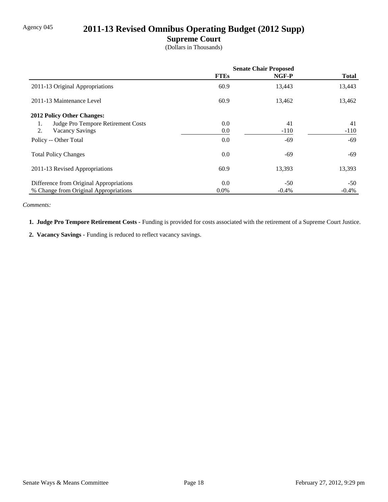## Agency 045 **2011-13 Revised Omnibus Operating Budget (2012 Supp)**

## **Supreme Court**

(Dollars in Thousands)

|                                          | <b>Senate Chair Proposed</b> |         |              |
|------------------------------------------|------------------------------|---------|--------------|
|                                          | <b>FTEs</b>                  | NGF-P   | <b>Total</b> |
| 2011-13 Original Appropriations          | 60.9                         | 13,443  | 13,443       |
| 2011-13 Maintenance Level                | 60.9                         | 13,462  | 13,462       |
| 2012 Policy Other Changes:               |                              |         |              |
| Judge Pro Tempore Retirement Costs<br>1. | 0.0                          | 41      | 41           |
| 2.<br><b>Vacancy Savings</b>             | 0.0                          | $-110$  | $-110$       |
| Policy -- Other Total                    | 0.0                          | $-69$   | -69          |
| <b>Total Policy Changes</b>              | 0.0                          | $-69$   | -69          |
| 2011-13 Revised Appropriations           | 60.9                         | 13,393  | 13,393       |
| Difference from Original Appropriations  | 0.0                          | $-50$   | $-50$        |
| % Change from Original Appropriations    | $0.0\%$                      | $-0.4%$ | $-0.4%$      |

*Comments:*

 **1. Judge Pro Tempore Retirement Costs -** Funding is provided for costs associated with the retirement of a Supreme Court Justice.

 **2. Vacancy Savings -** Funding is reduced to reflect vacancy savings.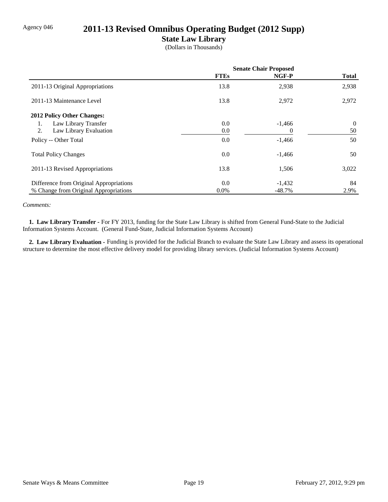## Agency 046 **2011-13 Revised Omnibus Operating Budget (2012 Supp)**

## **State Law Library**

(Dollars in Thousands)

|                                         | <b>Senate Chair Proposed</b> |           |              |
|-----------------------------------------|------------------------------|-----------|--------------|
|                                         | <b>FTEs</b>                  | NGF-P     | <b>Total</b> |
| 2011-13 Original Appropriations         | 13.8                         | 2,938     | 2,938        |
| 2011-13 Maintenance Level               | 13.8                         | 2,972     | 2,972        |
| <b>2012 Policy Other Changes:</b>       |                              |           |              |
| Law Library Transfer<br>1.              | 0.0                          | $-1,466$  | $\Omega$     |
| 2.<br>Law Library Evaluation            | 0.0                          | 0         | 50           |
| Policy -- Other Total                   | 0.0                          | $-1,466$  | 50           |
| <b>Total Policy Changes</b>             | 0.0                          | $-1,466$  | 50           |
| 2011-13 Revised Appropriations          | 13.8                         | 1,506     | 3,022        |
| Difference from Original Appropriations | 0.0                          | $-1,432$  | 84           |
| % Change from Original Appropriations   | $0.0\%$                      | $-48.7\%$ | 2.9%         |

#### *Comments:*

 **1. Law Library Transfer -** For FY 2013, funding for the State Law Library is shifted from General Fund-State to the Judicial Information Systems Account. (General Fund-State, Judicial Information Systems Account)

 **2. Law Library Evaluation -** Funding is provided for the Judicial Branch to evaluate the State Law Library and assess its operational structure to determine the most effective delivery model for providing library services. (Judicial Information Systems Account)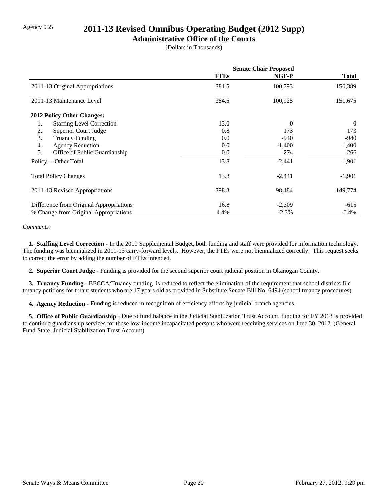## Agency 055 **2011-13 Revised Omnibus Operating Budget (2012 Supp)**

#### **Administrative Office of the Courts**

(Dollars in Thousands)

|                                         | <b>Senate Chair Proposed</b> |          |              |
|-----------------------------------------|------------------------------|----------|--------------|
|                                         | <b>FTEs</b>                  | NGF-P    | <b>Total</b> |
| 2011-13 Original Appropriations         | 381.5                        | 100,793  | 150,389      |
| 2011-13 Maintenance Level               | 384.5                        | 100,925  | 151,675      |
| <b>2012 Policy Other Changes:</b>       |                              |          |              |
| <b>Staffing Level Correction</b><br>1.  | 13.0                         | $\Omega$ | $\theta$     |
| 2.<br><b>Superior Court Judge</b>       | 0.8                          | 173      | 173          |
| 3.<br><b>Truancy Funding</b>            | 0.0                          | $-940$   | $-940$       |
| 4.<br><b>Agency Reduction</b>           | 0.0                          | $-1,400$ | $-1,400$     |
| 5.<br>Office of Public Guardianship     | 0.0                          | $-274$   | 266          |
| Policy -- Other Total                   | 13.8                         | $-2,441$ | $-1,901$     |
| <b>Total Policy Changes</b>             | 13.8                         | $-2,441$ | $-1,901$     |
| 2011-13 Revised Appropriations          | 398.3                        | 98,484   | 149,774      |
| Difference from Original Appropriations | 16.8                         | $-2,309$ | $-615$       |
| % Change from Original Appropriations   | 4.4%                         | $-2.3%$  | $-0.4\%$     |

#### *Comments:*

 **1. Staffing Level Correction -** In the 2010 Supplemental Budget, both funding and staff were provided for information technology. The funding was biennialized in 2011-13 carry-forward levels. However, the FTEs were not biennialized correctly. This request seeks to correct the error by adding the number of FTEs intended.

 **2. Superior Court Judge -** Funding is provided for the second superior court judicial position in Okanogan County.

 **3. Truancy Funding -** BECCA/Truancy funding is reduced to reflect the elimination of the requirement that school districts file truancy petitions for truant students who are 17 years old as provided in Substitute Senate Bill No. 6494 (school truancy procedures).

 **4. Agency Reduction -** Funding is reduced in recognition of efficiency efforts by judicial branch agencies.

 **5. Office of Public Guardianship -** Due to fund balance in the Judicial Stabilization Trust Account, funding for FY 2013 is provided to continue guardianship services for those low-income incapacitated persons who were receiving services on June 30, 2012. (General Fund-State, Judicial Stabilization Trust Account)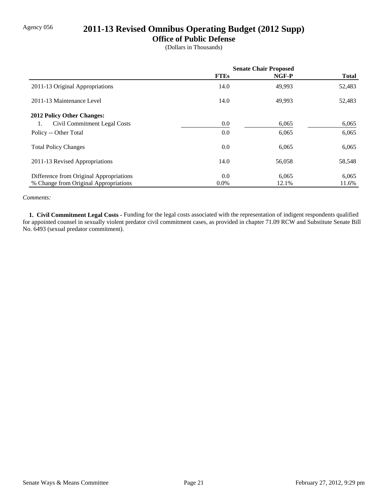## Agency 056 **2011-13 Revised Omnibus Operating Budget (2012 Supp)**

#### **Office of Public Defense**

(Dollars in Thousands)

|                                         | <b>Senate Chair Proposed</b> |        |              |
|-----------------------------------------|------------------------------|--------|--------------|
|                                         | <b>FTEs</b>                  | NGF-P  | <b>Total</b> |
| 2011-13 Original Appropriations         | 14.0                         | 49,993 | 52,483       |
| 2011-13 Maintenance Level               | 14.0                         | 49,993 | 52,483       |
| <b>2012 Policy Other Changes:</b>       |                              |        |              |
| Civil Commitment Legal Costs            | 0.0                          | 6,065  | 6,065        |
| Policy -- Other Total                   | 0.0                          | 6,065  | 6,065        |
| <b>Total Policy Changes</b>             | 0.0                          | 6,065  | 6,065        |
| 2011-13 Revised Appropriations          | 14.0                         | 56,058 | 58,548       |
| Difference from Original Appropriations | 0.0                          | 6,065  | 6,065        |
| % Change from Original Appropriations   | $0.0\%$                      | 12.1%  | 11.6%        |

#### *Comments:*

 **1. Civil Commitment Legal Costs -** Funding for the legal costs associated with the representation of indigent respondents qualified for appointed counsel in sexually violent predator civil commitment cases, as provided in chapter 71.09 RCW and Substitute Senate Bill No. 6493 (sexual predator commitment).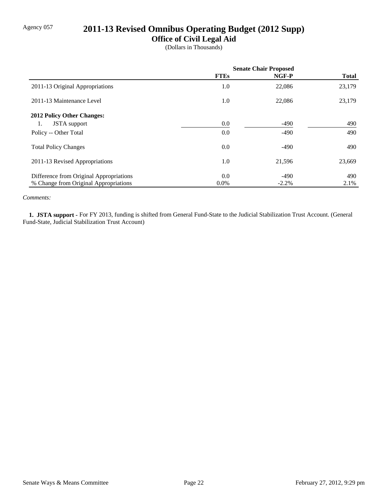## Agency 057 **2011-13 Revised Omnibus Operating Budget (2012 Supp)**

## **Office of Civil Legal Aid**

(Dollars in Thousands)

|                                         | <b>Senate Chair Proposed</b> |         |              |
|-----------------------------------------|------------------------------|---------|--------------|
|                                         | <b>FTEs</b>                  | NGF-P   | <b>Total</b> |
| 2011-13 Original Appropriations         | 1.0                          | 22,086  | 23,179       |
| 2011-13 Maintenance Level               | 1.0                          | 22,086  | 23,179       |
| 2012 Policy Other Changes:              |                              |         |              |
| <b>JSTA</b> support<br>1.               | 0.0                          | -490    | 490          |
| Policy -- Other Total                   | 0.0                          | $-490$  | 490          |
| <b>Total Policy Changes</b>             | 0.0                          | $-490$  | 490          |
| 2011-13 Revised Appropriations          | 1.0                          | 21,596  | 23,669       |
| Difference from Original Appropriations | 0.0                          | $-490$  | 490          |
| % Change from Original Appropriations   | $0.0\%$                      | $-2.2%$ | 2.1%         |

#### *Comments:*

 **1. JSTA support -** For FY 2013, funding is shifted from General Fund-State to the Judicial Stabilization Trust Account. (General Fund-State, Judicial Stabilization Trust Account)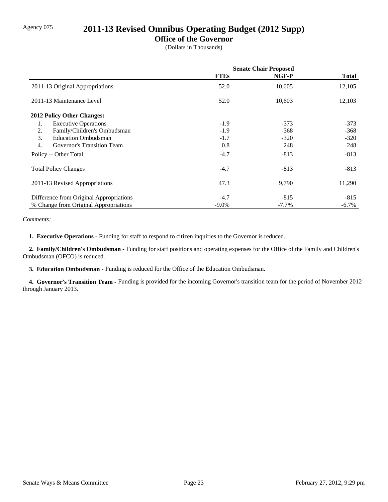## Agency 075 **2011-13 Revised Omnibus Operating Budget (2012 Supp)**

## **Office of the Governor**

(Dollars in Thousands)

|                                         | <b>Senate Chair Proposed</b> |          |              |
|-----------------------------------------|------------------------------|----------|--------------|
|                                         | <b>FTEs</b>                  | NGF-P    | <b>Total</b> |
| 2011-13 Original Appropriations         | 52.0                         | 10,605   | 12,105       |
| 2011-13 Maintenance Level               | 52.0                         | 10,603   | 12,103       |
| 2012 Policy Other Changes:              |                              |          |              |
| <b>Executive Operations</b><br>1.       | $-1.9$                       | $-373$   | $-373$       |
| Family/Children's Ombudsman<br>2.       | $-1.9$                       | $-368$   | $-368$       |
| 3.<br><b>Education Ombudsman</b>        | $-1.7$                       | $-320$   | $-320$       |
| 4.<br>Governor's Transition Team        | 0.8                          | 248      | 248          |
| Policy -- Other Total                   | $-4.7$                       | $-813$   | $-813$       |
| <b>Total Policy Changes</b>             | $-4.7$                       | $-813$   | $-813$       |
| 2011-13 Revised Appropriations          | 47.3                         | 9,790    | 11,290       |
| Difference from Original Appropriations | $-4.7$                       | $-815$   | $-815$       |
| % Change from Original Appropriations   | $-9.0\%$                     | $-7.7\%$ | $-6.7\%$     |

#### *Comments:*

 **1. Executive Operations -** Funding for staff to respond to citizen inquiries to the Governor is reduced.

 **2. Family/Children's Ombudsman -** Funding for staff positions and operating expenses for the Office of the Family and Children's Ombudsman (OFCO) is reduced.

 **3. Education Ombudsman -** Funding is reduced for the Office of the Education Ombudsman.

 **4. Governor's Transition Team -** Funding is provided for the incoming Governor's transition team for the period of November 2012 through January 2013.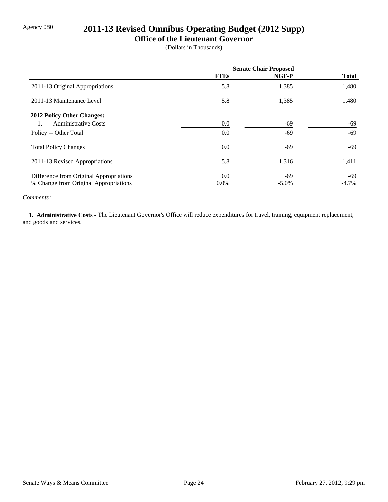## Agency 080 **2011-13 Revised Omnibus Operating Budget (2012 Supp)**

#### **Office of the Lieutenant Governor**

(Dollars in Thousands)

|                                         | <b>Senate Chair Proposed</b> |          |              |
|-----------------------------------------|------------------------------|----------|--------------|
|                                         | <b>FTEs</b>                  | NGF-P    | <b>Total</b> |
| 2011-13 Original Appropriations         | 5.8                          | 1,385    | 1,480        |
| 2011-13 Maintenance Level               | 5.8                          | 1,385    | 1,480        |
| <b>2012 Policy Other Changes:</b>       |                              |          |              |
| <b>Administrative Costs</b>             | 0.0                          | $-69$    | -69          |
| Policy -- Other Total                   | 0.0                          | -69      | $-69$        |
| <b>Total Policy Changes</b>             | 0.0                          | -69      | -69          |
| 2011-13 Revised Appropriations          | 5.8                          | 1,316    | 1,411        |
| Difference from Original Appropriations | 0.0                          | -69      | -69          |
| % Change from Original Appropriations   | $0.0\%$                      | $-5.0\%$ | $-4.7\%$     |

#### *Comments:*

 **1. Administrative Costs -** The Lieutenant Governor's Office will reduce expenditures for travel, training, equipment replacement, and goods and services.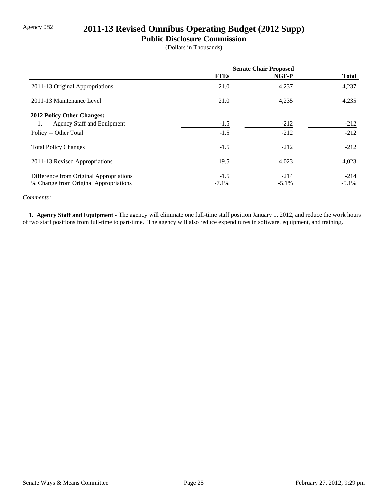## Agency 082 **2011-13 Revised Omnibus Operating Budget (2012 Supp)**

#### **Public Disclosure Commission**

(Dollars in Thousands)

|                                         | <b>Senate Chair Proposed</b> |          |              |
|-----------------------------------------|------------------------------|----------|--------------|
|                                         | <b>FTEs</b>                  | NGF-P    | <b>Total</b> |
| 2011-13 Original Appropriations         | 21.0                         | 4,237    | 4,237        |
| 2011-13 Maintenance Level               | 21.0                         | 4,235    | 4,235        |
| 2012 Policy Other Changes:              |                              |          |              |
| Agency Staff and Equipment<br>1.        | $-1.5$                       | $-212$   | $-212$       |
| Policy -- Other Total                   | $-1.5$                       | $-212$   | $-212$       |
| <b>Total Policy Changes</b>             | $-1.5$                       | $-212$   | $-212$       |
| 2011-13 Revised Appropriations          | 19.5                         | 4,023    | 4,023        |
| Difference from Original Appropriations | $-1.5$                       | $-214$   | $-214$       |
| % Change from Original Appropriations   | $-7.1\%$                     | $-5.1\%$ | $-5.1\%$     |

#### *Comments:*

 **1. Agency Staff and Equipment -** The agency will eliminate one full-time staff position January 1, 2012, and reduce the work hours of two staff positions from full-time to part-time. The agency will also reduce expenditures in software, equipment, and training.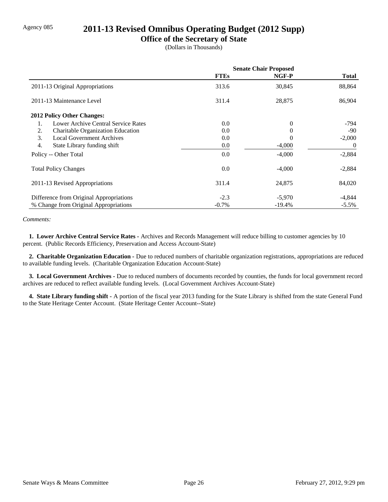## Agency 085 **2011-13 Revised Omnibus Operating Budget (2012 Supp)**

### **Office of the Secretary of State**

(Dollars in Thousands)

|                                           | <b>Senate Chair Proposed</b> |          |               |
|-------------------------------------------|------------------------------|----------|---------------|
|                                           | <b>FTEs</b>                  | NGF-P    | <b>Total</b>  |
| 2011-13 Original Appropriations           | 313.6                        | 30,845   | 88,864        |
| 2011-13 Maintenance Level                 | 311.4                        | 28,875   | 86,904        |
| 2012 Policy Other Changes:                |                              |          |               |
| Lower Archive Central Service Rates<br>1. | 0.0                          | $\Omega$ | -794          |
| 2.<br>Charitable Organization Education   | 0.0                          | 0        | $-90^{\circ}$ |
| 3.<br><b>Local Government Archives</b>    | 0.0                          | 0        | $-2,000$      |
| 4.<br>State Library funding shift         | 0.0                          | $-4,000$ | $\theta$      |
| Policy -- Other Total                     | 0.0                          | $-4,000$ | $-2,884$      |
| <b>Total Policy Changes</b>               | 0.0                          | $-4,000$ | $-2,884$      |
| 2011-13 Revised Appropriations            | 311.4                        | 24,875   | 84,020        |
| Difference from Original Appropriations   | $-2.3$                       | $-5,970$ | -4,844        |
| % Change from Original Appropriations     | $-0.7\%$                     | -19.4%   | $-5.5\%$      |

#### *Comments:*

 **1. Lower Archive Central Service Rates -** Archives and Records Management will reduce billing to customer agencies by 10 percent. (Public Records Efficiency, Preservation and Access Account-State)

 **2. Charitable Organization Education -** Due to reduced numbers of charitable organization registrations, appropriations are reduced to available funding levels. (Charitable Organization Education Account-State)

 **3. Local Government Archives -** Due to reduced numbers of documents recorded by counties, the funds for local government record archives are reduced to reflect available funding levels. (Local Government Archives Account-State)

 **4. State Library funding shift -** A portion of the fiscal year 2013 funding for the State Library is shifted from the state General Fund to the State Heritage Center Account. (State Heritage Center Account--State)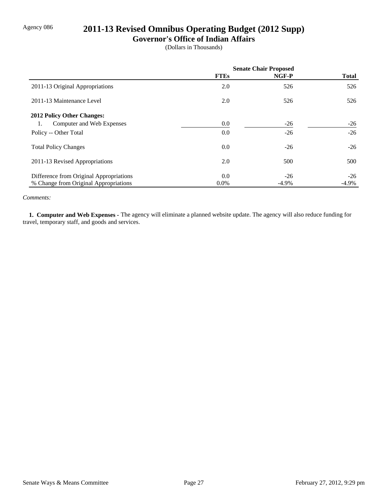# Agency 086 **2011-13 Revised Omnibus Operating Budget (2012 Supp)**

## **Governor's Office of Indian Affairs**

(Dollars in Thousands)

|                                         | <b>Senate Chair Proposed</b> |          |              |
|-----------------------------------------|------------------------------|----------|--------------|
|                                         | <b>FTEs</b>                  | NGF-P    | <b>Total</b> |
| 2011-13 Original Appropriations         | 2.0                          | 526      | 526          |
| 2011-13 Maintenance Level               | 2.0                          | 526      | 526          |
| 2012 Policy Other Changes:              |                              |          |              |
| Computer and Web Expenses<br>1.         | 0.0                          | $-26$    | $-26$        |
| Policy -- Other Total                   | 0.0                          | $-26$    | $-26$        |
| <b>Total Policy Changes</b>             | 0.0                          | $-26$    | $-26$        |
| 2011-13 Revised Appropriations          | 2.0                          | 500      | 500          |
| Difference from Original Appropriations | 0.0                          | $-26$    | $-26$        |
| % Change from Original Appropriations   | $0.0\%$                      | $-4.9\%$ | $-4.9\%$     |

#### *Comments:*

 **1. Computer and Web Expenses -** The agency will eliminate a planned website update. The agency will also reduce funding for travel, temporary staff, and goods and services.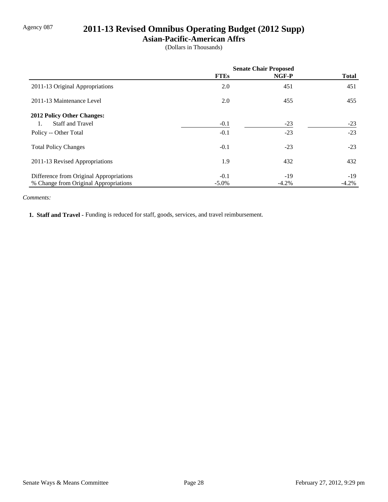# Agency 087 **2011-13 Revised Omnibus Operating Budget (2012 Supp)**

## **Asian-Pacific-American Affrs**

(Dollars in Thousands)

|                                         | <b>Senate Chair Proposed</b> |         |              |
|-----------------------------------------|------------------------------|---------|--------------|
|                                         | <b>FTEs</b>                  | NGF-P   | <b>Total</b> |
| 2011-13 Original Appropriations         | 2.0                          | 451     | 451          |
| 2011-13 Maintenance Level               | 2.0                          | 455     | 455          |
| <b>2012 Policy Other Changes:</b>       |                              |         |              |
| <b>Staff and Travel</b>                 | $-0.1$                       | $-23$   | $-23$        |
| Policy -- Other Total                   | $-0.1$                       | $-23$   | $-23$        |
| <b>Total Policy Changes</b>             | $-0.1$                       | $-23$   | $-23$        |
| 2011-13 Revised Appropriations          | 1.9                          | 432     | 432          |
| Difference from Original Appropriations | $-0.1$                       | $-19$   | $-19$        |
| % Change from Original Appropriations   | $-5.0\%$                     | $-4.2%$ | $-4.2\%$     |

#### *Comments:*

 **1. Staff and Travel -** Funding is reduced for staff, goods, services, and travel reimbursement.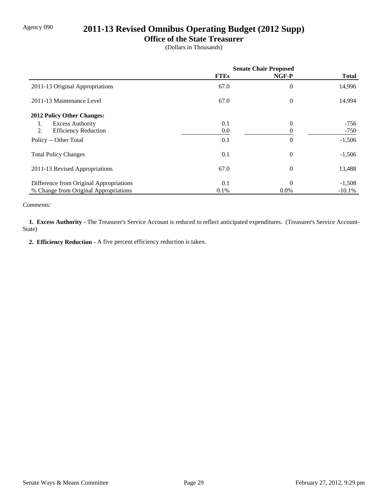# Agency 090 **2011-13 Revised Omnibus Operating Budget (2012 Supp)**

### **Office of the State Treasurer**

(Dollars in Thousands)

|                                         | <b>Senate Chair Proposed</b> |                  |              |
|-----------------------------------------|------------------------------|------------------|--------------|
|                                         | <b>FTEs</b>                  | NGF-P            | <b>Total</b> |
| 2011-13 Original Appropriations         | 67.0                         | $\boldsymbol{0}$ | 14,996       |
| 2011-13 Maintenance Level               | 67.0                         | $\theta$         | 14,994       |
| 2012 Policy Other Changes:              |                              |                  |              |
| <b>Excess Authority</b><br>1.           | 0.1                          | $\overline{0}$   | -756         |
| 2.<br><b>Efficiency Reduction</b>       | 0.0                          |                  | $-750$       |
| Policy -- Other Total                   | 0.1                          | $\theta$         | $-1,506$     |
| <b>Total Policy Changes</b>             | 0.1                          | $\boldsymbol{0}$ | $-1,506$     |
| 2011-13 Revised Appropriations          | 67.0                         | $\theta$         | 13,488       |
| Difference from Original Appropriations | 0.1                          | $\Omega$         | $-1,508$     |
| % Change from Original Appropriations   | 0.1%                         | $0.0\%$          | $-10.1%$     |

*Comments:*

 **1. Excess Authority -** The Treasurer's Service Account is reduced to reflect anticipated expenditures. (Treasurer's Service Account-State)

 **2. Efficiency Reduction -** A five percent efficiency reduction is taken.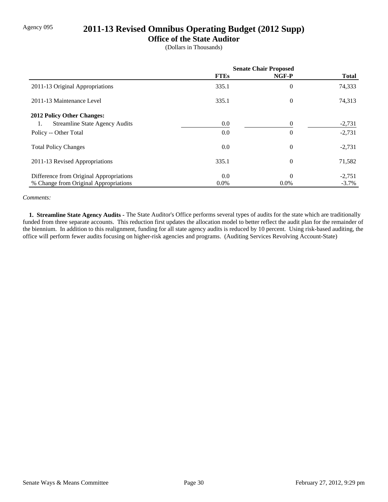# Agency 095 **2011-13 Revised Omnibus Operating Budget (2012 Supp)**

### **Office of the State Auditor**

(Dollars in Thousands)

|                                             | <b>Senate Chair Proposed</b> |                |              |
|---------------------------------------------|------------------------------|----------------|--------------|
|                                             | <b>FTEs</b>                  | NGF-P          | <b>Total</b> |
| 2011-13 Original Appropriations             | 335.1                        | $\overline{0}$ | 74,333       |
| 2011-13 Maintenance Level                   | 335.1                        | $\theta$       | 74,313       |
| 2012 Policy Other Changes:                  |                              |                |              |
| <b>Streamline State Agency Audits</b><br>1. | 0.0                          | $\Omega$       | $-2,731$     |
| Policy -- Other Total                       | 0.0                          | $\theta$       | $-2,731$     |
| <b>Total Policy Changes</b>                 | 0.0                          | $\theta$       | $-2,731$     |
| 2011-13 Revised Appropriations              | 335.1                        | $\theta$       | 71,582       |
| Difference from Original Appropriations     | 0.0                          | $\Omega$       | $-2,751$     |
| % Change from Original Appropriations       | $0.0\%$                      | $0.0\%$        | $-3.7\%$     |

#### *Comments:*

 **1. Streamline State Agency Audits -** The State Auditor's Office performs several types of audits for the state which are traditionally funded from three separate accounts. This reduction first updates the allocation model to better reflect the audit plan for the remainder of the biennium. In addition to this realignment, funding for all state agency audits is reduced by 10 percent. Using risk-based auditing, the office will perform fewer audits focusing on higher-risk agencies and programs. (Auditing Services Revolving Account-State)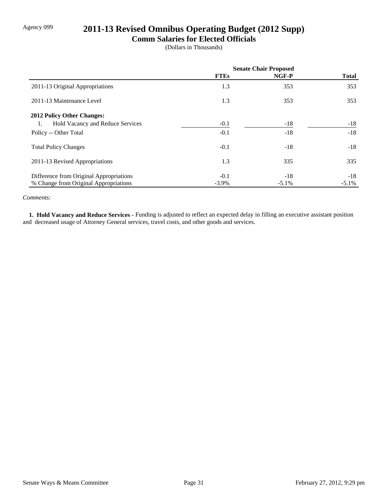# Agency 099 **2011-13 Revised Omnibus Operating Budget (2012 Supp)**

### **Comm Salaries for Elected Officials**

(Dollars in Thousands)

|                                         | <b>Senate Chair Proposed</b> |          |              |
|-----------------------------------------|------------------------------|----------|--------------|
|                                         | <b>FTEs</b>                  | NGF-P    | <b>Total</b> |
| 2011-13 Original Appropriations         | 1.3                          | 353      | 353          |
| 2011-13 Maintenance Level               | 1.3                          | 353      | 353          |
| 2012 Policy Other Changes:              |                              |          |              |
| Hold Vacancy and Reduce Services<br>1.  | $-0.1$                       | $-18$    | $-18$        |
| Policy -- Other Total                   | $-0.1$                       | $-18$    | $-18$        |
| <b>Total Policy Changes</b>             | $-0.1$                       | $-18$    | $-18$        |
| 2011-13 Revised Appropriations          | 1.3                          | 335      | 335          |
| Difference from Original Appropriations | $-0.1$                       | $-18$    | $-18$        |
| % Change from Original Appropriations   | $-3.9\%$                     | $-5.1\%$ | $-5.1\%$     |

#### *Comments:*

 **1. Hold Vacancy and Reduce Services -** Funding is adjusted to reflect an expected delay in filling an executive assistant position and decreased usage of Attorney General services, travel costs, and other goods and services.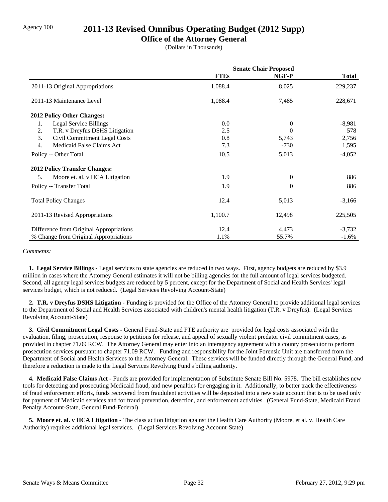## Agency 100 **2011-13 Revised Omnibus Operating Budget (2012 Supp)**

### **Office of the Attorney General**

(Dollars in Thousands)

|                                         | <b>Senate Chair Proposed</b> |          |              |
|-----------------------------------------|------------------------------|----------|--------------|
|                                         | <b>FTEs</b>                  | NGF-P    | <b>Total</b> |
| 2011-13 Original Appropriations         | 1,088.4                      | 8,025    | 229,237      |
| 2011-13 Maintenance Level               | 1,088.4                      | 7,485    | 228,671      |
| 2012 Policy Other Changes:              |                              |          |              |
| Legal Service Billings<br>1.            | 0.0                          | 0        | $-8,981$     |
| T.R. v Dreyfus DSHS Litigation<br>2.    | 2.5                          | $\Omega$ | 578          |
| 3.<br>Civil Commitment Legal Costs      | 0.8                          | 5,743    | 2,756        |
| Medicaid False Claims Act<br>4.         | 7.3                          | -730     | 1,595        |
| Policy -- Other Total                   | 10.5                         | 5,013    | $-4,052$     |
| <b>2012 Policy Transfer Changes:</b>    |                              |          |              |
| 5.<br>Moore et. al. v HCA Litigation    | 1.9                          | $\theta$ | 886          |
| Policy -- Transfer Total                | 1.9                          | $\theta$ | 886          |
| <b>Total Policy Changes</b>             | 12.4                         | 5,013    | $-3,166$     |
| 2011-13 Revised Appropriations          | 1,100.7                      | 12,498   | 225,505      |
| Difference from Original Appropriations | 12.4                         | 4,473    | $-3,732$     |
| % Change from Original Appropriations   | 1.1%                         | 55.7%    | $-1.6\%$     |

#### *Comments:*

 **1. Legal Service Billings -** Legal services to state agencies are reduced in two ways. First, agency budgets are reduced by \$3.9 million in cases where the Attorney General estimates it will not be billing agencies for the full amount of legal services budgeted. Second, all agency legal services budgets are reduced by 5 percent, except for the Department of Social and Health Services' legal services budget, which is not reduced. (Legal Services Revolving Account-State)

 **2. T.R. v Dreyfus DSHS Litigation -** Funding is provided for the Office of the Attorney General to provide additional legal services to the Department of Social and Health Services associated with children's mental health litigation (T.R. v Dreyfus). (Legal Services Revolving Account-State)

 **3. Civil Commitment Legal Costs -** General Fund-State and FTE authority are provided for legal costs associated with the evaluation, filing, prosecution, response to petitions for release, and appeal of sexually violent predator civil commitment cases, as provided in chapter 71.09 RCW. The Attorney General may enter into an interagency agreement with a county prosecutor to perform prosecution services pursuant to chapter 71.09 RCW. Funding and responsibility for the Joint Forensic Unit are transferred from the Department of Social and Health Services to the Attorney General. These services will be funded directly through the General Fund, and therefore a reduction is made to the Legal Services Revolving Fund's billing authority.

 **4. Medicaid False Claims Act -** Funds are provided for implementation of Substitute Senate Bill No. 5978. The bill establishes new tools for detecting and prosecuting Medicaid fraud, and new penalties for engaging in it. Additionally, to better track the effectiveness of fraud enforcement efforts, funds recovered from fraudulent activities will be deposited into a new state account that is to be used only for payment of Medicaid services and for fraud prevention, detection, and enforcement activities. (General Fund-State, Medicaid Fraud Penalty Account-State, General Fund-Federal)

**5. Moore et. al. v HCA Litigation -** The class action litigation against the Health Care Authority (Moore, et al. v. Health Care Authority) requires additional legal services. (Legal Services Revolving Account-State)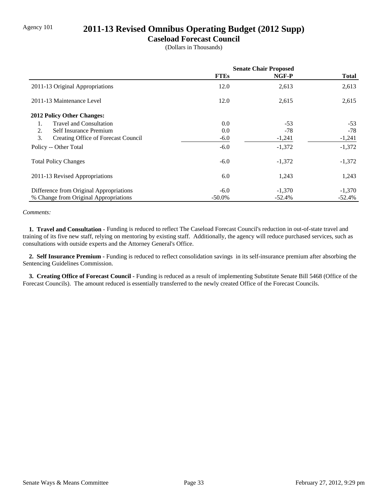# Agency 101 **2011-13 Revised Omnibus Operating Budget (2012 Supp)**

### **Caseload Forecast Council**

(Dollars in Thousands)

|                                           | <b>Senate Chair Proposed</b> |           |              |
|-------------------------------------------|------------------------------|-----------|--------------|
|                                           | <b>FTEs</b>                  | NGF-P     | <b>Total</b> |
| 2011-13 Original Appropriations           | 12.0                         | 2,613     | 2,613        |
| 2011-13 Maintenance Level                 | 12.0                         | 2,615     | 2,615        |
| 2012 Policy Other Changes:                |                              |           |              |
| <b>Travel and Consultation</b><br>1.      | 0.0                          | $-53$     | $-53$        |
| 2.<br>Self Insurance Premium              | 0.0                          | $-78$     | -78          |
| 3.<br>Creating Office of Forecast Council | $-6.0$                       | $-1,241$  | $-1,241$     |
| Policy -- Other Total                     | $-6.0$                       | $-1,372$  | $-1,372$     |
| <b>Total Policy Changes</b>               | $-6.0$                       | $-1,372$  | $-1,372$     |
| 2011-13 Revised Appropriations            | 6.0                          | 1,243     | 1,243        |
| Difference from Original Appropriations   | $-6.0$                       | $-1,370$  | $-1,370$     |
| % Change from Original Appropriations     | $-50.0\%$                    | $-52.4\%$ | $-52.4%$     |

#### *Comments:*

 **1. Travel and Consultation -** Funding is reduced to reflect The Caseload Forecast Council's reduction in out-of-state travel and training of its five new staff, relying on mentoring by existing staff. Additionally, the agency will reduce purchased services, such as consultations with outside experts and the Attorney General's Office.

 **2. Self Insurance Premium -** Funding is reduced to reflect consolidation savings in its self-insurance premium after absorbing the Sentencing Guidelines Commission.

 **3. Creating Office of Forecast Council -** Funding is reduced as a result of implementing Substitute Senate Bill 5468 (Office of the Forecast Councils). The amount reduced is essentially transferred to the newly created Office of the Forecast Councils.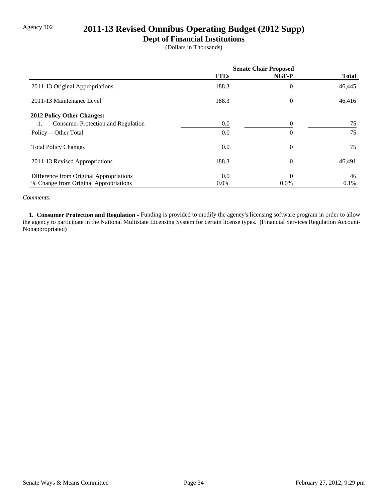# Agency 102 **2011-13 Revised Omnibus Operating Budget (2012 Supp)**

## **Dept of Financial Institutions**

(Dollars in Thousands)

|                                                 | <b>Senate Chair Proposed</b> |                |              |
|-------------------------------------------------|------------------------------|----------------|--------------|
|                                                 | <b>FTEs</b>                  | NGF-P          | <b>Total</b> |
| 2011-13 Original Appropriations                 | 188.3                        | $\overline{0}$ | 46,445       |
| 2011-13 Maintenance Level                       | 188.3                        | $\theta$       | 46,416       |
| 2012 Policy Other Changes:                      |                              |                |              |
| <b>Consumer Protection and Regulation</b><br>1. | 0.0                          | $\Omega$       | 75           |
| Policy -- Other Total                           | 0.0                          | $\overline{0}$ | 75           |
| <b>Total Policy Changes</b>                     | 0.0                          | $\overline{0}$ | 75           |
| 2011-13 Revised Appropriations                  | 188.3                        | $\theta$       | 46,491       |
| Difference from Original Appropriations         | 0.0                          | $\theta$       | 46           |
| % Change from Original Appropriations           | $0.0\%$                      | $0.0\%$        | 0.1%         |

#### *Comments:*

1. Consumer Protection and Regulation - Funding is provided to modify the agency's licensing software program in order to allow the agency to participate in the National Multistate Licensing System for certain license types. (Financial Services Regulation Account-Nonappropriated)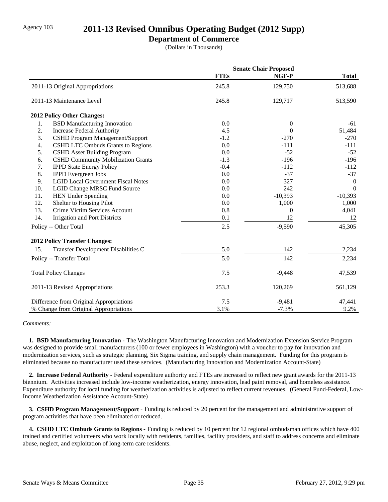## Agency 103 **2011-13 Revised Omnibus Operating Budget (2012 Supp)**

### **Department of Commerce**

(Dollars in Thousands)

|                                                 | <b>Senate Chair Proposed</b> |           |                |
|-------------------------------------------------|------------------------------|-----------|----------------|
|                                                 | <b>FTEs</b>                  | NGF-P     | <b>Total</b>   |
| 2011-13 Original Appropriations                 | 245.8                        | 129,750   | 513,688        |
| 2011-13 Maintenance Level                       | 245.8                        | 129,717   | 513,590        |
| 2012 Policy Other Changes:                      |                              |           |                |
| <b>BSD Manufacturing Innovation</b><br>1.       | 0.0                          | $\theta$  | $-61$          |
| 2.<br><b>Increase Federal Authority</b>         | 4.5                          | 0         | 51,484         |
| 3.<br>CSHD Program Management/Support           | $-1.2$                       | $-270$    | $-270$         |
| <b>CSHD LTC Ombuds Grants to Regions</b><br>4.  | 0.0                          | $-111$    | $-111$         |
| 5.<br><b>CSHD Asset Building Program</b>        | 0.0                          | $-52$     | $-52$          |
| 6.<br><b>CSHD Community Mobilization Grants</b> | $-1.3$                       | $-196$    | $-196$         |
| 7.<br><b>IPPD State Energy Policy</b>           | $-0.4$                       | $-112$    | $-112$         |
| 8.<br><b>IPPD</b> Evergreen Jobs                | 0.0                          | $-37$     | $-37$          |
| <b>LGID Local Government Fiscal Notes</b><br>9. | 0.0                          | 327       | $\overline{0}$ |
| 10.<br><b>LGID Change MRSC Fund Source</b>      | 0.0                          | 242       | $\Omega$       |
| 11.<br><b>HEN Under Spending</b>                | 0.0                          | $-10,393$ | $-10,393$      |
| 12.<br>Shelter to Housing Pilot                 | 0.0                          | 1,000     | 1,000          |
| 13.<br>Crime Victim Services Account            | 0.8                          | $\theta$  | 4,041          |
| 14.<br><b>Irrigation and Port Districts</b>     | 0.1                          | 12        | 12             |
| Policy -- Other Total                           | 2.5                          | $-9,590$  | 45,305         |
| <b>2012 Policy Transfer Changes:</b>            |                              |           |                |
| Transfer Development Disabilities C<br>15.      | 5.0                          | 142       | 2,234          |
| Policy -- Transfer Total                        | 5.0                          | 142       | 2,234          |
| <b>Total Policy Changes</b>                     | 7.5                          | $-9,448$  | 47,539         |
| 2011-13 Revised Appropriations                  | 253.3                        | 120,269   | 561,129        |
| Difference from Original Appropriations         | 7.5                          | $-9,481$  | 47,441         |
| % Change from Original Appropriations           | 3.1%                         | $-7.3%$   | 9.2%           |

### *Comments:*

 **1. BSD Manufacturing Innovation -** The Washington Manufacturing Innovation and Modernization Extension Service Program was designed to provide small manufacturers (100 or fewer employees in Washington) with a voucher to pay for innovation and modernization services, such as strategic planning, Six Sigma training, and supply chain management. Funding for this program is eliminated because no manufacturer used these services. (Manufacturing Innovation and Modernization Account-State)

 **2. Increase Federal Authority -** Federal expenditure authority and FTEs are increased to reflect new grant awards for the 2011-13 biennium. Activities increased include low-income weatherization, energy innovation, lead paint removal, and homeless assistance. Expenditure authority for local funding for weatherization activities is adjusted to reflect current revenues. (General Fund-Federal, Low-Income Weatherization Assistance Account-State)

 **3. CSHD Program Management/Support -** Funding is reduced by 20 percent for the management and administrative support of program activities that have been eliminated or reduced.

 **4. CSHD LTC Ombuds Grants to Regions -** Funding is reduced by 10 percent for 12 regional ombudsman offices which have 400 trained and certified volunteers who work locally with residents, families, facility providers, and staff to address concerns and eliminate abuse, neglect, and exploitation of long-term care residents.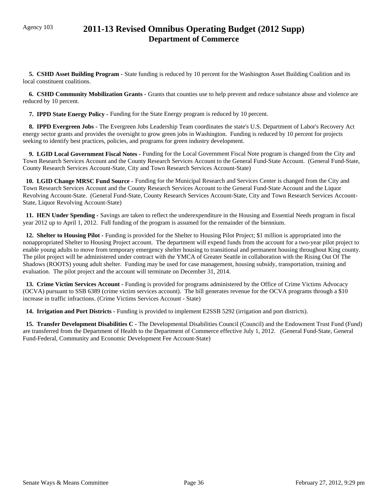# Agency 103 **2011-13 Revised Omnibus Operating Budget (2012 Supp) Department of Commerce**

 **5. CSHD Asset Building Program -** State funding is reduced by 10 percent for the Washington Asset Building Coalition and its local constituent coalitions.

 **6. CSHD Community Mobilization Grants -** Grants that counties use to help prevent and reduce substance abuse and violence are reduced by 10 percent.

**7. IPPD State Energy Policy - Funding for the State Energy program is reduced by 10 percent.** 

 **8. IPPD Evergreen Jobs -** The Evergreen Jobs Leadership Team coordinates the state's U.S. Department of Labor's Recovery Act energy sector grants and provides the oversight to grow green jobs in Washington. Funding is reduced by 10 percent for projects seeking to identify best practices, policies, and programs for green industry development.

 **9. LGID Local Government Fiscal Notes -** Funding for the Local Government Fiscal Note program is changed from the City and Town Research Services Account and the County Research Services Account to the General Fund-State Account. (General Fund-State, County Research Services Account-State, City and Town Research Services Account-State)

 **10. LGID Change MRSC Fund Source -** Funding for the Municipal Research and Services Center is changed from the City and Town Research Services Account and the County Research Services Account to the General Fund-State Account and the Liquor Revolving Account-State. (General Fund-State, County Research Services Account-State, City and Town Research Services Account-State, Liquor Revolving Account-State)

 **11. HEN Under Spending -** Savings are taken to reflect the underexpenditure in the Housing and Essential Needs program in fiscal year 2012 up to April 1, 2012. Full funding of the program is assumed for the remainder of the biennium.

 **12. Shelter to Housing Pilot -** Funding is provided for the Shelter to Housing Pilot Project; \$1 million is appropriated into the nonappropriated Shelter to Housing Project account. The department will expend funds from the account for a two-year pilot project to enable young adults to move from temporary emergency shelter housing to transitional and permanent housing throughout King county. The pilot project will be administered under contract with the YMCA of Greater Seattle in collaboration with the Rising Out Of The Shadows (ROOTS) young adult shelter. Funding may be used for case management, housing subsidy, transportation, training and evaluation. The pilot project and the account will terminate on December 31, 2014.

 **13. Crime Victim Services Account -** Funding is provided for programs administered by the Office of Crime Victims Advocacy (OCVA) pursuant to SSB 6389 (crime victim services account). The bill generates revenue for the OCVA programs through a \$10 increase in traffic infractions. (Crime Victims Services Account - State)

 **14. Irrigation and Port Districts -** Funding is provided to implement E2SSB 5292 (irrigation and port districts).

**15. Transfer Development Disabilities C** - The Developmental Disabilities Council (Council) and the Endowment Trust Fund (Fund) are transferred from the Department of Health to the Department of Commerce effective July 1, 2012. (General Fund-State, General Fund-Federal, Community and Economic Development Fee Account-State)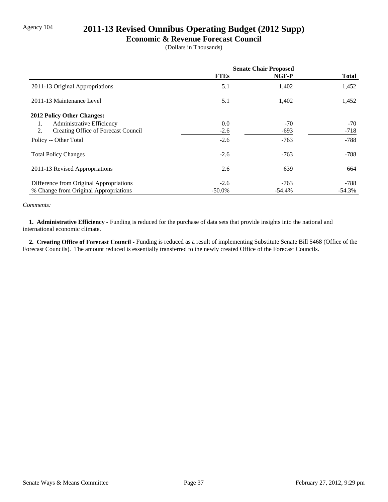# Agency 104 **2011-13 Revised Omnibus Operating Budget (2012 Supp)**

### **Economic & Revenue Forecast Council**

(Dollars in Thousands)

|                                           | <b>Senate Chair Proposed</b> |        |              |
|-------------------------------------------|------------------------------|--------|--------------|
|                                           | <b>FTEs</b>                  | NGF-P  | <b>Total</b> |
| 2011-13 Original Appropriations           | 5.1                          | 1,402  | 1,452        |
| 2011-13 Maintenance Level                 | 5.1                          | 1,402  | 1,452        |
| 2012 Policy Other Changes:                |                              |        |              |
| Administrative Efficiency<br>1.           | 0.0                          | $-70$  | $-70$        |
| 2.<br>Creating Office of Forecast Council | $-2.6$                       | $-693$ | $-718$       |
| Policy -- Other Total                     | $-2.6$                       | $-763$ | $-788$       |
| <b>Total Policy Changes</b>               | $-2.6$                       | $-763$ | $-788$       |
| 2011-13 Revised Appropriations            | 2.6                          | 639    | 664          |
| Difference from Original Appropriations   | $-2.6$                       | $-763$ | -788         |
| % Change from Original Appropriations     | $-50.0\%$                    | -54.4% | $-54.3%$     |

#### *Comments:*

**1. Administrative Efficiency - Funding is reduced for the purchase of data sets that provide insights into the national and** international economic climate.

 **2. Creating Office of Forecast Council -** Funding is reduced as a result of implementing Substitute Senate Bill 5468 (Office of the Forecast Councils). The amount reduced is essentially transferred to the newly created Office of the Forecast Councils.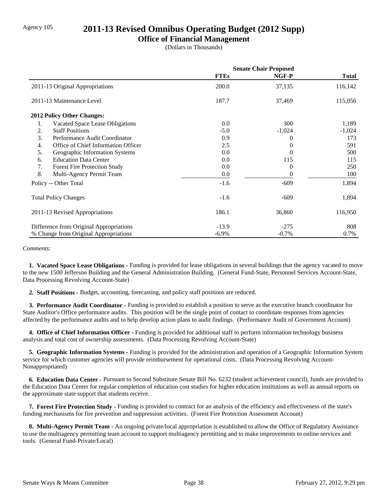## Agency 105 **2011-13 Revised Omnibus Operating Budget (2012 Supp)**

### **Office of Financial Management**

(Dollars in Thousands)

|                                           | <b>Senate Chair Proposed</b> |          |              |
|-------------------------------------------|------------------------------|----------|--------------|
|                                           | <b>FTEs</b>                  | NGF-P    | <b>Total</b> |
| 2011-13 Original Appropriations           | 200.0                        | 37,135   | 116,142      |
| 2011-13 Maintenance Level                 | 187.7                        | 37,469   | 115,056      |
| 2012 Policy Other Changes:                |                              |          |              |
| 1.<br>Vacated Space Lease Obligations     | 0.0                          | 300      | 1,189        |
| 2.<br><b>Staff Positions</b>              | $-5.0$                       | $-1,024$ | $-1,024$     |
| 3.<br>Performance Audit Coordinator       | 0.9                          | $\theta$ | 173          |
| Office of Chief Information Officer<br>4. | 2.5                          | $\theta$ | 591          |
| 5.<br>Geographic Information Systems      | 0.0                          | $\theta$ | 500          |
| <b>Education Data Center</b><br>6.        | 0.0                          | 115      | 115          |
| 7.<br><b>Forest Fire Protection Study</b> | 0.0                          | 0        | 250          |
| 8.<br>Multi-Agency Permit Team            | 0.0                          | $\Omega$ | 100          |
| Policy -- Other Total                     | $-1.6$                       | $-609$   | 1,894        |
| <b>Total Policy Changes</b>               | $-1.6$                       | $-609$   | 1,894        |
| 2011-13 Revised Appropriations            | 186.1                        | 36,860   | 116,950      |
| Difference from Original Appropriations   | $-13.9$                      | $-275$   | 808          |
| % Change from Original Appropriations     | $-6.9\%$                     | $-0.7%$  | 0.7%         |

#### *Comments:*

 **1. Vacated Space Lease Obligations -** Funding is provided for lease obligations in several buildings that the agency vacated to move to the new 1500 Jefferson Building and the General Administration Building. (General Fund-State, Personnel Services Account-State, Data Processing Revolving Account-State)

 **2. Staff Positions -** Budget, accounting, forecasting, and policy staff positions are reduced.

 **3. Performance Audit Coordinator -** Funding is provided to establish a position to serve as the executive branch coordinator for State Auditor's Office performance audits. This position will be the single point of contact to coordinate responses from agencies affected by the performance audits and to help develop action plans to audit findings. (Performance Audit of Government Account)

 **4. Office of Chief Information Officer -** Funding is provided for additional staff to perform information technology business analysis and total cost of ownership assessments. (Data Processing Revolving Account-State)

 **5. Geographic Information Systems -** Funding is provided for the administration and operation of a Geographic Information System service for which customer agencies will provide reimbursement for operational costs. (Data Processing Revolving Account-Nonappropriated)

 **6. Education Data Center -** Pursuant to Second Substitute Senate Bill No. 6232 (student achievement council), funds are provided to the Education Data Center for regular completion of education cost studies for higher education institutions as well as annual reports on the approximate state support that students receive.

 **7. Forest Fire Protection Study -** Funding is provided to contract for an analysis of the efficiency and effectiveness of the state's funding mechanisms for fire prevention and suppression activities. (Forest Fire Protection Assessment Account)

 **8. Multi-Agency Permit Team -** An ongoing private/local appropriation is established to allow the Office of Regulatory Assistance to use the multiagency permitting team account to support multiagency permitting and to make improvements to online services and tools. (General Fund-Private/Local)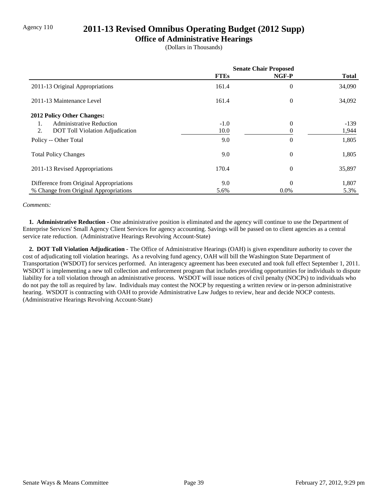## Agency 110 **2011-13 Revised Omnibus Operating Budget (2012 Supp)**

### **Office of Administrative Hearings**

(Dollars in Thousands)

|                                              | <b>Senate Chair Proposed</b> |                |              |
|----------------------------------------------|------------------------------|----------------|--------------|
|                                              | <b>FTEs</b>                  | NGF-P          | <b>Total</b> |
| 2011-13 Original Appropriations              | 161.4                        | 0              | 34,090       |
| 2011-13 Maintenance Level                    | 161.4                        | $\theta$       | 34,092       |
| 2012 Policy Other Changes:                   |                              |                |              |
| <b>Administrative Reduction</b><br>1.        | $-1.0$                       | $\theta$       | $-139$       |
| 2.<br><b>DOT</b> Toll Violation Adjudication | 10.0                         |                | 1,944        |
| Policy -- Other Total                        | 9.0                          | $\overline{0}$ | 1,805        |
| <b>Total Policy Changes</b>                  | 9.0                          | $\overline{0}$ | 1,805        |
| 2011-13 Revised Appropriations               | 170.4                        | $\theta$       | 35,897       |
| Difference from Original Appropriations      | 9.0                          | $\Omega$       | 1,807        |
| % Change from Original Appropriations        | 5.6%                         | $0.0\%$        | 5.3%         |

#### *Comments:*

 **1. Administrative Reduction -** One administrative position is eliminated and the agency will continue to use the Department of Enterprise Services' Small Agency Client Services for agency accounting. Savings will be passed on to client agencies as a central service rate reduction. (Administrative Hearings Revolving Account-State)

 **2. DOT Toll Violation Adjudication -** The Office of Administrative Hearings (OAH) is given expenditure authority to cover the cost of adjudicating toll violation hearings. As a revolving fund agency, OAH will bill the Washington State Department of Transportation (WSDOT) for services performed. An interagency agreement has been executed and took full effect September 1, 2011. WSDOT is implementing a new toll collection and enforcement program that includes providing opportunities for individuals to dispute liability for a toll violation through an administrative process. WSDOT will issue notices of civil penalty (NOCPs) to individuals who do not pay the toll as required by law. Individuals may contest the NOCP by requesting a written review or in-person administrative hearing. WSDOT is contracting with OAH to provide Administrative Law Judges to review, hear and decide NOCP contests. (Administrative Hearings Revolving Account-State)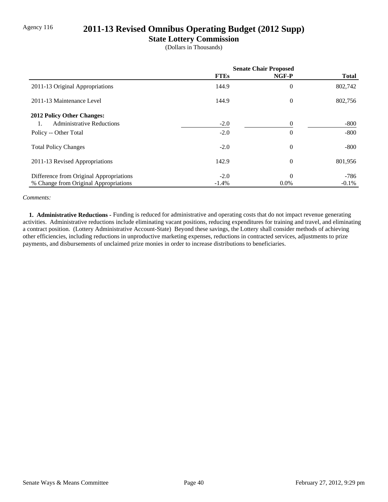# Agency 116 **2011-13 Revised Omnibus Operating Budget (2012 Supp)**

### **State Lottery Commission**

(Dollars in Thousands)

|                                         | <b>Senate Chair Proposed</b> |                |              |
|-----------------------------------------|------------------------------|----------------|--------------|
|                                         | <b>FTEs</b>                  | NGF-P          | <b>Total</b> |
| 2011-13 Original Appropriations         | 144.9                        | $\overline{0}$ | 802,742      |
| 2011-13 Maintenance Level               | 144.9                        | $\theta$       | 802,756      |
| <b>2012 Policy Other Changes:</b>       |                              |                |              |
| <b>Administrative Reductions</b>        | $-2.0$                       | $\Omega$       | $-800$       |
| Policy -- Other Total                   | $-2.0$                       | $\theta$       | $-800$       |
| <b>Total Policy Changes</b>             | $-2.0$                       | $\overline{0}$ | $-800$       |
| 2011-13 Revised Appropriations          | 142.9                        | $\theta$       | 801,956      |
| Difference from Original Appropriations | $-2.0$                       | $\theta$       | -786         |
| % Change from Original Appropriations   | $-1.4\%$                     | $0.0\%$        | $-0.1\%$     |

#### *Comments:*

 **1. Administrative Reductions -** Funding is reduced for administrative and operating costs that do not impact revenue generating activities. Administrative reductions include eliminating vacant positions, reducing expenditures for training and travel, and eliminating a contract position. (Lottery Administrative Account-State) Beyond these savings, the Lottery shall consider methods of achieving other efficiencies, including reductions in unproductive marketing expenses, reductions in contracted services, adjustments to prize payments, and disbursements of unclaimed prize monies in order to increase distributions to beneficiaries.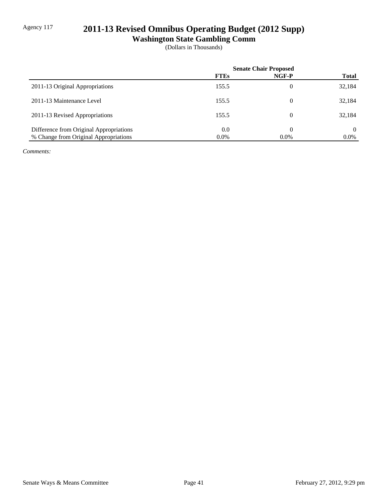# Agency 117 **2011-13 Revised Omnibus Operating Budget (2012 Supp)**

**Washington State Gambling Comm**

(Dollars in Thousands)

|                                         | <b>Senate Chair Proposed</b> |          |              |
|-----------------------------------------|------------------------------|----------|--------------|
|                                         | <b>FTEs</b>                  | NGF-P    | <b>Total</b> |
| 2011-13 Original Appropriations         | 155.5                        | 0        | 32,184       |
| 2011-13 Maintenance Level               | 155.5                        | $\theta$ | 32,184       |
| 2011-13 Revised Appropriations          | 155.5                        | $\theta$ | 32,184       |
| Difference from Original Appropriations | 0.0                          | 0        | $\Omega$     |
| % Change from Original Appropriations   | $0.0\%$                      | $0.0\%$  | $0.0\%$      |

*Comments:*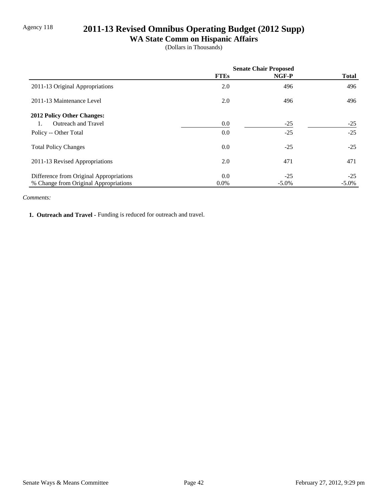# Agency 118 **2011-13 Revised Omnibus Operating Budget (2012 Supp)**

# **WA State Comm on Hispanic Affairs**

(Dollars in Thousands)

|                                         | <b>Senate Chair Proposed</b> |          |              |
|-----------------------------------------|------------------------------|----------|--------------|
|                                         | <b>FTEs</b>                  | NGF-P    | <b>Total</b> |
| 2011-13 Original Appropriations         | 2.0                          | 496      | 496          |
| 2011-13 Maintenance Level               | 2.0                          | 496      | 496          |
| <b>2012 Policy Other Changes:</b>       |                              |          |              |
| <b>Outreach and Travel</b>              | 0.0                          | $-25$    | $-25$        |
| Policy -- Other Total                   | 0.0                          | $-25$    | $-25$        |
| <b>Total Policy Changes</b>             | 0.0                          | $-25$    | $-25$        |
| 2011-13 Revised Appropriations          | 2.0                          | 471      | 471          |
| Difference from Original Appropriations | 0.0                          | $-25$    | $-25$        |
| % Change from Original Appropriations   | $0.0\%$                      | $-5.0\%$ | $-5.0\%$     |

#### *Comments:*

1. Outreach and Travel - Funding is reduced for outreach and travel.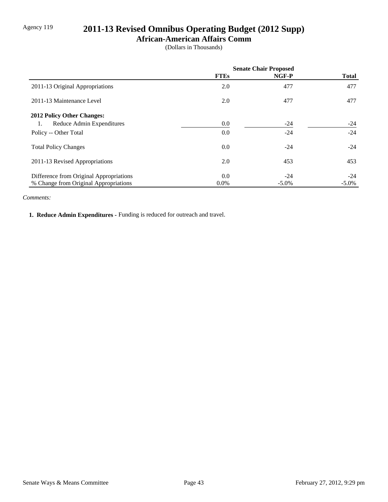# Agency 119 **2011-13 Revised Omnibus Operating Budget (2012 Supp)**

### **African-American Affairs Comm**

(Dollars in Thousands)

|                                         | <b>Senate Chair Proposed</b> |          |              |
|-----------------------------------------|------------------------------|----------|--------------|
|                                         | <b>FTEs</b>                  | NGF-P    | <b>Total</b> |
| 2011-13 Original Appropriations         | 2.0                          | 477      | 477          |
| 2011-13 Maintenance Level               | 2.0                          | 477      | 477          |
| <b>2012 Policy Other Changes:</b>       |                              |          |              |
| Reduce Admin Expenditures<br>1.         | 0.0                          | $-24$    | $-24$        |
| Policy -- Other Total                   | 0.0                          | $-24$    | $-24$        |
| <b>Total Policy Changes</b>             | 0.0                          | $-24$    | $-24$        |
| 2011-13 Revised Appropriations          | 2.0                          | 453      | 453          |
| Difference from Original Appropriations | 0.0                          | $-24$    | $-24$        |
| % Change from Original Appropriations   | $0.0\%$                      | $-5.0\%$ | $-5.0\%$     |

#### *Comments:*

 **1. Reduce Admin Expenditures -** Funding is reduced for outreach and travel.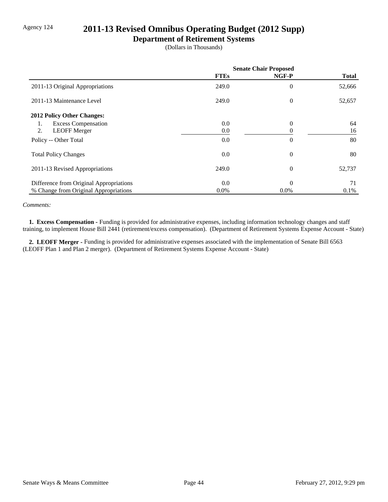# Agency 124 **2011-13 Revised Omnibus Operating Budget (2012 Supp)**

### **Department of Retirement Systems**

(Dollars in Thousands)

|                                         | <b>Senate Chair Proposed</b> |                |              |
|-----------------------------------------|------------------------------|----------------|--------------|
|                                         | <b>FTEs</b>                  | NGF-P          | <b>Total</b> |
| 2011-13 Original Appropriations         | 249.0                        | 0              | 52,666       |
| 2011-13 Maintenance Level               | 249.0                        | $\theta$       | 52,657       |
| 2012 Policy Other Changes:              |                              |                |              |
| <b>Excess Compensation</b><br>1.        | 0.0                          | $\Omega$       | 64           |
| 2.<br><b>LEOFF Merger</b>               | 0.0                          |                | 16           |
| Policy -- Other Total                   | 0.0                          | $\overline{0}$ | 80           |
| <b>Total Policy Changes</b>             | 0.0                          | $\theta$       | 80           |
| 2011-13 Revised Appropriations          | 249.0                        | $\theta$       | 52,737       |
| Difference from Original Appropriations | 0.0                          | $\Omega$       | 71           |
| % Change from Original Appropriations   | $0.0\%$                      | $0.0\%$        | $0.1\%$      |

#### *Comments:*

 **1. Excess Compensation -** Funding is provided for administrative expenses, including information technology changes and staff training, to implement House Bill 2441 (retirement/excess compensation). (Department of Retirement Systems Expense Account - State)

 **2. LEOFF Merger -** Funding is provided for administrative expenses associated with the implementation of Senate Bill 6563 (LEOFF Plan 1 and Plan 2 merger). (Department of Retirement Systems Expense Account - State)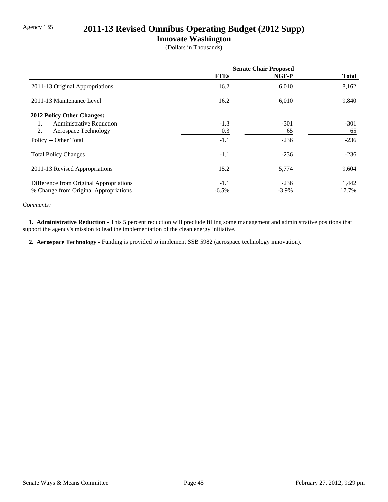# Agency 135 **2011-13 Revised Omnibus Operating Budget (2012 Supp)**

### **Innovate Washington**

(Dollars in Thousands)

|                                         | <b>Senate Chair Proposed</b> |          |              |
|-----------------------------------------|------------------------------|----------|--------------|
|                                         | <b>FTEs</b>                  | NGF-P    | <b>Total</b> |
| 2011-13 Original Appropriations         | 16.2                         | 6,010    | 8,162        |
| 2011-13 Maintenance Level               | 16.2                         | 6,010    | 9,840        |
| <b>2012 Policy Other Changes:</b>       |                              |          |              |
| <b>Administrative Reduction</b><br>1.   | $-1.3$                       | $-301$   | $-301$       |
| 2.<br>Aerospace Technology              | 0.3                          | 65       | 65           |
| Policy -- Other Total                   | $-1.1$                       | $-236$   | $-236$       |
| <b>Total Policy Changes</b>             | $-1.1$                       | $-236$   | $-236$       |
| 2011-13 Revised Appropriations          | 15.2                         | 5,774    | 9,604        |
| Difference from Original Appropriations | $-1.1$                       | $-236$   | 1,442        |
| % Change from Original Appropriations   | $-6.5\%$                     | $-3.9\%$ | 17.7%        |

#### *Comments:*

 **1. Administrative Reduction -** This 5 percent reduction will preclude filling some management and administrative positions that support the agency's mission to lead the implementation of the clean energy initiative.

 **2. Aerospace Technology -** Funding is provided to implement SSB 5982 (aerospace technology innovation).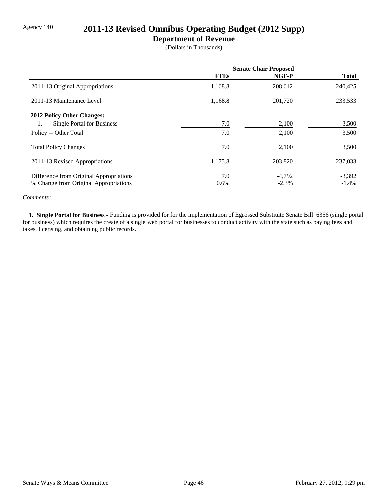# Agency 140 **2011-13 Revised Omnibus Operating Budget (2012 Supp)**

### **Department of Revenue**

(Dollars in Thousands)

|                                         | <b>Senate Chair Proposed</b> |          |              |
|-----------------------------------------|------------------------------|----------|--------------|
|                                         | <b>FTEs</b>                  | NGF-P    | <b>Total</b> |
| 2011-13 Original Appropriations         | 1,168.8                      | 208,612  | 240,425      |
| 2011-13 Maintenance Level               | 1,168.8                      | 201,720  | 233,533      |
| 2012 Policy Other Changes:              |                              |          |              |
| <b>Single Portal for Business</b><br>1. | 7.0                          | 2,100    | 3,500        |
| Policy -- Other Total                   | 7.0                          | 2,100    | 3,500        |
| <b>Total Policy Changes</b>             | 7.0                          | 2,100    | 3,500        |
| 2011-13 Revised Appropriations          | 1,175.8                      | 203,820  | 237,033      |
| Difference from Original Appropriations | 7.0                          | $-4,792$ | $-3,392$     |
| % Change from Original Appropriations   | $0.6\%$                      | $-2.3%$  | $-1.4%$      |

#### *Comments:*

 **1. Single Portal for Business -** Funding is provided for for the implementation of Egrossed Substitute Senate Bill 6356 (single portal for business) which requires the create of a single web portal for businesses to conduct activity with the state such as paying fees and taxes, licensing, and obtaining public records.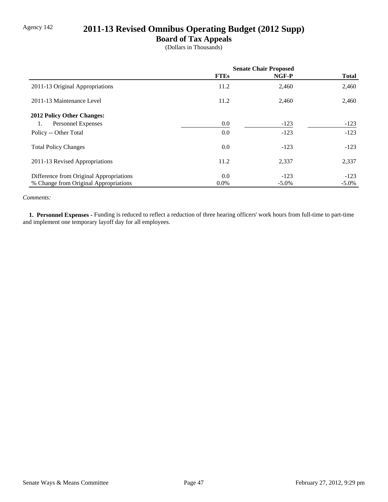# Agency 142 **2011-13 Revised Omnibus Operating Budget (2012 Supp)**

### **Board of Tax Appeals**

(Dollars in Thousands)

|                                         | <b>Senate Chair Proposed</b> |          |              |
|-----------------------------------------|------------------------------|----------|--------------|
|                                         | <b>FTEs</b>                  | NGF-P    | <b>Total</b> |
| 2011-13 Original Appropriations         | 11.2                         | 2,460    | 2,460        |
| 2011-13 Maintenance Level               | 11.2                         | 2,460    | 2,460        |
| 2012 Policy Other Changes:              |                              |          |              |
| Personnel Expenses<br>1.                | 0.0                          | $-123$   | $-123$       |
| Policy -- Other Total                   | 0.0                          | $-123$   | $-123$       |
| <b>Total Policy Changes</b>             | 0.0                          | $-123$   | $-123$       |
| 2011-13 Revised Appropriations          | 11.2                         | 2,337    | 2,337        |
| Difference from Original Appropriations | 0.0                          | $-123$   | $-123$       |
| % Change from Original Appropriations   | $0.0\%$                      | $-5.0\%$ | $-5.0\%$     |

### *Comments:*

 **1. Personnel Expenses -** Funding is reduced to reflect a reduction of three hearing officers' work hours from full-time to part-time and implement one temporary layoff day for all employees.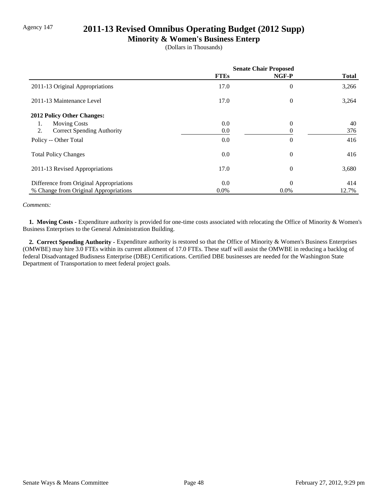# Agency 147 **2011-13 Revised Omnibus Operating Budget (2012 Supp)**

### **Minority & Women's Business Enterp**

(Dollars in Thousands)

|                                         | <b>Senate Chair Proposed</b> |                |              |
|-----------------------------------------|------------------------------|----------------|--------------|
|                                         | <b>FTEs</b>                  | NGF-P          | <b>Total</b> |
| 2011-13 Original Appropriations         | 17.0                         | $\overline{0}$ | 3,266        |
| 2011-13 Maintenance Level               | 17.0                         | $\theta$       | 3,264        |
| 2012 Policy Other Changes:              |                              |                |              |
| <b>Moving Costs</b><br>1.               | 0.0                          | $\theta$       | 40           |
| 2.<br><b>Correct Spending Authority</b> | 0.0                          | 0              | 376          |
| Policy -- Other Total                   | 0.0                          | $\overline{0}$ | 416          |
| <b>Total Policy Changes</b>             | 0.0                          | $\theta$       | 416          |
| 2011-13 Revised Appropriations          | 17.0                         | $\overline{0}$ | 3,680        |
| Difference from Original Appropriations | 0.0                          | $\theta$       | 414          |
| % Change from Original Appropriations   | $0.0\%$                      | $0.0\%$        | 12.7%        |

#### *Comments:*

 **1. Moving Costs -** Expenditure authority is provided for one-time costs associated with relocating the Office of Minority & Women's Business Enterprises to the General Administration Building.

 **2. Correct Spending Authority -** Expenditure authority is restored so that the Office of Minority & Women's Business Enterprises (OMWBE) may hire 3.0 FTEs within its current allotment of 17.0 FTEs. These staff will assist the OMWBE in reducing a backlog of federal Disadvantaged Budisness Enterprise (DBE) Certifications. Certified DBE businesses are needed for the Washington State Department of Transportation to meet federal project goals.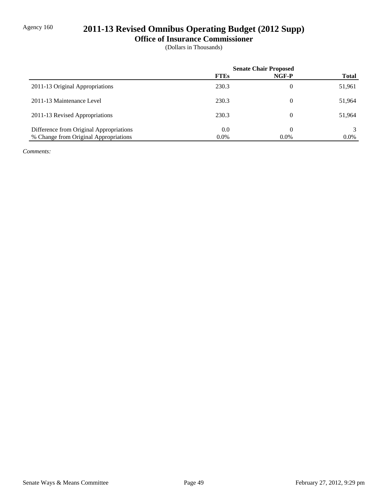# Agency 160 **2011-13 Revised Omnibus Operating Budget (2012 Supp)**

### **Office of Insurance Commissioner**

(Dollars in Thousands)

|                                         | <b>Senate Chair Proposed</b> |                |              |
|-----------------------------------------|------------------------------|----------------|--------------|
|                                         | <b>FTEs</b>                  | NGF-P          | <b>Total</b> |
| 2011-13 Original Appropriations         | 230.3                        | 0              | 51,961       |
| 2011-13 Maintenance Level               | 230.3                        | $\overline{0}$ | 51,964       |
| 2011-13 Revised Appropriations          | 230.3                        | $\theta$       | 51,964       |
| Difference from Original Appropriations | 0.0                          |                |              |
| % Change from Original Appropriations   | $0.0\%$                      | $0.0\%$        | $0.0\%$      |

*Comments:*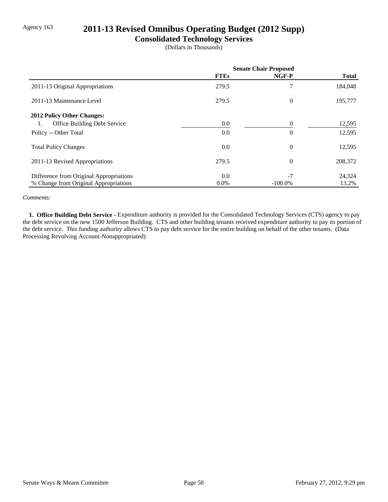# Agency 163 **2011-13 Revised Omnibus Operating Budget (2012 Supp)**

### **Consolidated Technology Services**

(Dollars in Thousands)

|                                         | <b>Senate Chair Proposed</b> |            |              |
|-----------------------------------------|------------------------------|------------|--------------|
|                                         | <b>FTEs</b>                  | NGF-P      | <b>Total</b> |
| 2011-13 Original Appropriations         | 279.5                        |            | 184,048      |
| 2011-13 Maintenance Level               | 279.5                        | $\theta$   | 195,777      |
| 2012 Policy Other Changes:              |                              |            |              |
| Office Building Debt Service<br>1.      | 0.0                          | 0          | 12,595       |
| Policy -- Other Total                   | 0.0                          | $\Omega$   | 12,595       |
| <b>Total Policy Changes</b>             | 0.0                          | $\theta$   | 12,595       |
| 2011-13 Revised Appropriations          | 279.5                        | $\theta$   | 208,372      |
| Difference from Original Appropriations | 0.0                          | $-7$       | 24,324       |
| % Change from Original Appropriations   | $0.0\%$                      | $-100.0\%$ | 13.2%        |

#### *Comments:*

 **1. Office Building Debt Service -** Expenditure authority is provided for the Consolidated Technology Services (CTS) agency to pay the debt service on the new 1500 Jefferson Building. CTS and other building tenants received expenditure authority to pay its portion of the debt service. This funding authority allows CTS to pay debt service for the entire building on behalf of the other tenants. (Data Processing Revolving Account-Nonappropriated)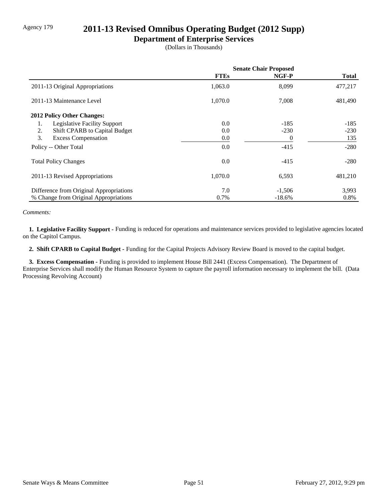# Agency 179 **2011-13 Revised Omnibus Operating Budget (2012 Supp)**

### **Department of Enterprise Services**

(Dollars in Thousands)

|                                         | <b>Senate Chair Proposed</b> |           |              |
|-----------------------------------------|------------------------------|-----------|--------------|
|                                         | <b>FTEs</b>                  | NGF-P     | <b>Total</b> |
| 2011-13 Original Appropriations         | 1,063.0                      | 8,099     | 477,217      |
| 2011-13 Maintenance Level               | 1,070.0                      | 7,008     | 481,490      |
| 2012 Policy Other Changes:              |                              |           |              |
| Legislative Facility Support<br>1.      | 0.0                          | $-185$    | $-185$       |
| Shift CPARB to Capital Budget<br>2.     | 0.0                          | $-230$    | $-230$       |
| 3.<br><b>Excess Compensation</b>        | 0.0                          | $\theta$  | 135          |
| Policy -- Other Total                   | 0.0                          | $-415$    | $-280$       |
| <b>Total Policy Changes</b>             | 0.0                          | $-415$    | $-280$       |
| 2011-13 Revised Appropriations          | 1,070.0                      | 6,593     | 481,210      |
| Difference from Original Appropriations | 7.0                          | $-1,506$  | 3,993        |
| % Change from Original Appropriations   | 0.7%                         | $-18.6\%$ | 0.8%         |

#### *Comments:*

 **1. Legislative Facility Support -** Funding is reduced for operations and maintenance services provided to legislative agencies located on the Capitol Campus.

 **2. Shift CPARB to Capital Budget -** Funding for the Capital Projects Advisory Review Board is moved to the capital budget.

 **3. Excess Compensation -** Funding is provided to implement House Bill 2441 (Excess Compensation). The Department of Enterprise Services shall modify the Human Resource System to capture the payroll information necessary to implement the bill. (Data Processing Revolving Account)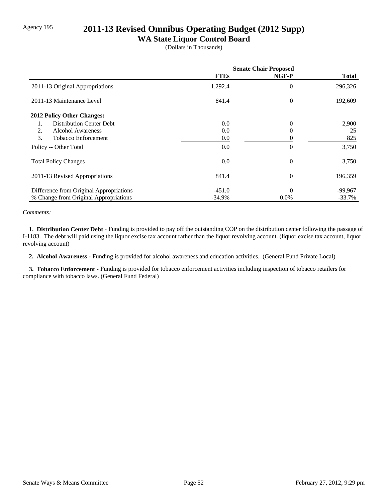# Agency 195 **2011-13 Revised Omnibus Operating Budget (2012 Supp)**

## **WA State Liquor Control Board**

(Dollars in Thousands)

|                                         | <b>Senate Chair Proposed</b> |          |              |
|-----------------------------------------|------------------------------|----------|--------------|
|                                         | <b>FTEs</b>                  | NGF-P    | <b>Total</b> |
| 2011-13 Original Appropriations         | 1,292.4                      | $\theta$ | 296,326      |
| 2011-13 Maintenance Level               | 841.4                        | $\theta$ | 192,609      |
| 2012 Policy Other Changes:              |                              |          |              |
| <b>Distribution Center Debt</b><br>1.   | 0.0                          | $\theta$ | 2,900        |
| 2.<br><b>Alcohol Awareness</b>          | 0.0                          | 0        | 25           |
| 3.<br><b>Tobacco Enforcement</b>        | 0.0                          | 0        | 825          |
| Policy -- Other Total                   | 0.0                          | $\Omega$ | 3,750        |
| <b>Total Policy Changes</b>             | 0.0                          | $\theta$ | 3,750        |
| 2011-13 Revised Appropriations          | 841.4                        | $\Omega$ | 196,359      |
| Difference from Original Appropriations | $-451.0$                     | $\Omega$ | $-99,967$    |
| % Change from Original Appropriations   | $-34.9%$                     | $0.0\%$  | $-33.7%$     |

*Comments:*

 **1. Distribution Center Debt -** Funding is provided to pay off the outstanding COP on the distribution center following the passage of I-1183. The debt will paid using the liquor excise tax account rather than the liquor revolving account. (liquor excise tax account, liquor revolving account)

 **2. Alcohol Awareness -** Funding is provided for alcohol awareness and education activities. (General Fund Private Local)

 **3. Tobacco Enforcement -** Funding is provided for tobacco enforcement activities including inspection of tobacco retailers for compliance with tobacco laws. (General Fund Federal)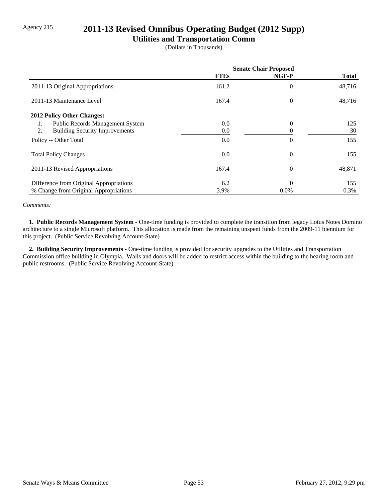# Agency 215 **2011-13 Revised Omnibus Operating Budget (2012 Supp)**

### **Utilities and Transportation Comm**

(Dollars in Thousands)

|                                             | <b>Senate Chair Proposed</b> |                |              |
|---------------------------------------------|------------------------------|----------------|--------------|
|                                             | <b>FTEs</b>                  | NGF-P          | <b>Total</b> |
| 2011-13 Original Appropriations             | 161.2                        | $\overline{0}$ | 48,716       |
| 2011-13 Maintenance Level                   | 167.4                        | $\Omega$       | 48,716       |
| <b>2012 Policy Other Changes:</b>           |                              |                |              |
| Public Records Management System<br>1.      | 0.0                          | $\Omega$       | 125          |
| 2.<br><b>Building Security Improvements</b> | 0.0                          |                | 30           |
| Policy -- Other Total                       | 0.0                          | $\theta$       | 155          |
| <b>Total Policy Changes</b>                 | 0.0                          | $\theta$       | 155          |
| 2011-13 Revised Appropriations              | 167.4                        | $\overline{0}$ | 48,871       |
| Difference from Original Appropriations     | 6.2                          | $\Omega$       | 155          |
| % Change from Original Appropriations       | 3.9%                         | $0.0\%$        | 0.3%         |

#### *Comments:*

 **1. Public Records Management System -** One-time funding is provided to complete the transition from legacy Lotus Notes Domino architecture to a single Microsoft platform. This allocation is made from the remaining unspent funds from the 2009-11 biennium for this project. (Public Service Revolving Account-State)

 **2. Building Security Improvements -** One-time funding is provided for security upgrades to the Utilities and Transportation Commission office building in Olympia. Walls and doors will be added to restrict access within the building to the hearing room and public restrooms. (Public Service Revolving Account-State)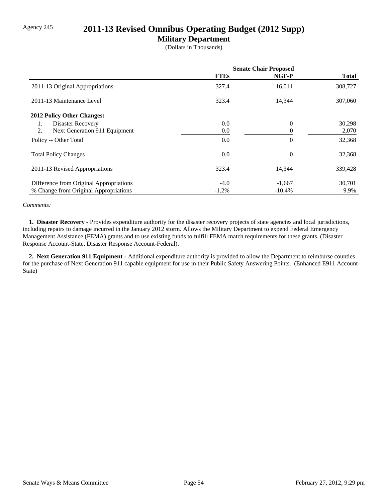## Agency 245 **2011-13 Revised Omnibus Operating Budget (2012 Supp)**

### **Military Department**

(Dollars in Thousands)

|                                         | <b>Senate Chair Proposed</b> |                |              |
|-----------------------------------------|------------------------------|----------------|--------------|
|                                         | <b>FTEs</b>                  | NGF-P          | <b>Total</b> |
| 2011-13 Original Appropriations         | 327.4                        | 16,011         | 308,727      |
| 2011-13 Maintenance Level               | 323.4                        | 14,344         | 307,060      |
| 2012 Policy Other Changes:              |                              |                |              |
| Disaster Recovery<br>1.                 | 0.0                          | $\overline{0}$ | 30,298       |
| 2.<br>Next Generation 911 Equipment     | 0.0                          | 0              | 2,070        |
| Policy -- Other Total                   | 0.0                          | $\overline{0}$ | 32,368       |
| <b>Total Policy Changes</b>             | 0.0                          | $\overline{0}$ | 32,368       |
| 2011-13 Revised Appropriations          | 323.4                        | 14,344         | 339,428      |
| Difference from Original Appropriations | $-4.0$                       | $-1,667$       | 30,701       |
| % Change from Original Appropriations   | $-1.2\%$                     | $-10.4%$       | 9.9%         |

#### *Comments:*

 **1. Disaster Recovery -** Provides expenditure authority for the disaster recovery projects of state agencies and local jurisdictions, including repairs to damage incurred in the January 2012 storm. Allows the Military Department to expend Federal Emergency Management Assistance (FEMA) grants and to use existing funds to fulfill FEMA match requirements for these grants. (Disaster Response Account-State, Disaster Response Account-Federal).

 **2. Next Generation 911 Equipment -** Additional expenditure authority is provided to allow the Department to reimburse counties for the purchase of Next Generation 911 capable equipment for use in their Public Safety Answering Points. (Enhanced E911 Account-State)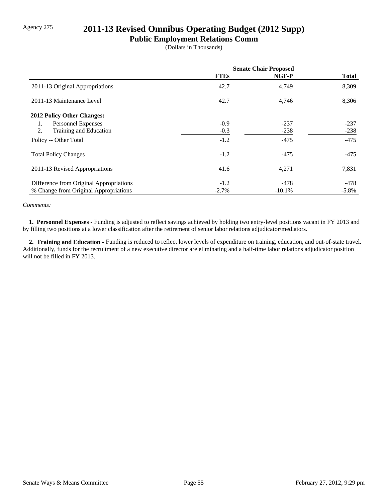# Agency 275 **2011-13 Revised Omnibus Operating Budget (2012 Supp)**

### **Public Employment Relations Comm**

(Dollars in Thousands)

|                                         | <b>Senate Chair Proposed</b> |          |              |
|-----------------------------------------|------------------------------|----------|--------------|
|                                         | <b>FTEs</b>                  | NGF-P    | <b>Total</b> |
| 2011-13 Original Appropriations         | 42.7                         | 4,749    | 8,309        |
| 2011-13 Maintenance Level               | 42.7                         | 4,746    | 8,306        |
| <b>2012 Policy Other Changes:</b>       |                              |          |              |
| Personnel Expenses<br>1.                | $-0.9$                       | $-237$   | $-237$       |
| 2.<br>Training and Education            | $-0.3$                       | $-238$   | $-238$       |
| Policy -- Other Total                   | $-1.2$                       | $-475$   | $-475$       |
| <b>Total Policy Changes</b>             | $-1.2$                       | $-475$   | -475         |
| 2011-13 Revised Appropriations          | 41.6                         | 4,271    | 7,831        |
| Difference from Original Appropriations | $-1.2$                       | $-478$   | -478         |
| % Change from Original Appropriations   | $-2.7\%$                     | $-10.1%$ | $-5.8\%$     |

#### *Comments:*

 **1. Personnel Expenses -** Funding is adjusted to reflect savings achieved by holding two entry-level positions vacant in FY 2013 and by filling two positions at a lower classification after the retirement of senior labor relations adjudicator/mediators.

 **2. Training and Education -** Funding is reduced to reflect lower levels of expenditure on training, education, and out-of-state travel. Additionally, funds for the recruitment of a new executive director are eliminating and a half-time labor relations adjudicator position will not be filled in FY 2013.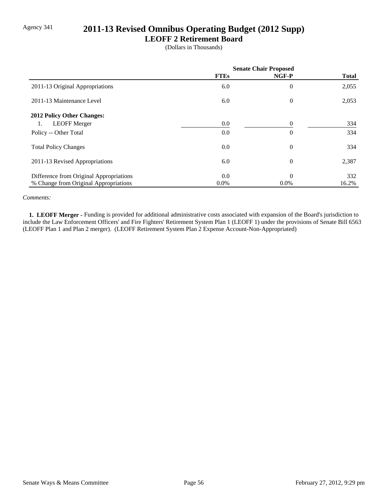# Agency 341 **2011-13 Revised Omnibus Operating Budget (2012 Supp)**

### **LEOFF 2 Retirement Board**

(Dollars in Thousands)

|                                         | <b>Senate Chair Proposed</b> |                |              |
|-----------------------------------------|------------------------------|----------------|--------------|
|                                         | <b>FTEs</b>                  | NGF-P          | <b>Total</b> |
| 2011-13 Original Appropriations         | 6.0                          | $\overline{0}$ | 2,055        |
| 2011-13 Maintenance Level               | 6.0                          | $\theta$       | 2,053        |
| 2012 Policy Other Changes:              |                              |                |              |
| <b>LEOFF Merger</b><br>1.               | 0.0                          | $\Omega$       | 334          |
| Policy -- Other Total                   | 0.0                          | $\theta$       | 334          |
| <b>Total Policy Changes</b>             | 0.0                          | $\overline{0}$ | 334          |
| 2011-13 Revised Appropriations          | 6.0                          | $\theta$       | 2,387        |
| Difference from Original Appropriations | 0.0                          | $\theta$       | 332          |
| % Change from Original Appropriations   | $0.0\%$                      | $0.0\%$        | 16.2%        |

#### *Comments:*

 **1. LEOFF Merger -** Funding is provided for additional administrative costs associated with expansion of the Board's jurisdiction to include the Law Enforcement Officers' and Fire Fighters' Retirement System Plan 1 (LEOFF 1) under the provisions of Senate Bill 6563 (LEOFF Plan 1 and Plan 2 merger). (LEOFF Retirement System Plan 2 Expense Account-Non-Appropriated)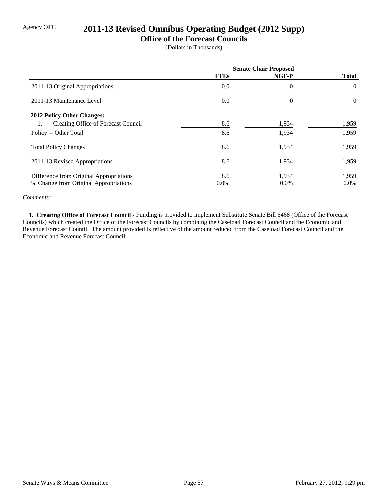# Agency OFC **2011-13 Revised Omnibus Operating Budget (2012 Supp)**

### **Office of the Forecast Councils**

(Dollars in Thousands)

|                                           | <b>Senate Chair Proposed</b> |                |              |
|-------------------------------------------|------------------------------|----------------|--------------|
|                                           | <b>FTEs</b>                  | NGF-P          | <b>Total</b> |
| 2011-13 Original Appropriations           | 0.0                          | $\overline{0}$ | $\theta$     |
| 2011-13 Maintenance Level                 | 0.0                          | $\overline{0}$ | $\Omega$     |
| <b>2012 Policy Other Changes:</b>         |                              |                |              |
| Creating Office of Forecast Council<br>1. | 8.6                          | 1,934          | 1,959        |
| Policy -- Other Total                     | 8.6                          | 1,934          | 1,959        |
| <b>Total Policy Changes</b>               | 8.6                          | 1,934          | 1,959        |
| 2011-13 Revised Appropriations            | 8.6                          | 1,934          | 1,959        |
| Difference from Original Appropriations   | 8.6                          | 1,934          | 1,959        |
| % Change from Original Appropriations     | $0.0\%$                      | $0.0\%$        | $0.0\%$      |

### *Comments:*

**1. Creating Office of Forecast Council - Funding is provided to implement Substitute Senate Bill 5468 (Office of the Forecast** Councils) which created the Office of the Forecast Councils by combining the Caseload Forecast Council and the Economic and Revenue Forecast Countil. The amount provided is reflective of the amount reduced from the Caseload Forecast Council and the Economic and Revenue Forecast Council.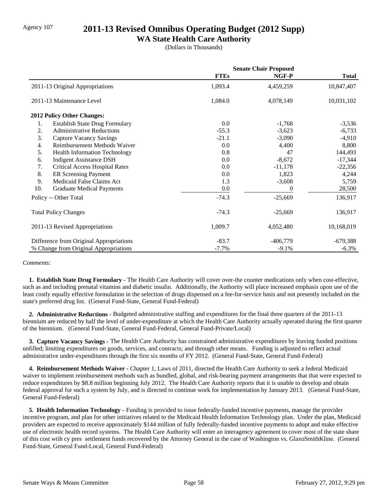## Agency 107 **2011-13 Revised Omnibus Operating Budget (2012 Supp)**

### **WA State Health Care Authority**

(Dollars in Thousands)

|     |                                         | <b>Senate Chair Proposed</b> |            |              |
|-----|-----------------------------------------|------------------------------|------------|--------------|
|     |                                         | <b>FTEs</b>                  | NGF-P      | <b>Total</b> |
|     | 2011-13 Original Appropriations         | 1,093.4                      | 4,459,259  | 10,847,407   |
|     | 2011-13 Maintenance Level               | 1,084.0                      | 4,078,149  | 10,031,102   |
|     | 2012 Policy Other Changes:              |                              |            |              |
| 1.  | <b>Establish State Drug Formulary</b>   | 0.0                          | $-1,768$   | $-3,536$     |
| 2.  | <b>Administrative Reductions</b>        | $-55.3$                      | $-3,623$   | $-6,733$     |
| 3.  | Capture Vacancy Savings                 | $-21.1$                      | $-3,090$   | $-4,910$     |
| 4.  | Reimbursement Methods Waiver            | 0.0                          | 4,400      | 8,800        |
| 5.  | <b>Health Information Technology</b>    | 0.8                          | 47         | 144,493      |
| 6.  | <b>Indigent Assistance DSH</b>          | 0.0                          | $-8,672$   | $-17,344$    |
| 7.  | <b>Critical Access Hospital Rates</b>   | 0.0                          | $-11,178$  | $-22,356$    |
| 8.  | ER Screening Payment                    | 0.0                          | 1,823      | 4,244        |
| 9.  | Medicaid False Claims Act               | 1.3                          | $-3,608$   | 5,759        |
| 10. | <b>Graduate Medical Payments</b>        | 0.0                          | 0          | 28,500       |
|     | Policy -- Other Total                   | $-74.3$                      | $-25,669$  | 136,917      |
|     | <b>Total Policy Changes</b>             | $-74.3$                      | $-25,669$  | 136,917      |
|     | 2011-13 Revised Appropriations          | 1,009.7                      | 4,052,480  | 10,168,019   |
|     | Difference from Original Appropriations | $-83.7$                      | $-406,779$ | $-679,388$   |
|     | % Change from Original Appropriations   | $-7.7%$                      | $-9.1%$    | $-6.3%$      |

#### *Comments:*

 **1. Establish State Drug Formulary -** The Health Care Authority will cover over-the counter medications only when cost-effective, such as and including prenatal vitamins and diabetic insulin. Additionally, the Authority will place increased emphasis upon use of the least costly equally effective formulation in the selection of drugs dispensed on a fee-for-service basis and not presently included on the state's preferred drug list. (General Fund-State, General Fund-Federal)

 **2. Administrative Reductions -** Budgeted administrative staffing and expenditures for the final three quarters of the 2011-13 biennium are reduced by half the level of under-expenditure at which the Health Care Authority actually operated during the first quarter of the biennium. (General Fund-State, General Fund-Federal, General Fund-Private/Local)

 **3. Capture Vacancy Savings -** The Health Care Authority has constrained administrative expenditures by leaving funded positions unfilled; limiting expenditures on goods, services, and contracts; and through other means. Funding is adjusted to reflect actual administrative under-expenditures through the first six months of FY 2012. (General Fund-State, General Fund-Federal)

 **4. Reimbursement Methods Waiver -** Chapter 1, Laws of 2011, directed the Health Care Authority to seek a federal Medicaid waiver to implement reimbursement methods such as bundled, global, and risk-bearing payment arrangements that that were expected to reduce expenditures by \$8.8 million beginning July 2012. The Health Care Authority reports that it is unable to develop and obtain federal approval for such a system by July, and is directed to continue work for implementation by January 2013. (General Fund-State, General Fund-Federal)

 **5. Health Information Technology -** Funding is provided to issue federally-funded incentive payments, manage the provider incentive program, and plan for other initiatives related to the Medicaid Health Information Technology plan. Under the plan, Medicaid providers are expected to receive approximately \$144 million of fully federally-funded incentive payments to adopt and make effective use of electronic health record systems. The Health Care Authority will enter an interagency agreement to cover most of the state share of this cost wtih cy pres settlement funds recovered by the Attorney General in the case of Washington vs. GlaxoSmithKline. (General Fund-State, General Fund-Local, General Fund-Federal)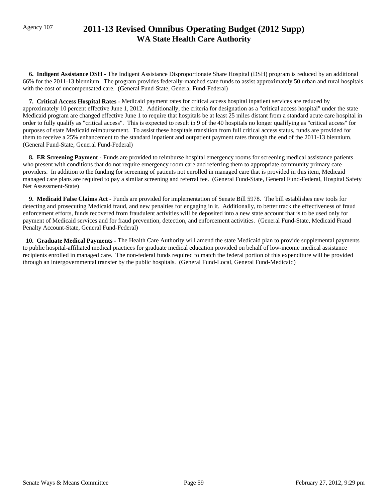# Agency 107 **2011-13 Revised Omnibus Operating Budget (2012 Supp) WA State Health Care Authority**

 **6. Indigent Assistance DSH -** The Indigent Assistance Disproportionate Share Hospital (DSH) program is reduced by an additional 66% for the 2011-13 biennium. The program provides federally-matched state funds to assist approximately 50 urban and rural hospitals with the cost of uncompensated care. (General Fund-State, General Fund-Federal)

 **7. Critical Access Hospital Rates -** Medicaid payment rates for critical access hospital inpatient services are reduced by approximately 10 percent effective June 1, 2012. Additionally, the criteria for designation as a "critical access hospital" under the state Medicaid program are changed effective June 1 to require that hospitals be at least 25 miles distant from a standard acute care hospital in order to fully qualify as "critical access". This is expected to result in 9 of the 40 hospitals no longer qualifying as "critical access" for purposes of state Medicaid reimbursement. To assist these hospitals transition from full critical access status, funds are provided for them to receive a 25% enhancement to the standard inpatient and outpatient payment rates through the end of the 2011-13 biennium. (General Fund-State, General Fund-Federal)

**8. ER Screening Payment - Funds are provided to reimburse hospital emergency rooms for screening medical assistance patients** who present with conditions that do not require emergency room care and referring them to appropriate community primary care providers. In addition to the funding for screening of patients not enrolled in managed care that is provided in this item, Medicaid managed care plans are required to pay a similar screening and referral fee. (General Fund-State, General Fund-Federal, Hospital Safety Net Assessment-State)

 **9. Medicaid False Claims Act -** Funds are provided for implementation of Senate Bill 5978. The bill establishes new tools for detecting and prosecuting Medicaid fraud, and new penalties for engaging in it. Additionally, to better track the effectiveness of fraud enforcement efforts, funds recovered from fraudulent activities will be deposited into a new state account that is to be used only for payment of Medicaid services and for fraud prevention, detection, and enforcement activities. (General Fund-State, Medicaid Fraud Penalty Account-State, General Fund-Federal)

 **10. Graduate Medical Payments -** The Health Care Authority will amend the state Medicaid plan to provide supplemental payments to public hospital-affiliated medical practices for graduate medical education provided on behalf of low-income medical assistance recipients enrolled in managed care. The non-federal funds required to match the federal portion of this expenditure will be provided through an intergovernmental transfer by the public hospitals. (General Fund-Local, General Fund-Medicaid)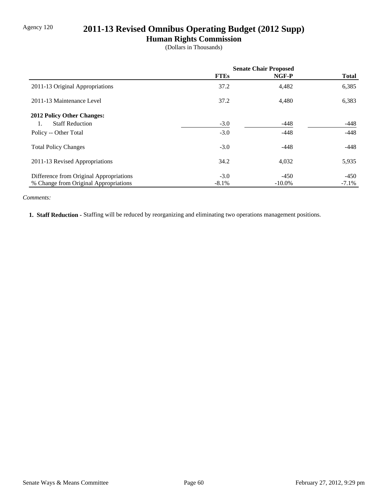# Agency 120 **2011-13 Revised Omnibus Operating Budget (2012 Supp)**

## **Human Rights Commission**

(Dollars in Thousands)

|                                         | <b>Senate Chair Proposed</b> |           |              |
|-----------------------------------------|------------------------------|-----------|--------------|
|                                         | <b>FTEs</b>                  | NGF-P     | <b>Total</b> |
| 2011-13 Original Appropriations         | 37.2                         | 4,482     | 6,385        |
| 2011-13 Maintenance Level               | 37.2                         | 4,480     | 6,383        |
| 2012 Policy Other Changes:              |                              |           |              |
| <b>Staff Reduction</b>                  | $-3.0$                       | $-448$    | -448         |
| Policy -- Other Total                   | $-3.0$                       | $-448$    | $-448$       |
| <b>Total Policy Changes</b>             | $-3.0$                       | $-448$    | $-448$       |
| 2011-13 Revised Appropriations          | 34.2                         | 4,032     | 5,935        |
| Difference from Original Appropriations | $-3.0$                       | $-450$    | $-450$       |
| % Change from Original Appropriations   | $-8.1\%$                     | $-10.0\%$ | $-7.1\%$     |

### *Comments:*

 **1. Staff Reduction -** Staffing will be reduced by reorganizing and eliminating two operations management positions.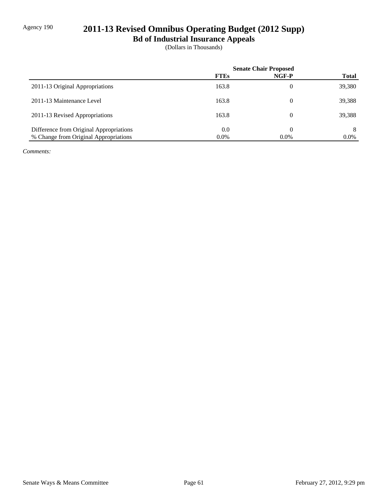# Agency 190 **2011-13 Revised Omnibus Operating Budget (2012 Supp)**

**Bd of Industrial Insurance Appeals**

(Dollars in Thousands)

|                                         | <b>Senate Chair Proposed</b> |          |              |
|-----------------------------------------|------------------------------|----------|--------------|
|                                         | <b>FTEs</b>                  | NGF-P    | <b>Total</b> |
| 2011-13 Original Appropriations         | 163.8                        | 0        | 39,380       |
| 2011-13 Maintenance Level               | 163.8                        | $\theta$ | 39,388       |
| 2011-13 Revised Appropriations          | 163.8                        | $\theta$ | 39,388       |
| Difference from Original Appropriations | 0.0                          |          | 8            |
| % Change from Original Appropriations   | $0.0\%$                      | $0.0\%$  | $0.0\%$      |

*Comments:*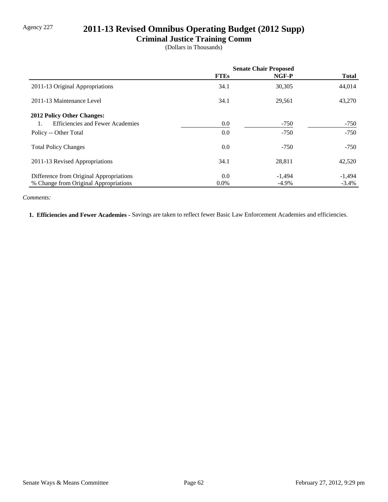# Agency 227 **2011-13 Revised Omnibus Operating Budget (2012 Supp)**

## **Criminal Justice Training Comm**

(Dollars in Thousands)

|                                         | <b>Senate Chair Proposed</b> |          |              |
|-----------------------------------------|------------------------------|----------|--------------|
|                                         | <b>FTEs</b>                  | NGF-P    | <b>Total</b> |
| 2011-13 Original Appropriations         | 34.1                         | 30,305   | 44,014       |
| 2011-13 Maintenance Level               | 34.1                         | 29,561   | 43,270       |
| 2012 Policy Other Changes:              |                              |          |              |
| <b>Efficiencies and Fewer Academies</b> | 0.0                          | $-750$   | -750         |
| Policy -- Other Total                   | 0.0                          | $-750$   | $-750$       |
| <b>Total Policy Changes</b>             | 0.0                          | $-750$   | $-750$       |
| 2011-13 Revised Appropriations          | 34.1                         | 28,811   | 42,520       |
| Difference from Original Appropriations | 0.0                          | $-1,494$ | $-1,494$     |
| % Change from Original Appropriations   | $0.0\%$                      | $-4.9\%$ | $-3.4\%$     |

#### *Comments:*

 **1. Efficiencies and Fewer Academies -** Savings are taken to reflect fewer Basic Law Enforcement Academies and efficiencies.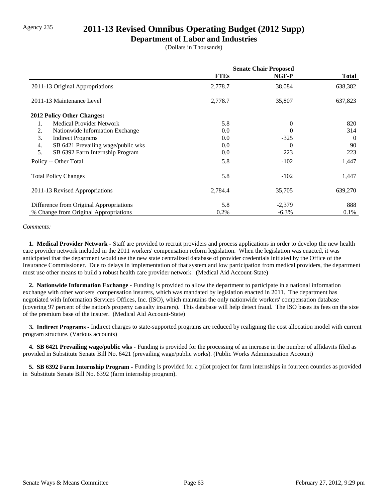## Agency 235 **2011-13 Revised Omnibus Operating Budget (2012 Supp)**

### **Department of Labor and Industries**

(Dollars in Thousands)

|                                          | <b>Senate Chair Proposed</b> |          |              |
|------------------------------------------|------------------------------|----------|--------------|
|                                          | <b>FTEs</b>                  | NGF-P    | <b>Total</b> |
| 2011-13 Original Appropriations          | 2,778.7                      | 38,084   | 638,382      |
| 2011-13 Maintenance Level                | 2,778.7                      | 35,807   | 637,823      |
| <b>2012 Policy Other Changes:</b>        |                              |          |              |
| <b>Medical Provider Network</b><br>1.    | 5.8                          | $\Omega$ | 820          |
| 2.<br>Nationwide Information Exchange    | 0.0                          | 0        | 314          |
| 3.<br><b>Indirect Programs</b>           | 0.0                          | $-325$   | $\theta$     |
| 4.<br>SB 6421 Prevailing wage/public wks | 0.0                          | $\theta$ | 90           |
| 5.<br>SB 6392 Farm Internship Program    | 0.0                          | 223      | 223          |
| Policy -- Other Total                    | 5.8                          | $-102$   | 1,447        |
| <b>Total Policy Changes</b>              | 5.8                          | $-102$   | 1,447        |
| 2011-13 Revised Appropriations           | 2,784.4                      | 35,705   | 639,270      |
| Difference from Original Appropriations  | 5.8                          | $-2,379$ | 888          |
| % Change from Original Appropriations    | 0.2%                         | $-6.3%$  | 0.1%         |

#### *Comments:*

 **1. Medical Provider Network -** Staff are provided to recruit providers and process applications in order to develop the new health care provider network included in the 2011 workers' compensation reform legislation. When the legislation was enacted, it was anticipated that the department would use the new state centralized database of provider credentials initiated by the Office of the Insurance Commissioner. Due to delays in implementation of that system and low participation from medical providers, the department must use other means to build a robust health care provider network. (Medical Aid Account-State)

 **2. Nationwide Information Exchange -** Funding is provided to allow the department to participate in a national information exchange with other workers' compensation insurers, which was mandated by legislation enacted in 2011. The department has negotiated with Information Services Offices, Inc. (ISO), which maintains the only nationwide workers' compensation database (covering 97 percent of the nation's property casualty insurers). This database will help detect fraud. The ISO bases its fees on the size of the premium base of the insurer. (Medical Aid Account-State)

 **3. Indirect Programs -** Indirect charges to state-supported programs are reduced by realigning the cost allocation model with current program structure. (Various accounts)

**4. SB 6421 Prevailing wage/public wks -** Funding is provided for the processing of an increase in the number of affidavits filed as provided in Substitute Senate Bill No. 6421 (prevailing wage/public works). (Public Works Administration Account)

 **5. SB 6392 Farm Internship Program -** Funding is provided for a pilot project for farm internships in fourteen counties as provided in Substitute Senate Bill No. 6392 (farm internship program).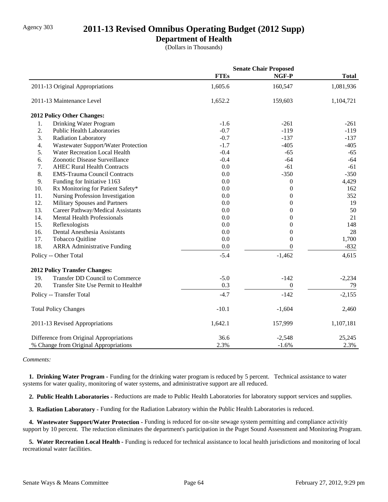## Agency 303 **2011-13 Revised Omnibus Operating Budget (2012 Supp)**

### **Department of Health**

(Dollars in Thousands)

|     |                                         | <b>Senate Chair Proposed</b> |                  |              |
|-----|-----------------------------------------|------------------------------|------------------|--------------|
|     |                                         | <b>FTEs</b>                  | NGF-P            | <b>Total</b> |
|     | 2011-13 Original Appropriations         | 1,605.6                      | 160,547          | 1,081,936    |
|     | 2011-13 Maintenance Level               | 1,652.2                      | 159,603          | 1,104,721    |
|     | 2012 Policy Other Changes:              |                              |                  |              |
| 1.  | Drinking Water Program                  | $-1.6$                       | $-261$           | $-261$       |
| 2.  | <b>Public Health Laboratories</b>       | $-0.7$                       | $-119$           | $-119$       |
| 3.  | <b>Radiation Laboratory</b>             | $-0.7$                       | $-137$           | $-137$       |
| 4.  | Wastewater Support/Water Protection     | $-1.7$                       | $-405$           | $-405$       |
| 5.  | Water Recreation Local Health           | $-0.4$                       | $-65$            | $-65$        |
| 6.  | Zoonotic Disease Surveillance           | $-0.4$                       | $-64$            | $-64$        |
| 7.  | <b>AHEC Rural Health Contracts</b>      | 0.0                          | $-61$            | $-61$        |
| 8.  | <b>EMS-Trauma Council Contracts</b>     | 0.0                          | $-350$           | $-350$       |
| 9.  | Funding for Initiative 1163             | 0.0                          | $\boldsymbol{0}$ | 4,429        |
| 10. | Rx Monitoring for Patient Safety*       | 0.0                          | $\overline{0}$   | 162          |
| 11. | Nursing Profession Investigation        | 0.0                          | $\theta$         | 352          |
| 12. | Military Spouses and Partners           | 0.0                          | $\theta$         | 19           |
| 13. | Career Pathway/Medical Assistants       | 0.0                          | $\overline{0}$   | 50           |
| 14. | <b>Mental Health Professionals</b>      | 0.0                          | $\boldsymbol{0}$ | 21           |
| 15. | Reflexologists                          | 0.0                          | $\boldsymbol{0}$ | 148          |
| 16. | Dental Anesthesia Assistants            | 0.0                          | $\boldsymbol{0}$ | 28           |
| 17. | Tobacco Quitline                        | 0.0                          | $\theta$         | 1,700        |
| 18. | <b>ARRA Administrative Funding</b>      | 0.0                          | $\overline{0}$   | $-832$       |
|     | Policy -- Other Total                   | $-5.4$                       | $-1,462$         | 4,615        |
|     | <b>2012 Policy Transfer Changes:</b>    |                              |                  |              |
| 19. | <b>Transfer DD Council to Commerce</b>  | $-5.0$                       | $-142$           | $-2,234$     |
| 20. | Transfer Site Use Permit to Health#     | 0.3                          | $\boldsymbol{0}$ | 79           |
|     | Policy -- Transfer Total                | $-4.7$                       | $-142$           | $-2,155$     |
|     | <b>Total Policy Changes</b>             | $-10.1$                      | $-1,604$         | 2,460        |
|     | 2011-13 Revised Appropriations          | 1,642.1                      | 157,999          | 1,107,181    |
|     | Difference from Original Appropriations | 36.6                         | $-2,548$         | 25,245       |
|     | % Change from Original Appropriations   | 2.3%                         | $-1.6%$          | 2.3%         |

#### *Comments:*

 **1. Drinking Water Program -** Funding for the drinking water program is reduced by 5 percent. Technical assistance to water systems for water quality, monitoring of water systems, and administrative support are all reduced.

 **2. Public Health Laboratories -** Reductions are made to Public Health Laboratories for laboratory support services and supplies.

 **3. Radiation Laboratory -** Funding for the Radiation Labratory within the Public Health Laboratories is reduced.

 **4. Wastewater Support/Water Protection -** Funding is reduced for on-site sewage system permitting and compliance activitiy support by 10 percent. The reduction eliminates the department's participation in the Puget Sound Assessment and Monitoring Program.

 **5. Water Recreation Local Health -** Funding is reduced for technical assistance to local health jurisdictions and monitoring of local recreational water facilities.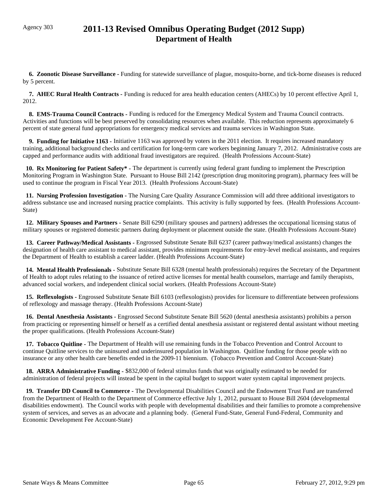## Agency 303 **2011-13 Revised Omnibus Operating Budget (2012 Supp) Department of Health**

 **6. Zoonotic Disease Surveillance -** Funding for statewide surveillance of plague, mosquito-borne, and tick-borne diseases is reduced by 5 percent.

 **7. AHEC Rural Health Contracts -** Funding is reduced for area health education centers (AHECs) by 10 percent effective April 1, 2012.

 **8. EMS-Trauma Council Contracts -** Funding is reduced for the Emergency Medical System and Trauma Council contracts. Activities and functions will be best preserved by consolidating resources when available. This reduction represents approximately 6 percent of state general fund appropriations for emergency medical services and trauma services in Washington State.

 **9. Funding for Initiative 1163 -** Initiative 1163 was approved by voters in the 2011 election. It requires increased mandatory training, additional background checks and certification for long-term care workers beginning January 7, 2012. Administrative costs are capped and performance audits with additional fraud investigators are required. (Health Professions Account-State)

 **10. Rx Monitoring for Patient Safety\* -** The department is currently using federal grant funding to implement the Prescription Monitoring Program in Washington State. Pursuant to House Bill 2142 (prescription drug monitoring program), pharmacy fees will be used to continue the program in Fiscal Year 2013. (Health Professions Account-State)

 **11. Nursing Profession Investigation -** The Nursing Care Quality Assurance Commission will add three additional investigators to address substance use and increased nursing practice complaints. This activity is fully supported by fees. (Health Professions Account-State)

 **12. Military Spouses and Partners -** Senate Bill 6290 (military spouses and partners) addresses the occupational licensing status of military spouses or registered domestic partners during deployment or placement outside the state. (Health Professions Account-State)

 **13. Career Pathway/Medical Assistants -** Engrossed Substitute Senate Bill 6237 (career pathway/medical assistants) changes the designation of health care assistant to medical assistant, provides minimum requirements for entry-level medical assistants, and requires the Department of Health to establish a career ladder. (Health Professions Account-State)

 **14. Mental Health Professionals -** Substitute Senate Bill 6328 (mental health professionals) requires the Secretary of the Department of Health to adopt rules relating to the issuance of retired active licenses for mental health counselors, marriage and family therapists, advanced social workers, and independent clinical social workers. (Health Professions Account-State)

 **15. Reflexologists -** Engrossed Substitute Senate Bill 6103 (reflexologists) provides for licensure to differentiate between professions of reflexology and massage therapy. (Health Professions Account-State)

 **16. Dental Anesthesia Assistants -** Engrossed Second Substitute Senate Bill 5620 (dental anesthesia assistants) prohibits a person from practicing or representing himself or herself as a certified dental anesthesia assistant or registered dental assistant without meeting the proper qualifications. (Health Professions Account-State)

 **17. Tobacco Quitline -** The Department of Health will use remaining funds in the Tobacco Prevention and Control Account to continue Quitline services to the uninsured and underinsured population in Washington. Quitline funding for those people with no insurance or any other health care benefits ended in the 2009-11 biennium. (Tobacco Prevention and Control Account-State)

 **18. ARRA Administrative Funding -** \$832,000 of federal stimulus funds that was originally estimated to be needed for administration of federal projects will instead be spent in the capital budget to support water system capital improvement projects.

 **19. Transfer DD Council to Commerce -** The Developmental Disabilities Council and the Endowment Trust Fund are transferred from the Department of Health to the Department of Commerce effective July 1, 2012, pursuant to House Bill 2604 (developmental disabilities endowment). The Council works with people with developmental disabilities and their families to promote a comprehensive system of services, and serves as an advocate and a planning body. (General Fund-State, General Fund-Federal, Community and Economic Development Fee Account-State)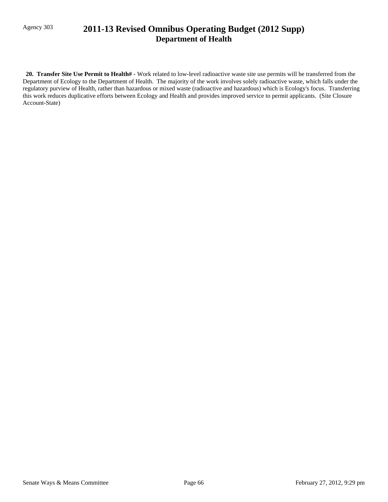## Agency 303 **2011-13 Revised Omnibus Operating Budget (2012 Supp) Department of Health**

 **20. Transfer Site Use Permit to Health# -** Work related to low-level radioactive waste site use permits will be transferred from the Department of Ecology to the Department of Health. The majority of the work involves solely radioactive waste, which falls under the regulatory purview of Health, rather than hazardous or mixed waste (radioactive and hazardous) which is Ecology's focus. Transferring this work reduces duplicative efforts between Ecology and Health and provides improved service to permit applicants. (Site Closure Account-State)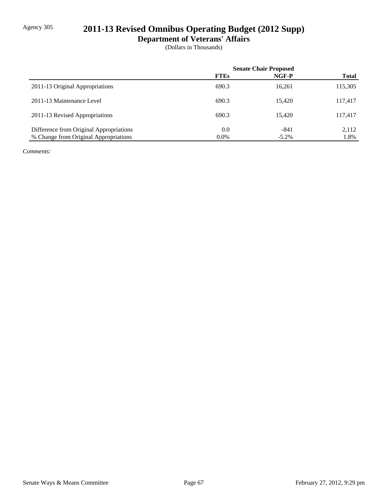# Agency 305 **2011-13 Revised Omnibus Operating Budget (2012 Supp)**

**Department of Veterans' Affairs**

(Dollars in Thousands)

|                                         | <b>Senate Chair Proposed</b> |          |              |
|-----------------------------------------|------------------------------|----------|--------------|
|                                         | <b>FTEs</b>                  | NGF-P    | <b>Total</b> |
| 2011-13 Original Appropriations         | 690.3                        | 16,261   | 115,305      |
| 2011-13 Maintenance Level               | 690.3                        | 15.420   | 117,417      |
| 2011-13 Revised Appropriations          | 690.3                        | 15.420   | 117,417      |
| Difference from Original Appropriations | 0.0                          | -841     | 2,112        |
| % Change from Original Appropriations   | $0.0\%$                      | $-5.2\%$ | 1.8%         |

*Comments:*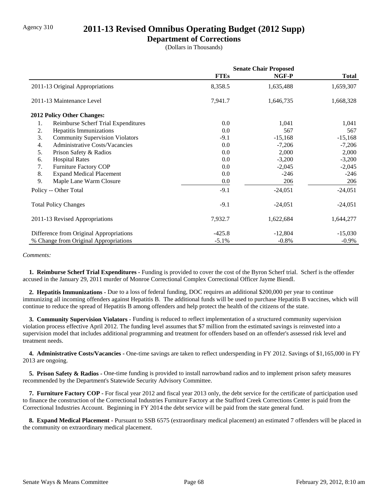### Agency 310 **2011-13 Revised Omnibus Operating Budget (2012 Supp)**

### **Department of Corrections**

(Dollars in Thousands)

|                                              | <b>Senate Chair Proposed</b> |           |              |
|----------------------------------------------|------------------------------|-----------|--------------|
|                                              | <b>FTEs</b>                  | NGF-P     | <b>Total</b> |
| 2011-13 Original Appropriations              | 8,358.5                      | 1,635,488 | 1,659,307    |
| 2011-13 Maintenance Level                    | 7,941.7                      | 1,646,735 | 1,668,328    |
| <b>2012 Policy Other Changes:</b>            |                              |           |              |
| Reimburse Scherf Trial Expenditures<br>1.    | 0.0                          | 1,041     | 1,041        |
| 2.<br>Hepatitis Immunizations                | 0.0                          | 567       | 567          |
| 3.<br><b>Community Supervision Violators</b> | $-9.1$                       | $-15,168$ | $-15,168$    |
| 4.<br><b>Administrative Costs/Vacancies</b>  | $0.0\,$                      | $-7,206$  | $-7,206$     |
| 5.<br>Prison Safety & Radios                 | 0.0                          | 2,000     | 2,000        |
| <b>Hospital Rates</b><br>6.                  | $0.0\,$                      | $-3,200$  | $-3,200$     |
| Furniture Factory COP<br>7.                  | 0.0                          | $-2,045$  | $-2,045$     |
| 8.<br><b>Expand Medical Placement</b>        | 0.0                          | $-246$    | $-246$       |
| 9.<br>Maple Lane Warm Closure                | $0.0\,$                      | 206       | 206          |
| Policy -- Other Total                        | $-9.1$                       | $-24,051$ | $-24,051$    |
| <b>Total Policy Changes</b>                  | $-9.1$                       | $-24,051$ | $-24,051$    |
| 2011-13 Revised Appropriations               | 7,932.7                      | 1,622,684 | 1,644,277    |
| Difference from Original Appropriations      | $-425.8$                     | $-12,804$ | $-15,030$    |
| % Change from Original Appropriations        | $-5.1%$                      | $-0.8\%$  | $-0.9\%$     |

#### *Comments:*

 **1. Reimburse Scherf Trial Expenditures -** Funding is provided to cover the cost of the Byron Scherf trial. Scherf is the offender accused in the January 29, 2011 murder of Monroe Correctional Complex Correctional Officer Jayme Biendl.

 **2. Hepatitis Immunizations -** Due to a loss of federal funding, DOC requires an additional \$200,000 per year to continue immunizing all incoming offenders against Hepatitis B. The additional funds will be used to purchase Hepatitis B vaccines, which will continue to reduce the spread of Hepatitis B among offenders and help protect the health of the citizens of the state.

 **3. Community Supervision Violators -** Funding is reduced to reflect implementation of a structured community supervision violation process effective April 2012. The funding level assumes that \$7 million from the estimated savings is reinvested into a supervision model that includes additional programming and treatment for offenders based on an offender's assessed risk level and treatment needs.

 **4. Administrative Costs/Vacancies -** One-time savings are taken to reflect underspending in FY 2012. Savings of \$1,165,000 in FY 2013 are ongoing.

**5. Prison Safety & Radios -** One-time funding is provided to install narrowband radios and to implement prison safety measures recommended by the Department's Statewide Security Advisory Committee.

 **7. Furniture Factory COP -** For fiscal year 2012 and fiscal year 2013 only, the debt service for the certificate of participation used to finance the construction of the Correctional Industries Furniture Factory at the Stafford Creek Corrections Center is paid from the Correctional Industries Account. Beginning in FY 2014 the debt service will be paid from the state general fund.

 **8. Expand Medical Placement -** Pursuant to SSB 6575 (extraordinary medical placement) an estimated 7 offenders will be placed in the community on extraordinary medical placement.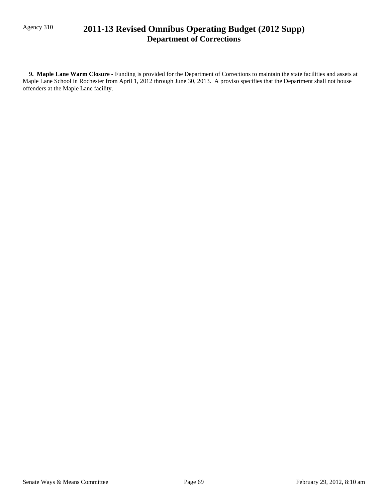## Agency 310 **2011-13 Revised Omnibus Operating Budget (2012 Supp) Department of Corrections**

 **9. Maple Lane Warm Closure -** Funding is provided for the Department of Corrections to maintain the state facilities and assets at Maple Lane School in Rochester from April 1, 2012 through June 30, 2013. A proviso specifies that the Department shall not house offenders at the Maple Lane facility.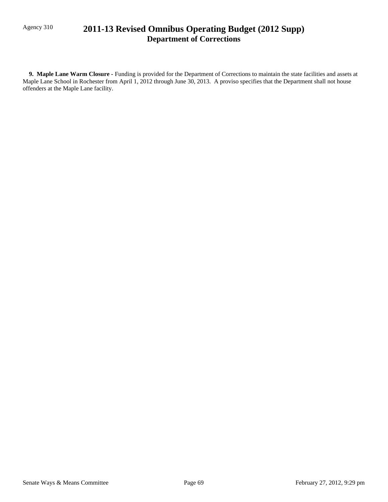## Agency 310 **2011-13 Revised Omnibus Operating Budget (2012 Supp) Department of Corrections**

 **9. Maple Lane Warm Closure -** Funding is provided for the Department of Corrections to maintain the state facilities and assets at Maple Lane School in Rochester from April 1, 2012 through June 30, 2013. A proviso specifies that the Department shall not house offenders at the Maple Lane facility.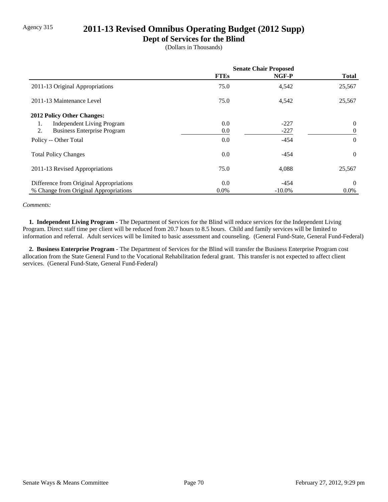## Agency 315 **2011-13 Revised Omnibus Operating Budget (2012 Supp)**

### **Dept of Services for the Blind**

(Dollars in Thousands)

|                                          | <b>Senate Chair Proposed</b> |           |                |
|------------------------------------------|------------------------------|-----------|----------------|
|                                          | <b>FTEs</b>                  | NGF-P     | <b>Total</b>   |
| 2011-13 Original Appropriations          | 75.0                         | 4,542     | 25,567         |
| 2011-13 Maintenance Level                | 75.0                         | 4,542     | 25,567         |
| 2012 Policy Other Changes:               |                              |           |                |
| <b>Independent Living Program</b><br>1.  | 0.0                          | $-227$    | $\overline{0}$ |
| 2.<br><b>Business Enterprise Program</b> | 0.0                          | $-227$    | $\overline{0}$ |
| Policy -- Other Total                    | 0.0                          | $-454$    | $\Omega$       |
| <b>Total Policy Changes</b>              | 0.0                          | -454      | $\Omega$       |
| 2011-13 Revised Appropriations           | 75.0                         | 4,088     | 25,567         |
| Difference from Original Appropriations  | 0.0                          | $-454$    | $\theta$       |
| % Change from Original Appropriations    | $0.0\%$                      | $-10.0\%$ | $0.0\%$        |

#### *Comments:*

 **1. Independent Living Program -** The Department of Services for the Blind will reduce services for the Independent Living Program. Direct staff time per client will be reduced from 20.7 hours to 8.5 hours. Child and family services will be limited to information and referral. Adult services will be limited to basic assessment and counseling. (General Fund-State, General Fund-Federal)

 **2. Business Enterprise Program -** The Department of Services for the Blind will transfer the Business Enterprise Program cost allocation from the State General Fund to the Vocational Rehabilitation federal grant. This transfer is not expected to affect client services. (General Fund-State, General Fund-Federal)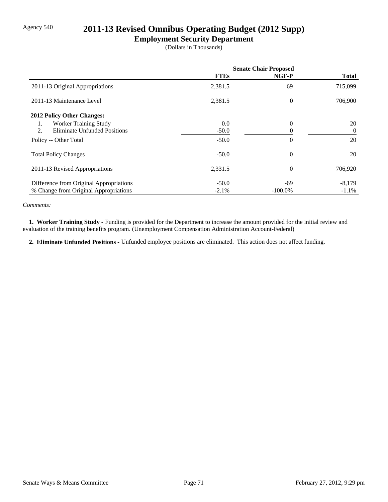### Agency 540 **2011-13 Revised Omnibus Operating Budget (2012 Supp)**

### **Employment Security Department**

(Dollars in Thousands)

|                                         | <b>Senate Chair Proposed</b> |            |                |
|-----------------------------------------|------------------------------|------------|----------------|
|                                         | <b>FTEs</b>                  | NGF-P      | <b>Total</b>   |
| 2011-13 Original Appropriations         | 2,381.5                      | 69         | 715,099        |
| 2011-13 Maintenance Level               | 2,381.5                      | $\theta$   | 706,900        |
| 2012 Policy Other Changes:              |                              |            |                |
| Worker Training Study<br>1.             | 0.0                          | $\theta$   | 20             |
| 2.<br>Eliminate Unfunded Positions      | $-50.0$                      |            | $\overline{0}$ |
| Policy -- Other Total                   | $-50.0$                      | $\theta$   | 20             |
| <b>Total Policy Changes</b>             | $-50.0$                      | $\theta$   | 20             |
| 2011-13 Revised Appropriations          | 2,331.5                      | $\theta$   | 706,920        |
| Difference from Original Appropriations | $-50.0$                      | -69        | $-8,179$       |
| % Change from Original Appropriations   | $-2.1\%$                     | $-100.0\%$ | $-1.1\%$       |

*Comments:*

 **1. Worker Training Study -** Funding is provided for the Department to increase the amount provided for the initial review and evaluation of the training benefits program. (Unemployment Compensation Administration Account-Federal)

 **2. Eliminate Unfunded Positions -** Unfunded employee positions are eliminated. This action does not affect funding.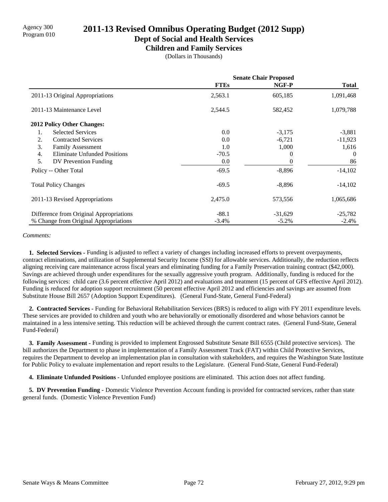# Agency 300 **2011-13 Revised Omnibus Operating Budget (2012 Supp)**<br>Program 010

**Dept of Social and Health Services**

**Children and Family Services**

(Dollars in Thousands)

|                                           | <b>Senate Chair Proposed</b> |           |              |
|-------------------------------------------|------------------------------|-----------|--------------|
|                                           | <b>FTEs</b>                  | NGF-P     | <b>Total</b> |
| 2011-13 Original Appropriations           | 2,563.1                      | 605,185   | 1,091,468    |
| 2011-13 Maintenance Level                 | 2,544.5                      | 582,452   | 1,079,788    |
| 2012 Policy Other Changes:                |                              |           |              |
| <b>Selected Services</b><br>1.            | 0.0                          | $-3,175$  | $-3,881$     |
| 2.<br><b>Contracted Services</b>          | 0.0                          | $-6,721$  | $-11,923$    |
| 3.<br><b>Family Assessment</b>            | 1.0                          | 1,000     | 1,616        |
| <b>Eliminate Unfunded Positions</b><br>4. | $-70.5$                      | 0         | 0            |
| 5.<br>DV Prevention Funding               | 0.0                          |           | 86           |
| Policy -- Other Total                     | $-69.5$                      | $-8,896$  | $-14,102$    |
| <b>Total Policy Changes</b>               | $-69.5$                      | $-8,896$  | $-14,102$    |
| 2011-13 Revised Appropriations            | 2,475.0                      | 573,556   | 1,065,686    |
| Difference from Original Appropriations   | $-88.1$                      | $-31,629$ | $-25,782$    |
| % Change from Original Appropriations     | $-3.4%$                      | $-5.2%$   | $-2.4%$      |

#### *Comments:*

 **1. Selected Services -** Funding is adjusted to reflect a variety of changes including increased efforts to prevent overpayments, contract eliminations, and utilization of Supplemental Security Income (SSI) for allowable services. Additionally, the reduction reflects aligning receiving care maintenance across fiscal years and eliminating funding for a Family Preservation training contract (\$42,000). Savings are achieved through under expenditures for the sexually aggressive youth program. Additionally, funding is reduced for the following services: child care (3.6 percent effective April 2012) and evaluations and treatment (15 percent of GFS effective April 2012). Funding is reduced for adoption support recruitment (50 percent effective April 2012 and efficiencies and savings are assumed from Substitute House Bill 2657 (Adoption Support Expenditures). (General Fund-State, General Fund-Federal)

 **2. Contracted Services -** Funding for Behavioral Rehabilitation Services (BRS) is reduced to align with FY 2011 expenditure levels. These services are provided to children and youth who are behaviorally or emotionally disordered and whose behaviors cannot be maintained in a less intensive setting. This reduction will be achieved through the current contract rates. (General Fund-State, General Fund-Federal)

 **3. Family Assessment -** Funding is provided to implement Engrossed Substitute Senate Bill 6555 (Child protective services). The bill authorizes the Department to phase in implementation of a Family Assessment Track (FAT) within Child Protective Services, requires the Department to develop an implementation plan in consultation with stakeholders, and requires the Washington State Institute for Public Policy to evaluate implementation and report results to the Legislature. (General Fund-State, General Fund-Federal)

 **4. Eliminate Unfunded Positions -** Unfunded employee positions are eliminated. This action does not affect funding.

 **5. DV Prevention Funding -** Domestic Violence Prevention Account funding is provided for contracted services, rather than state general funds. (Domestic Violence Prevention Fund)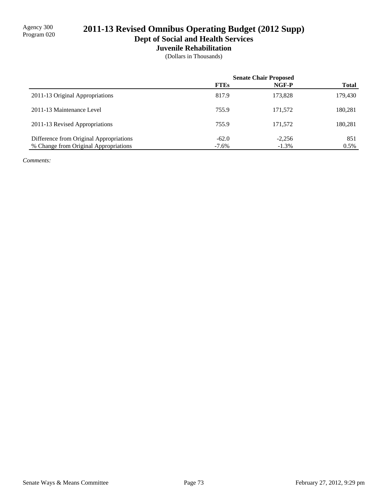**Dept of Social and Health Services**

**Juvenile Rehabilitation**

(Dollars in Thousands)

|                                         | <b>Senate Chair Proposed</b> |          |              |
|-----------------------------------------|------------------------------|----------|--------------|
|                                         | <b>FTEs</b>                  | NGF-P    | <b>Total</b> |
| 2011-13 Original Appropriations         | 817.9                        | 173.828  | 179,430      |
| 2011-13 Maintenance Level               | 755.9                        | 171,572  | 180,281      |
| 2011-13 Revised Appropriations          | 755.9                        | 171,572  | 180,281      |
| Difference from Original Appropriations | $-62.0$                      | $-2,256$ | 851          |
| % Change from Original Appropriations   | $-7.6\%$                     | $-1.3\%$ | $0.5\%$      |

*Comments:*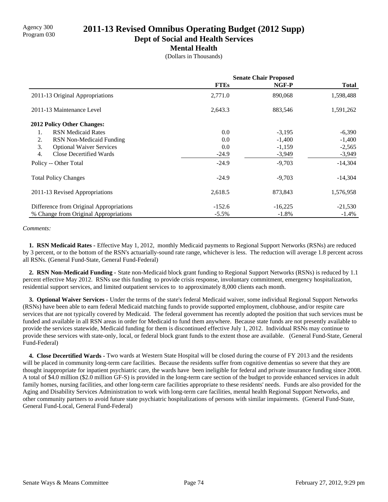# Agency 300 **2011-13 Revised Omnibus Operating Budget (2012 Supp)**<br>Program 030

**Dept of Social and Health Services**

### **Mental Health**

(Dollars in Thousands)

|                                             | <b>Senate Chair Proposed</b> |           |              |
|---------------------------------------------|------------------------------|-----------|--------------|
|                                             | <b>FTEs</b>                  | NGF-P     | <b>Total</b> |
| 2011-13 Original Appropriations             | 2,771.0                      | 890,068   | 1,598,488    |
| 2011-13 Maintenance Level                   | 2,643.3                      | 883,546   | 1,591,262    |
| 2012 Policy Other Changes:                  |                              |           |              |
| <b>RSN</b> Medicaid Rates<br>1.             | 0.0                          | $-3,195$  | $-6,390$     |
| 2.<br>RSN Non-Medicaid Funding              | 0.0                          | $-1,400$  | $-1,400$     |
| 3.<br><b>Optional Waiver Services</b>       | 0.0                          | $-1,159$  | $-2,565$     |
| $\overline{4}$ .<br>Close Decertified Wards | $-24.9$                      | $-3,949$  | $-3,949$     |
| Policy -- Other Total                       | $-24.9$                      | $-9,703$  | $-14,304$    |
| <b>Total Policy Changes</b>                 | $-24.9$                      | $-9,703$  | $-14,304$    |
| 2011-13 Revised Appropriations              | 2,618.5                      | 873,843   | 1,576,958    |
| Difference from Original Appropriations     | $-152.6$                     | $-16,225$ | $-21,530$    |
| % Change from Original Appropriations       | $-5.5\%$                     | $-1.8\%$  | $-1.4\%$     |

#### *Comments:*

 **1. RSN Medicaid Rates -** Effective May 1, 2012, monthly Medicaid payments to Regional Support Networks (RSNs) are reduced by 3 percent, or to the bottom of the RSN's actuarially-sound rate range, whichever is less. The reduction will average 1.8 percent across all RSNs. (General Fund-State, General Fund-Federal)

 **2. RSN Non-Medicaid Funding -** State non-Medicaid block grant funding to Regional Support Networks (RSNs) is reduced by 1.1 percent effective May 2012. RSNs use this funding to provide crisis response, involuntary commitment, emergency hospitalization, residential support services, and limited outpatient services to to approximately 8,000 clients each month.

 **3. Optional Waiver Services -** Under the terms of the state's federal Medicaid waiver, some individual Regional Support Networks (RSNs) have been able to earn federal Medicaid matching funds to provide supported employment, clubhouse, and/or respite care services that are not typically covered by Medicaid. The federal government has recently adopted the position that such services must be funded and available in all RSN areas in order for Medicaid to fund them anywhere. Because state funds are not presently available to provide the services statewide, Medicaid funding for them is discontinued effective July 1, 2012. Individual RSNs may continue to provide these services with state-only, local, or federal block grant funds to the extent those are available. (General Fund-State, General Fund-Federal)

 **4. Close Decertified Wards -** Two wards at Western State Hospital will be closed during the course of FY 2013 and the residents will be placed in community long-term care facilities. Because the residents suffer from cognitive dementias so severe that they are thought inappropriate for inpatient psychiatric care, the wards have been ineligible for federal and private insurance funding since 2008. A total of \$4.0 million (\$2.0 million GF-S) is provided in the long-term care section of the budget to provide enhanced services in adult family homes, nursing facilities, and other long-term care facilities appropriate to these residents' needs. Funds are also provided for the Aging and Disability Services Administration to work with long-term care facilities, mental health Regional Support Networks, and other community partners to avoid future state psychiatric hospitalizations of persons with similar impairments. (General Fund-State, General Fund-Local, General Fund-Federal)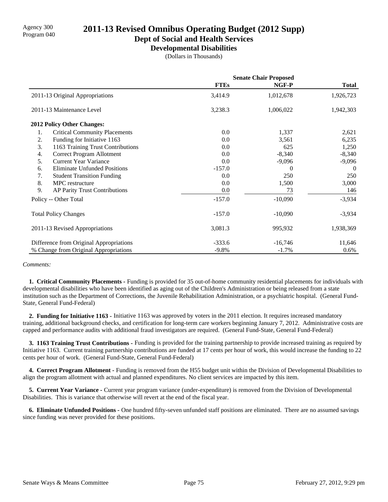# Agency 300 **2011-13 Revised Omnibus Operating Budget (2012 Supp)**<br>Program 040

**Dept of Social and Health Services**

**Developmental Disabilities**

(Dollars in Thousands)

|                                            | <b>Senate Chair Proposed</b> |           |              |
|--------------------------------------------|------------------------------|-----------|--------------|
|                                            | <b>FTEs</b>                  | NGF-P     | <b>Total</b> |
| 2011-13 Original Appropriations            | 3,414.9                      | 1,012,678 | 1,926,723    |
| 2011-13 Maintenance Level                  | 3,238.3                      | 1,006,022 | 1,942,303    |
| <b>2012 Policy Other Changes:</b>          |                              |           |              |
| 1.<br><b>Critical Community Placements</b> | 0.0                          | 1,337     | 2,621        |
| 2.<br>Funding for Initiative 1163          | 0.0                          | 3,561     | 6,235        |
| 3.<br>1163 Training Trust Contributions    | 0.0                          | 625       | 1,250        |
| Correct Program Allotment<br>4.            | 0.0                          | $-8,340$  | $-8,340$     |
| 5.<br><b>Current Year Variance</b>         | 0.0                          | $-9,096$  | $-9,096$     |
| <b>Eliminate Unfunded Positions</b><br>6.  | $-157.0$                     | $\theta$  | $\Omega$     |
| 7.<br><b>Student Transition Funding</b>    | 0.0                          | 250       | 250          |
| 8.<br>MPC restructure                      | 0.0                          | 1,500     | 3,000        |
| 9.<br>AP Parity Trust Contributions        | 0.0                          | 73        | 146          |
| Policy -- Other Total                      | $-157.0$                     | $-10,090$ | $-3,934$     |
| <b>Total Policy Changes</b>                | $-157.0$                     | $-10,090$ | $-3,934$     |
| 2011-13 Revised Appropriations             | 3,081.3                      | 995,932   | 1,938,369    |
| Difference from Original Appropriations    | $-333.6$                     | $-16,746$ | 11,646       |
| % Change from Original Appropriations      | $-9.8%$                      | $-1.7\%$  | $0.6\%$      |

#### *Comments:*

 **1. Critical Community Placements -** Funding is provided for 35 out-of-home community residential placements for individuals with developmental disabilities who have been identified as aging out of the Children's Administration or being released from a state institution such as the Department of Corrections, the Juvenile Rehabilitation Administration, or a psychiatric hospital. (General Fund-State, General Fund-Federal)

 **2. Funding for Initiative 1163 -** Initiative 1163 was approved by voters in the 2011 election. It requires increased mandatory training, additional background checks, and certification for long-term care workers beginning January 7, 2012. Administrative costs are capped and performance audits with additional fraud investigators are required. (General Fund-State, General Fund-Federal)

 **3. 1163 Training Trust Contributions -** Funding is provided for the training partnership to provide increased training as required by Initiative 1163. Current training partnership contributions are funded at 17 cents per hour of work, this would increase the funding to 22 cents per hour of work. (General Fund-State, General Fund-Federal)

 **4. Correct Program Allotment -** Funding is removed from the H55 budget unit within the Division of Developmental Disabilities to align the program allotment with actual and planned expenditures. No client services are impacted by this item.

 **5. Current Year Variance -** Current year program variance (under-expenditure) is removed from the Division of Developmental Disabilities. This is variance that otherwise will revert at the end of the fiscal year.

 **6. Eliminate Unfunded Positions -** One hundred fifty-seven unfunded staff positions are eliminated. There are no assumed savings since funding was never provided for these positions.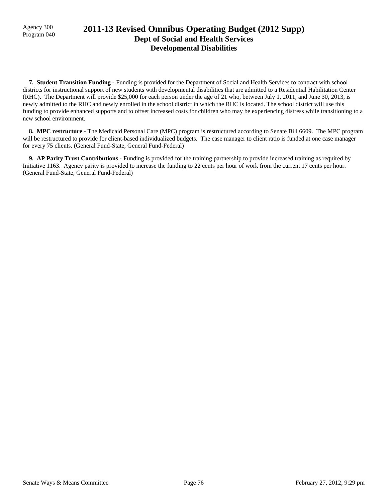### Agency 300 **2011-13 Revised Omnibus Operating Budget (2012 Supp)**<br>Program 040 **Dept of Social and Health Services Developmental Disabilities**

 **7. Student Transition Funding -** Funding is provided for the Department of Social and Health Services to contract with school districts for instructional support of new students with developmental disabilities that are admitted to a Residential Habilitation Center (RHC). The Department will provide \$25,000 for each person under the age of 21 who, between July 1, 2011, and June 30, 2013, is newly admitted to the RHC and newly enrolled in the school district in which the RHC is located. The school district will use this funding to provide enhanced supports and to offset increased costs for children who may be experiencing distress while transitioning to a new school environment.

 **8. MPC restructure -** The Medicaid Personal Care (MPC) program is restructured according to Senate Bill 6609. The MPC program will be restructured to provide for client-based individualized budgets. The case manager to client ratio is funded at one case manager for every 75 clients. (General Fund-State, General Fund-Federal)

 **9. AP Parity Trust Contributions -** Funding is provided for the training partnership to provide increased training as required by Initiative 1163. Agency parity is provided to increase the funding to 22 cents per hour of work from the current 17 cents per hour. (General Fund-State, General Fund-Federal)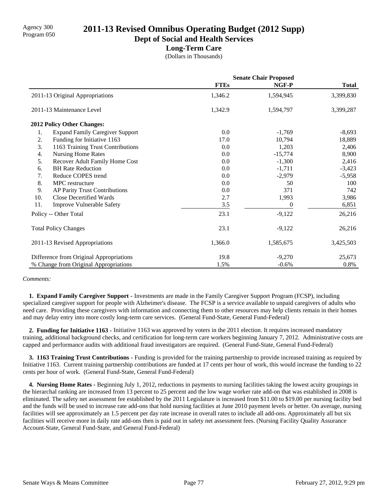# Agency 300 **2011-13 Revised Omnibus Operating Budget (2012 Supp)**<br>Program 050

**Dept of Social and Health Services**

### **Long-Term Care**

(Dollars in Thousands)

|     |                                         | <b>Senate Chair Proposed</b> |           |              |
|-----|-----------------------------------------|------------------------------|-----------|--------------|
|     |                                         | <b>FTEs</b>                  | NGF-P     | <b>Total</b> |
|     | 2011-13 Original Appropriations         | 1,346.2                      | 1,594,945 | 3,399,830    |
|     | 2011-13 Maintenance Level               | 1,342.9                      | 1,594,797 | 3,399,287    |
|     | <b>2012 Policy Other Changes:</b>       |                              |           |              |
| 1.  | <b>Expand Family Caregiver Support</b>  | 0.0                          | $-1,769$  | $-8,693$     |
| 2.  | Funding for Initiative 1163             | 17.0                         | 10,794    | 18,889       |
| 3.  | 1163 Training Trust Contributions       | 0.0                          | 1,203     | 2,406        |
| 4.  | <b>Nursing Home Rates</b>               | 0.0                          | $-15,774$ | 8,900        |
| 5.  | Recover Adult Family Home Cost          | 0.0                          | $-1,300$  | 2,416        |
| 6.  | <b>BH</b> Rate Reduction                | 0.0                          | $-1,711$  | $-3,423$     |
| 7.  | Reduce COPES trend                      | 0.0                          | $-2,979$  | $-5,958$     |
| 8.  | MPC restructure                         | 0.0                          | 50        | 100          |
| 9.  | AP Parity Trust Contributions           | 0.0                          | 371       | 742          |
| 10. | Close Decertified Wards                 | 2.7                          | 1,993     | 3,986        |
| 11. | <b>Improve Vulnerable Safety</b>        | 3.5                          | 0         | 6,851        |
|     | Policy -- Other Total                   | 23.1                         | $-9,122$  | 26,216       |
|     | <b>Total Policy Changes</b>             | 23.1                         | $-9,122$  | 26,216       |
|     | 2011-13 Revised Appropriations          | 1,366.0                      | 1,585,675 | 3,425,503    |
|     | Difference from Original Appropriations | 19.8                         | $-9,270$  | 25,673       |
|     | % Change from Original Appropriations   | 1.5%                         | $-0.6%$   | 0.8%         |

#### *Comments:*

 **1. Expand Family Caregiver Support -** Investments are made in the Family Caregiver Support Program (FCSP), including specialized caregiver support for people with Alzheimer's disease. The FCSP is a service available to unpaid caregivers of adults who need care. Providing these caregivers with information and connecting them to other resources may help clients remain in their homes and may delay entry into more costly long-term care services. (General Fund-State, General Fund-Federal)

 **2. Funding for Initiative 1163 -** Initiative 1163 was approved by voters in the 2011 election. It requires increased mandatory training, additional background checks, and certification for long-term care workers beginning January 7, 2012. Administrative costs are capped and performance audits with additional fraud investigators are required. (General Fund-State, General Fund-Federal)

 **3. 1163 Training Trust Contributions -** Funding is provided for the training partnership to provide increased training as required by Initiative 1163. Current training partnership contributions are funded at 17 cents per hour of work, this would increase the funding to 22 cents per hour of work. (General Fund-State, General Fund-Federal)

 **4. Nursing Home Rates -** Beginning July 1, 2012, reductions in payments to nursing facilities taking the lowest acuity groupings in the hierarchal ranking are increased from 13 percent to 25 percent and the low wage worker rate add-on that was established in 2008 is eliminated. The safety net assessment fee established by the 2011 Legislature is increased from \$11.00 to \$19.00 per nursing facility bed and the funds will be used to increase rate add-ons that hold nursing facilities at June 2010 payment levels or better. On average, nursing facilities will see approximately an 1.5 percent per day rate increase in overall rates to include all add-ons. Approximately all but six facilities will receive more in daily rate add-ons then is paid out in safety net assessment fees. (Nursing Facility Quality Assurance Account-State, General Fund-State, and General Fund-Federal)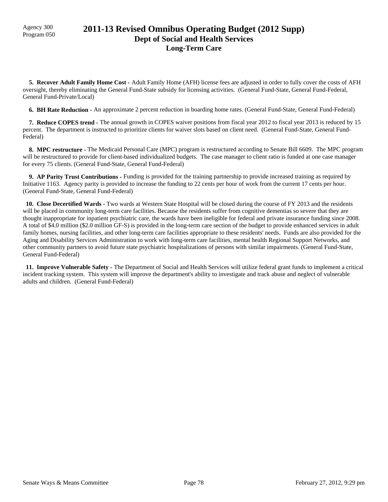### Agency 300 **2011-13 Revised Omnibus Operating Budget (2012 Supp)**<br>Program 050 **Dept of Social and Health Services Long-Term Care**

 **5. Recover Adult Family Home Cost -** Adult Family Home (AFH) license fees are adjusted in order to fully cover the costs of AFH oversight, thereby eliminating the General Fund-State subsidy for licensing activities. (General Fund-State, General Fund-Federal, General Fund-Private/Local)

 **6. BH Rate Reduction -** An approximate 2 percent reduction in boarding home rates. (General Fund-State, General Fund-Federal)

 **7. Reduce COPES trend -** The annual growth in COPES waiver positions from fiscal year 2012 to fiscal year 2013 is reduced by 15 percent. The department is instructed to prioritize clients for waiver slots based on client need. (General Fund-State, General Fund-Federal)

 **8. MPC restructure -** The Medicaid Personal Care (MPC) program is restructured according to Senate Bill 6609. The MPC program will be restructured to provide for client-based individualized budgets. The case manager to client ratio is funded at one case manager for every 75 clients. (General Fund-State, General Fund-Federal)

 **9. AP Parity Trust Contributions -** Funding is provided for the training partnership to provide increased training as required by Initiative 1163. Agency parity is provided to increase the funding to 22 cents per hour of work from the current 17 cents per hour. (General Fund-State, General Fund-Federal)

 **10. Close Decertified Wards -** Two wards at Western State Hospital will be closed during the course of FY 2013 and the residents will be placed in community long-term care facilities. Because the residents suffer from cognitive dementias so severe that they are thought inappropriate for inpatient psychiatric care, the wards have been ineligible for federal and private insurance funding since 2008. A total of \$4.0 million (\$2.0 million GF-S) is provided in the long-term care section of the budget to provide enhanced services in adult family homes, nursing facilities, and other long-term care facilities appropriate to these residents' needs. Funds are also provided for the Aging and Disability Services Administration to work with long-term care facilities, mental health Regional Support Networks, and other community partners to avoid future state psychiatric hospitalizations of persons with similar impairments. (General Fund-State, General Fund-Federal)

 **11. Improve Vulnerable Safety -** The Department of Social and Health Services will utilize federal grant funds to implement a critical incident tracking system. This system will improve the department's ability to investigate and track abuse and neglect of vulnerable adults and children. (General Fund-Federal)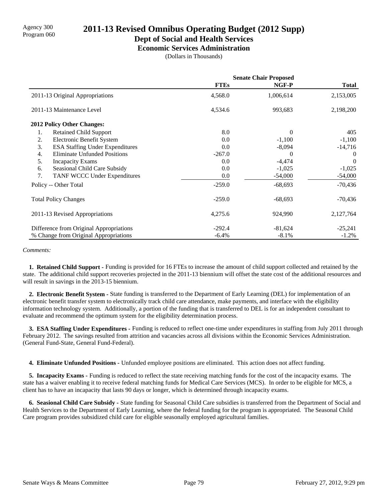# Agency 300 **2011-13 Revised Omnibus Operating Budget (2012 Supp)**<br>Program 060

### **Dept of Social and Health Services**

**Economic Services Administration**

(Dollars in Thousands)

|                                              | <b>Senate Chair Proposed</b> |           |              |
|----------------------------------------------|------------------------------|-----------|--------------|
|                                              | <b>FTEs</b>                  | NGF-P     | <b>Total</b> |
| 2011-13 Original Appropriations              | 4,568.0                      | 1,006,614 | 2,153,005    |
| 2011-13 Maintenance Level                    | 4,534.6                      | 993,683   | 2,198,200    |
| <b>2012 Policy Other Changes:</b>            |                              |           |              |
| <b>Retained Child Support</b><br>1.          | 8.0                          | $\Omega$  | 405          |
| Electronic Benefit System<br>2.              | 0.0                          | $-1,100$  | $-1,100$     |
| 3.<br><b>ESA Staffing Under Expenditures</b> | 0.0                          | $-8,094$  | $-14,716$    |
| 4.<br><b>Eliminate Unfunded Positions</b>    | $-267.0$                     | $\theta$  | $\Omega$     |
| 5.<br><b>Incapacity Exams</b>                | 0.0                          | $-4,474$  | $\theta$     |
| Seasional Child Care Subsidy<br>6.           | 0.0                          | $-1,025$  | $-1,025$     |
| 7.<br>TANF WCCC Under Expenditures           | 0.0                          | $-54,000$ | $-54,000$    |
| Policy -- Other Total                        | $-259.0$                     | $-68,693$ | $-70,436$    |
| <b>Total Policy Changes</b>                  | $-259.0$                     | $-68,693$ | $-70,436$    |
| 2011-13 Revised Appropriations               | 4,275.6                      | 924,990   | 2,127,764    |
| Difference from Original Appropriations      | $-292.4$                     | $-81,624$ | $-25,241$    |
| % Change from Original Appropriations        | $-6.4%$                      | $-8.1\%$  | $-1.2\%$     |

#### *Comments:*

 **1. Retained Child Support -** Funding is provided for 16 FTEs to increase the amount of child support collected and retained by the state. The additional child support recoveries projected in the 2011-13 biennium will offset the state cost of the additional resources and will result in savings in the 2013-15 biennium.

 **2. Electronic Benefit System -** State funding is transferred to the Department of Early Learning (DEL) for implementation of an electronic benefit transfer system to electronically track child care attendance, make payments, and interface with the eligibility information technology system. Additionally, a portion of the funding that is transferred to DEL is for an independent consultant to evaluate and recommend the optimum system for the eligibility determination process.

 **3. ESA Staffing Under Expenditures -** Funding is reduced to reflect one-time under expenditures in staffing from July 2011 through February 2012. The savings resulted from attrition and vacancies across all divisions within the Economic Services Administration. (General Fund-State, General Fund-Federal).

 **4. Eliminate Unfunded Positions -** Unfunded employee positions are eliminated. This action does not affect funding.

**5. Incapacity Exams - Funding is reduced to reflect the state receiving matching funds for the cost of the incapacity exams. The** state has a waiver enabling it to receive federal matching funds for Medical Care Services (MCS). In order to be eligible for MCS, a client has to have an incapacity that lasts 90 days or longer, which is determined through incapacity exams.

 **6. Seasional Child Care Subsidy -** State funding for Seasonal Child Care subsidies is transferred from the Department of Social and Health Services to the Department of Early Learning, where the federal funding for the program is appropriated. The Seasonal Child Care program provides subsidized child care for eligible seasonally employed agricultural families.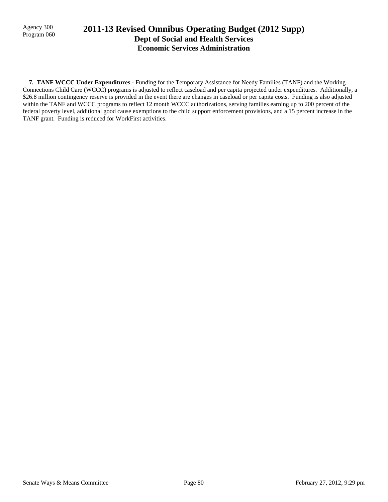### Program 060 **2011-13 Revised Omnibus Operating Budget (2012 Supp) Dept of Social and Health Services Economic Services Administration**

 **7. TANF WCCC Under Expenditures -** Funding for the Temporary Assistance for Needy Families (TANF) and the Working Connections Child Care (WCCC) programs is adjusted to reflect caseload and per capita projected under expenditures. Additionally, a \$26.8 million contingency reserve is provided in the event there are changes in caseload or per capita costs. Funding is also adjusted within the TANF and WCCC programs to reflect 12 month WCCC authorizations, serving families earning up to 200 percent of the federal poverty level, additional good cause exemptions to the child support enforcement provisions, and a 15 percent increase in the TANF grant. Funding is reduced for WorkFirst activities.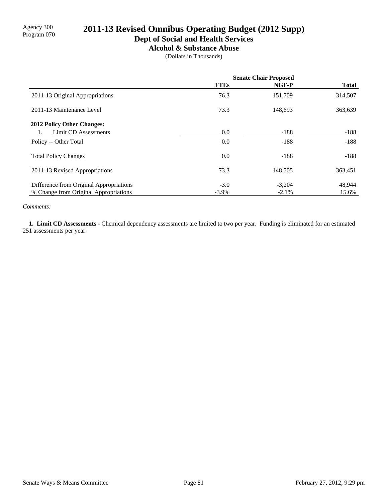### **Dept of Social and Health Services**

**Alcohol & Substance Abuse**

(Dollars in Thousands)

|                                         | <b>Senate Chair Proposed</b> |          |              |
|-----------------------------------------|------------------------------|----------|--------------|
|                                         | <b>FTEs</b>                  | NGF-P    | <b>Total</b> |
| 2011-13 Original Appropriations         | 76.3                         | 151,709  | 314,507      |
| 2011-13 Maintenance Level               | 73.3                         | 148,693  | 363,639      |
| <b>2012 Policy Other Changes:</b>       |                              |          |              |
| Limit CD Assessments                    | 0.0                          | $-188$   | $-188$       |
| Policy -- Other Total                   | 0.0                          | $-188$   | $-188$       |
| <b>Total Policy Changes</b>             | 0.0                          | $-188$   | $-188$       |
| 2011-13 Revised Appropriations          | 73.3                         | 148,505  | 363,451      |
| Difference from Original Appropriations | $-3.0$                       | $-3,204$ | 48,944       |
| % Change from Original Appropriations   | $-3.9\%$                     | $-2.1\%$ | 15.6%        |

*Comments:*

 **1. Limit CD Assessments -** Chemical dependency assessments are limited to two per year. Funding is eliminated for an estimated 251 assessments per year.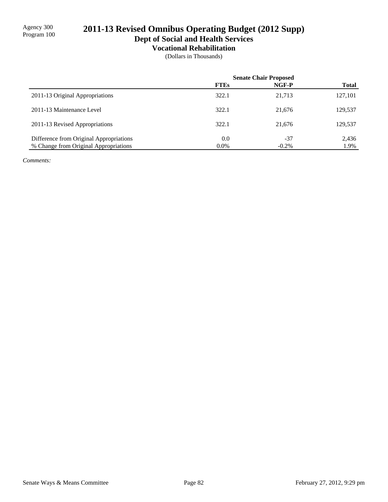**Dept of Social and Health Services**

**Vocational Rehabilitation**

(Dollars in Thousands)

|                                         | <b>Senate Chair Proposed</b> |          |              |
|-----------------------------------------|------------------------------|----------|--------------|
|                                         | <b>FTEs</b>                  | NGF-P    | <b>Total</b> |
| 2011-13 Original Appropriations         | 322.1                        | 21,713   | 127,101      |
| 2011-13 Maintenance Level               | 322.1                        | 21,676   | 129,537      |
| 2011-13 Revised Appropriations          | 322.1                        | 21,676   | 129,537      |
| Difference from Original Appropriations | 0.0                          | -37      | 2,436        |
| % Change from Original Appropriations   | $0.0\%$                      | $-0.2\%$ | 1.9%         |

*Comments:*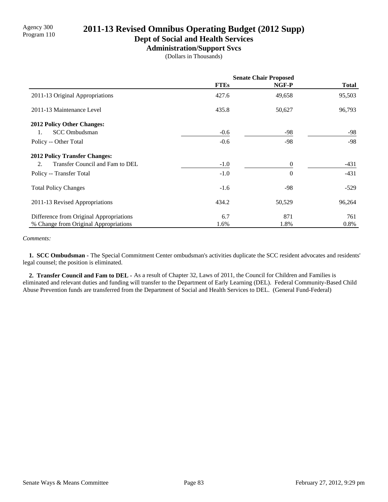### **Dept of Social and Health Services**

**Administration/Support Svcs**

(Dollars in Thousands)

|                                         | <b>Senate Chair Proposed</b> |          |              |
|-----------------------------------------|------------------------------|----------|--------------|
|                                         | <b>FTEs</b>                  | NGF-P    | <b>Total</b> |
| 2011-13 Original Appropriations         | 427.6                        | 49,658   | 95,503       |
| 2011-13 Maintenance Level               | 435.8                        | 50,627   | 96,793       |
| <b>2012 Policy Other Changes:</b>       |                              |          |              |
| <b>SCC</b> Ombudsman<br>1.              | $-0.6$                       | -98      | -98          |
| Policy -- Other Total                   | $-0.6$                       | $-98$    | -98          |
| <b>2012 Policy Transfer Changes:</b>    |                              |          |              |
| Transfer Council and Fam to DEL<br>2.   | $-1.0$                       | $\theta$ | -431         |
| Policy -- Transfer Total                | $-1.0$                       | $\theta$ | $-431$       |
| <b>Total Policy Changes</b>             | $-1.6$                       | $-98$    | $-529$       |
| 2011-13 Revised Appropriations          | 434.2                        | 50,529   | 96,264       |
| Difference from Original Appropriations | 6.7                          | 871      | 761          |
| % Change from Original Appropriations   | 1.6%                         | 1.8%     | 0.8%         |

#### *Comments:*

 **1. SCC Ombudsman -** The Special Commitment Center ombudsman's activities duplicate the SCC resident advocates and residents' legal counsel; the position is eliminated.

 **2. Transfer Council and Fam to DEL -** As a result of Chapter 32, Laws of 2011, the Council for Children and Families is eliminated and relevant duties and funding will transfer to the Department of Early Learning (DEL). Federal Community-Based Child Abuse Prevention funds are transferred from the Department of Social and Health Services to DEL. (General Fund-Federal)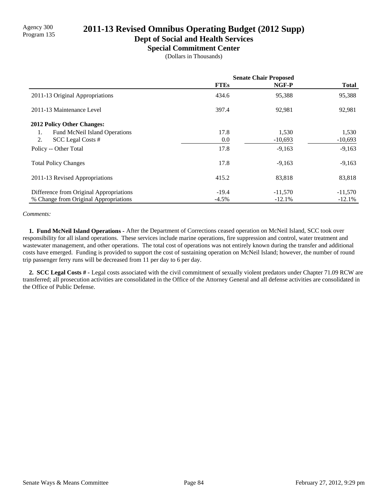# Program 135 **2011-13 Revised Omnibus Operating Budget (2012 Supp)**

# **Dept of Social and Health Services**

**Special Commitment Center**

(Dollars in Thousands)

|                                         | <b>Senate Chair Proposed</b> |           |              |
|-----------------------------------------|------------------------------|-----------|--------------|
|                                         | <b>FTEs</b>                  | NGF-P     | <b>Total</b> |
| 2011-13 Original Appropriations         | 434.6                        | 95,388    | 95,388       |
| 2011-13 Maintenance Level               | 397.4                        | 92,981    | 92,981       |
| 2012 Policy Other Changes:              |                              |           |              |
| Fund McNeil Island Operations<br>1.     | 17.8                         | 1,530     | 1,530        |
| 2.<br>SCC Legal Costs #                 | 0.0                          | $-10,693$ | $-10,693$    |
| Policy -- Other Total                   | 17.8                         | $-9,163$  | $-9,163$     |
| <b>Total Policy Changes</b>             | 17.8                         | $-9,163$  | $-9,163$     |
| 2011-13 Revised Appropriations          | 415.2                        | 83,818    | 83,818       |
| Difference from Original Appropriations | $-19.4$                      | $-11,570$ | $-11,570$    |
| % Change from Original Appropriations   | $-4.5\%$                     | $-12.1%$  | $-12.1%$     |

#### *Comments:*

 **1. Fund McNeil Island Operations -** After the Department of Corrections ceased operation on McNeil Island, SCC took over responsibility for all island operations. These services include marine operations, fire suppression and control, water treatment and wastewater management, and other operations. The total cost of operations was not entirely known during the transfer and additional costs have emerged. Funding is provided to support the cost of sustaining operation on McNeil Island; however, the number of round trip passenger ferry runs will be decreased from 11 per day to 6 per day.

 **2. SCC Legal Costs # -** Legal costs associated with the civil commitment of sexually violent predators under Chapter 71.09 RCW are transferred; all prosecution activities are consolidated in the Office of the Attorney General and all defense activities are consolidated in the Office of Public Defense.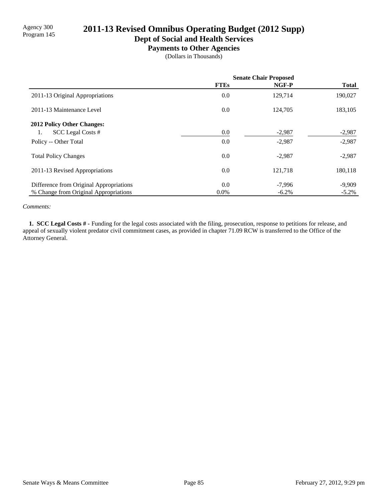# Agency 300<br>Program 145 **2011-13 Revised Omnibus Operating Budget (2012 Supp)**

**Dept of Social and Health Services**

**Payments to Other Agencies**

(Dollars in Thousands)

|                                         | <b>Senate Chair Proposed</b> |          |              |
|-----------------------------------------|------------------------------|----------|--------------|
|                                         | <b>FTEs</b>                  | NGF-P    | <b>Total</b> |
| 2011-13 Original Appropriations         | 0.0                          | 129,714  | 190,027      |
| 2011-13 Maintenance Level               | 0.0                          | 124,705  | 183,105      |
| <b>2012 Policy Other Changes:</b>       |                              |          |              |
| SCC Legal Costs #<br>1.                 | 0.0                          | $-2,987$ | $-2,987$     |
| Policy -- Other Total                   | 0.0                          | $-2,987$ | $-2,987$     |
| <b>Total Policy Changes</b>             | 0.0                          | $-2,987$ | $-2,987$     |
| 2011-13 Revised Appropriations          | 0.0                          | 121,718  | 180,118      |
| Difference from Original Appropriations | 0.0                          | $-7,996$ | $-9,909$     |
| % Change from Original Appropriations   | $0.0\%$                      | $-6.2\%$ | $-5.2\%$     |

#### *Comments:*

 **1. SCC Legal Costs # -** Funding for the legal costs associated with the filing, prosecution, response to petitions for release, and appeal of sexually violent predator civil commitment cases, as provided in chapter 71.09 RCW is transferred to the Office of the Attorney General.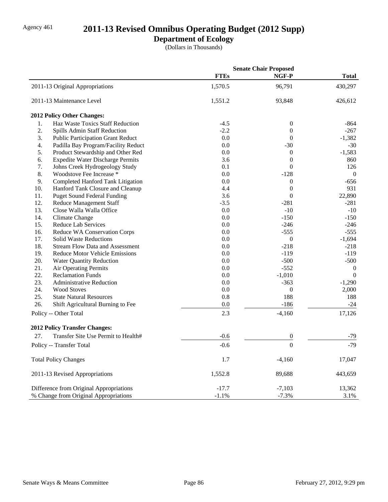# Agency 461 **2011-13 Revised Omnibus Operating Budget (2012 Supp)**

### **Department of Ecology**

(Dollars in Thousands)

|                                                |             | <b>Senate Chair Proposed</b> |                  |
|------------------------------------------------|-------------|------------------------------|------------------|
|                                                | <b>FTEs</b> | NGF-P                        | <b>Total</b>     |
| 2011-13 Original Appropriations                | 1,570.5     | 96,791                       | 430,297          |
| 2011-13 Maintenance Level                      | 1,551.2     | 93,848                       | 426,612          |
| 2012 Policy Other Changes:                     |             |                              |                  |
| Haz Waste Toxics Staff Reduction<br>1.         | $-4.5$      | $\boldsymbol{0}$             | $-864$           |
| 2.<br>Spills Admin Staff Reduction             | $-2.2$      | $\boldsymbol{0}$             | $-267$           |
| 3.<br><b>Public Participation Grant Reduct</b> | 0.0         | $\overline{0}$               | $-1,382$         |
| 4.<br>Padilla Bay Program/Facility Reduct      | 0.0         | $-30$                        | $-30$            |
| 5.<br>Product Stewardship and Other Red        | 0.0         | $\boldsymbol{0}$             | $-1,583$         |
| 6.<br><b>Expedite Water Discharge Permits</b>  | 3.6         | $\theta$                     | 860              |
| 7.<br>Johns Creek Hydrogeology Study           | 0.1         | $\overline{0}$               | 126              |
| 8.<br>Woodstove Fee Increase *                 | 0.0         | $-128$                       | $\theta$         |
| 9.<br>Completed Hanford Tank Litigation        | 0.0         | $\boldsymbol{0}$             | $-656$           |
| 10.<br>Hanford Tank Closure and Cleanup        | 4.4         | $\overline{0}$               | 931              |
| 11.<br><b>Puget Sound Federal Funding</b>      | 3.6         | $\overline{0}$               | 22,890           |
| 12.<br><b>Reduce Management Staff</b>          | $-3.5$      | $-281$                       | $-281$           |
| 13.<br>Close Walla Walla Office                | 0.0         | $-10$                        | $-10$            |
| 14.<br>Climate Change                          | 0.0         | $-150$                       | $-150$           |
| 15.<br><b>Reduce Lab Services</b>              | 0.0         | $-246$                       | $-246$           |
| 16.<br>Reduce WA Conservation Corps            | 0.0         | $-555$                       | $-555$           |
| 17.<br><b>Solid Waste Reductions</b>           | 0.0         | $\overline{0}$               | $-1,694$         |
| 18.<br><b>Stream Flow Data and Assessment</b>  | 0.0         | $-218$                       | $-218$           |
| 19.<br><b>Reduce Motor Vehicle Emissions</b>   | 0.0         | $-119$                       | $-119$           |
| 20.<br><b>Water Quantity Reduction</b>         | 0.0         | $-500$                       | $-500$           |
| 21.<br><b>Air Operating Permits</b>            | 0.0         | $-552$                       | $\boldsymbol{0}$ |
| 22.<br><b>Reclamation Funds</b>                | 0.0         | $-1,010$                     | $\mathbf{0}$     |
| 23.<br><b>Administrative Reduction</b>         | 0.0         | $-363$                       | $-1,290$         |
| 24.<br><b>Wood Stoves</b>                      | 0.0         | $\overline{0}$               | 2,000            |
| 25.<br><b>State Natural Resources</b>          | 0.8         | 188                          | 188              |
| 26.<br>Shift Agricultural Burning to Fee       | 0.0         | $-186$                       | $-24$            |
| Policy -- Other Total                          | 2.3         | $-4,160$                     | 17,126           |
| <b>2012 Policy Transfer Changes:</b>           |             |                              |                  |
| 27.<br>Transfer Site Use Permit to Health#     | $-0.6$      | $\boldsymbol{0}$             | $-79$            |
| Policy -- Transfer Total                       | $-0.6$      | $\boldsymbol{0}$             | $-79$            |
| <b>Total Policy Changes</b>                    | 1.7         | $-4,160$                     | 17,047           |
| 2011-13 Revised Appropriations                 | 1,552.8     | 89,688                       | 443,659          |
| Difference from Original Appropriations        | $-17.7$     | $-7,103$                     | 13,362           |
| % Change from Original Appropriations          | $-1.1\%$    | $-7.3%$                      | 3.1%             |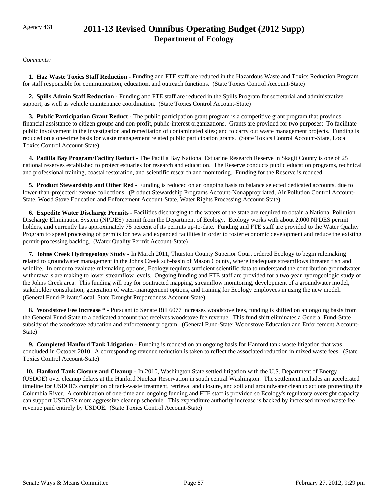## Agency 461 **2011-13 Revised Omnibus Operating Budget (2012 Supp) Department of Ecology**

*Comments:*

 **1. Haz Waste Toxics Staff Reduction -** Funding and FTE staff are reduced in the Hazardous Waste and Toxics Reduction Program for staff responsible for communication, education, and outreach functions. (State Toxics Control Account-State)

 **2. Spills Admin Staff Reduction -** Funding and FTE staff are reduced in the Spills Program for secretarial and administrative support, as well as vehicle maintenance coordination. (State Toxics Control Account-State)

 **3. Public Participation Grant Reduct -** The public participation grant program is a competitive grant program that provides financial assistance to citizen groups and non-profit, public-interest organizations. Grants are provided for two purposes: To facilitate public involvement in the investigation and remediation of contaminated sites; and to carry out waste management projects. Funding is reduced on a one-time basis for waste management related public participation grants. (State Toxics Control Account-State, Local Toxics Control Account-State)

 **4. Padilla Bay Program/Facility Reduct -** The Padilla Bay National Estuarine Research Reserve in Skagit County is one of 25 national reserves established to protect estuaries for research and education. The Reserve conducts public education programs, technical and professional training, coastal restoration, and scientific research and monitoring. Funding for the Reserve is reduced.

 **5. Product Stewardship and Other Red -** Funding is reduced on an ongoing basis to balance selected dedicated accounts, due to lower-than-projected revenue collections. (Product Stewardship Programs Account-Nonappropriated, Air Pollution Control Account-State, Wood Stove Education and Enforcement Account-State, Water Rights Processing Account-State)

 **6. Expedite Water Discharge Permits -** Facilities discharging to the waters of the state are required to obtain a National Pollution Discharge Elimination System (NPDES) permit from the Department of Ecology. Ecology works with about 2,000 NPDES permit holders, and currently has approximately 75 percent of its permits up-to-date. Funding and FTE staff are provided to the Water Quality Program to speed processing of permits for new and expanded facilities in order to foster economic development and reduce the existing permit-processing backlog. (Water Quality Permit Account-State)

 **7. Johns Creek Hydrogeology Study -** In March 2011, Thurston County Superior Court ordered Ecology to begin rulemaking related to groundwater management in the Johns Creek sub-basin of Mason County, where inadequate streamflows threaten fish and wildlife. In order to evaluate rulemaking options, Ecology requires sufficient scientific data to understand the contribution groundwater withdrawals are making to lower streamflow levels. Ongoing funding and FTE staff are provided for a two-year hydrogeologic study of the Johns Creek area. This funding will pay for contracted mapping, streamflow monitoring, development of a groundwater model, stakeholder consultation, generation of water-management options, and training for Ecology employees in using the new model. (General Fund-Private/Local, State Drought Preparedness Account-State)

 **8. Woodstove Fee Increase \* -** Pursuant to Senate Bill 6077 increases woodstove fees, funding is shifted on an ongoing basis from the General Fund-State to a dedicated account that receives woodstove fee revenue. This fund shift eliminates a General Fund-State subsidy of the woodstove education and enforcement program. (General Fund-State; Woodstove Education and Enforcement Account-State)

 **9. Completed Hanford Tank Litigation -** Funding is reduced on an ongoing basis for Hanford tank waste litigation that was concluded in October 2010. A corresponding revenue reduction is taken to reflect the associated reduction in mixed waste fees. (State Toxics Control Account-State)

 **10. Hanford Tank Closure and Cleanup -** In 2010, Washington State settled litigation with the U.S. Department of Energy (USDOE) over cleanup delays at the Hanford Nuclear Reservation in south central Washington. The settlement includes an accelerated timeline for USDOE's completion of tank-waste treatment, retrieval and closure, and soil and groundwater cleanup actions protecting the Columbia River. A combination of one-time and ongoing funding and FTE staff is provided so Ecology's regulatory oversight capacity can support USDOE's more aggressive cleanup schedule. This expenditure authority increase is backed by increased mixed waste fee revenue paid entirely by USDOE. (State Toxics Control Account-State)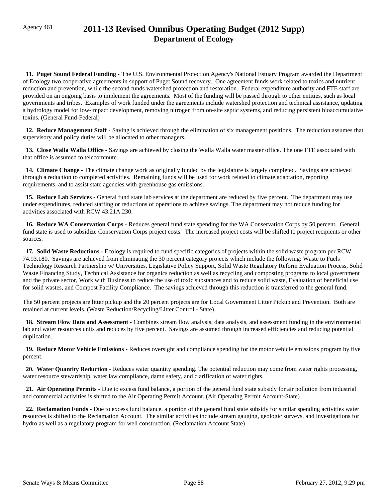## Agency 461 **2011-13 Revised Omnibus Operating Budget (2012 Supp) Department of Ecology**

 **11. Puget Sound Federal Funding -** The U.S. Environmental Protection Agency's National Estuary Program awarded the Department of Ecology two cooperative agreements in support of Puget Sound recovery. One agreement funds work related to toxics and nutrient reduction and prevention, while the second funds watershed protection and restoration. Federal expenditure authority and FTE staff are provided on an ongoing basis to implement the agreements. Most of the funding will be passed through to other entities, such as local governments and tribes. Examples of work funded under the agreements include watershed protection and technical assistance, updating a hydrology model for low-impact development, removing nitrogen from on-site septic systems, and reducing persistent bioaccumulative toxins. (General Fund-Federal)

 **12. Reduce Management Staff -** Saving is achieved through the elimination of six management positions. The reduction assumes that supervisory and policy duties will be allocated to other managers.

 **13. Close Walla Walla Office -** Savings are achieved by closing the Walla Walla water master office. The one FTE associated with that office is assumed to telecommute.

 **14. Climate Change -** The climate change work as originally funded by the legislature is largely completed. Savings are achieved through a reduction to completed activities. Remaining funds will be used for work related to climate adaptation, reporting requirements, and to assist state agencies with greenhouse gas emissions.

 **15. Reduce Lab Services -** General fund state lab services at the department are reduced by five percent. The department may use under expenditures, reduced staffing or reductions of operations to achieve savings. The department may not reduce funding for activities associated with RCW 43.21A.230.

 **16. Reduce WA Conservation Corps -** Reduces general fund state spending for the WA Conservation Corps by 50 percent. General fund state is used to subsidize Conservation Corps project costs. The increased project costs will be shifted to project recipients or other sources.

 **17. Solid Waste Reductions -** Ecology is required to fund specific categories of projects within the solid waste program per RCW 74.93.180. Savings are achieved from eliminating the 30 percent category projects which include the following: Waste to Fuels Technology Research Partnership w/ Universities, Legislative Policy Support, Solid Waste Regulatory Reform Evaluation Process, Solid Waste Financing Study, Technical Assistance for organics reduction as well as recycling and composting programs to local government and the private sector, Work with Business to reduce the use of toxic substances and to reduce solid waste, Evaluation of beneficial use for solid wastes, and Compost Facility Compliance. The savings achieved through this reduction is transferred to the general fund.

The 50 percent projects are litter pickup and the 20 percent projects are for Local Government Litter Pickup and Prevention. Both are retained at current levels. (Waste Reduction/Recycling/Litter Control - State)

 **18. Stream Flow Data and Assessment -** Combines stream flow analysis, data analysis, and assessment funding in the environmental lab and water resources units and reduces by five percent. Savings are assumed through increased efficiencies and reducing potential duplication.

 **19. Reduce Motor Vehicle Emissions -** Reduces oversight and compliance spending for the motor vehicle emissions program by five percent.

 **20. Water Quantity Reduction -** Reduces water quantity spending. The potential reduction may come from water rights processing, water resource stewardship, water law compliance, damn safety, and clarification of water rights.

 **21. Air Operating Permits -** Due to excess fund balance, a portion of the general fund state subsidy for air pollution from industrial and commercial activities is shifted to the Air Operating Permit Account. (Air Operating Permit Account-State)

 **22. Reclamation Funds -** Due to excess fund balance, a portion of the general fund state subsidy for similar spending activities water resources is shifted to the Reclamation Account. The similar activities include stream gauging, geologic surveys, and investigations for hydro as well as a regulatory program for well construction. (Reclamation Account State)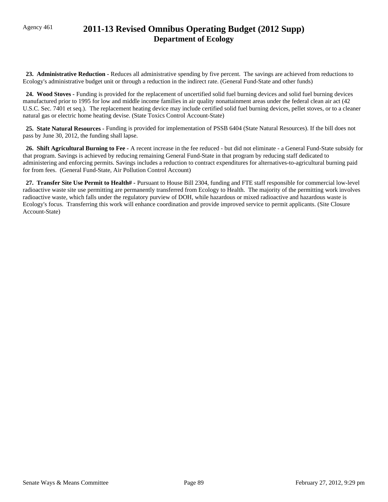## Agency 461 **2011-13 Revised Omnibus Operating Budget (2012 Supp) Department of Ecology**

 **23. Administrative Reduction -** Reduces all administrative spending by five percent. The savings are achieved from reductions to Ecology's administrative budget unit or through a reduction in the indirect rate. (General Fund-State and other funds)

 **24. Wood Stoves -** Funding is provided for the replacement of uncertified solid fuel burning devices and solid fuel burning devices manufactured prior to 1995 for low and middle income families in air quality nonattainment areas under the federal clean air act (42 U.S.C. Sec. 7401 et seq.). The replacement heating device may include certified solid fuel burning devices, pellet stoves, or to a cleaner natural gas or electric home heating devise. (State Toxics Control Account-State)

 **25. State Natural Resources -** Funding is provided for implementation of PSSB 6404 (State Natural Resources). If the bill does not pass by June 30, 2012, the funding shall lapse.

 **26. Shift Agricultural Burning to Fee -** A recent increase in the fee reduced - but did not eliminate - a General Fund-State subsidy for that program. Savings is achieved by reducing remaining General Fund-State in that program by reducing staff dedicated to administering and enforcing permits. Savings includes a reduction to contract expenditures for alternatives-to-agricultural burning paid for from fees. (General Fund-State, Air Pollution Control Account)

 **27. Transfer Site Use Permit to Health# -** Pursuant to House Bill 2304, funding and FTE staff responsible for commercial low-level radioactive waste site use permitting are permanently transferred from Ecology to Health. The majority of the permitting work involves radioactive waste, which falls under the regulatory purview of DOH, while hazardous or mixed radioactive and hazardous waste is Ecology's focus. Transferring this work will enhance coordination and provide improved service to permit applicants. (Site Closure Account-State)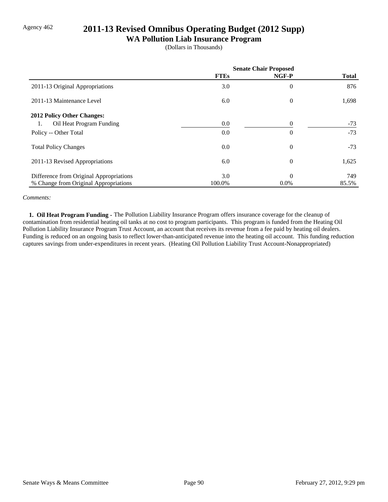### Agency 462 **2011-13 Revised Omnibus Operating Budget (2012 Supp)**

### **WA Pollution Liab Insurance Program**

(Dollars in Thousands)

|                                         | <b>Senate Chair Proposed</b> |                |              |
|-----------------------------------------|------------------------------|----------------|--------------|
|                                         | <b>FTEs</b>                  | NGF-P          | <b>Total</b> |
| 2011-13 Original Appropriations         | 3.0                          | $\overline{0}$ | 876          |
| 2011-13 Maintenance Level               | 6.0                          | $\overline{0}$ | 1,698        |
| 2012 Policy Other Changes:              |                              |                |              |
| Oil Heat Program Funding<br>1.          | 0.0                          | $\theta$       | $-73$        |
| Policy -- Other Total                   | 0.0                          | $\overline{0}$ | $-73$        |
| <b>Total Policy Changes</b>             | 0.0                          | $\overline{0}$ | $-73$        |
| 2011-13 Revised Appropriations          | 6.0                          | $\overline{0}$ | 1,625        |
| Difference from Original Appropriations | 3.0                          | $\theta$       | 749          |
| % Change from Original Appropriations   | 100.0%                       | $0.0\%$        | 85.5%        |

#### *Comments:*

 **1. Oil Heat Program Funding -** The Pollution Liability Insurance Program offers insurance coverage for the cleanup of contamination from residential heating oil tanks at no cost to program participants. This program is funded from the Heating Oil Pollution Liability Insurance Program Trust Account, an account that receives its revenue from a fee paid by heating oil dealers. Funding is reduced on an ongoing basis to reflect lower-than-anticipated revenue into the heating oil account. This funding reduction captures savings from under-expenditures in recent years. (Heating Oil Pollution Liability Trust Account-Nonappropriated)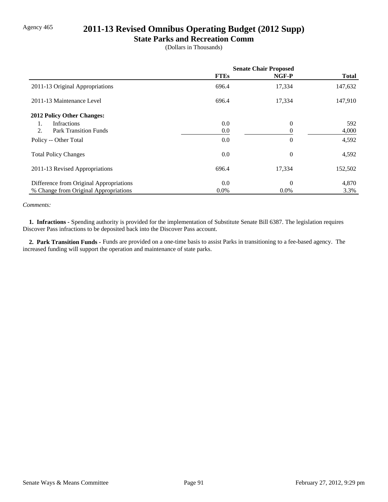### Agency 465 **2011-13 Revised Omnibus Operating Budget (2012 Supp)**

### **State Parks and Recreation Comm**

(Dollars in Thousands)

|                                         | <b>Senate Chair Proposed</b> |          |              |
|-----------------------------------------|------------------------------|----------|--------------|
|                                         | <b>FTEs</b>                  | NGF-P    | <b>Total</b> |
| 2011-13 Original Appropriations         | 696.4                        | 17,334   | 147,632      |
| 2011-13 Maintenance Level               | 696.4                        | 17,334   | 147,910      |
| 2012 Policy Other Changes:              |                              |          |              |
| Infractions<br>1.                       | 0.0                          | $\theta$ | 592          |
| 2.<br><b>Park Transition Funds</b>      | 0.0                          | 0        | 4,000        |
| Policy -- Other Total                   | 0.0                          | $\theta$ | 4,592        |
| <b>Total Policy Changes</b>             | 0.0                          | $\theta$ | 4,592        |
| 2011-13 Revised Appropriations          | 696.4                        | 17,334   | 152,502      |
| Difference from Original Appropriations | 0.0                          | $\theta$ | 4,870        |
| % Change from Original Appropriations   | $0.0\%$                      | $0.0\%$  | 3.3%         |

#### *Comments:*

 **1. Infractions -** Spending authority is provided for the implementation of Substitute Senate Bill 6387. The legislation requires Discover Pass infractions to be deposited back into the Discover Pass account.

 **2. Park Transition Funds -** Funds are provided on a one-time basis to assist Parks in transitioning to a fee-based agency. The increased funding will support the operation and maintenance of state parks.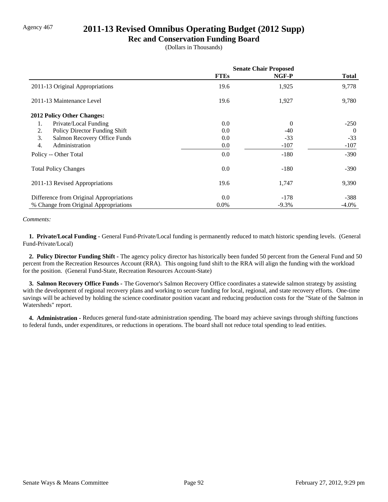### Agency 467 **2011-13 Revised Omnibus Operating Budget (2012 Supp)**

### **Rec and Conservation Funding Board**

(Dollars in Thousands)

|                                         | <b>Senate Chair Proposed</b> |          |              |
|-----------------------------------------|------------------------------|----------|--------------|
|                                         | <b>FTEs</b>                  | NGF-P    | <b>Total</b> |
| 2011-13 Original Appropriations         | 19.6                         | 1,925    | 9,778        |
| 2011-13 Maintenance Level               | 19.6                         | 1,927    | 9,780        |
| 2012 Policy Other Changes:              |                              |          |              |
| Private/Local Funding<br>1.             | 0.0                          | $\Omega$ | $-250$       |
| Policy Director Funding Shift<br>2.     | 0.0                          | $-40$    | $\theta$     |
| 3.<br>Salmon Recovery Office Funds      | 0.0                          | $-33$    | $-33$        |
| 4.<br>Administration                    | 0.0                          | $-107$   | $-107$       |
| Policy -- Other Total                   | 0.0                          | $-180$   | $-390$       |
| <b>Total Policy Changes</b>             | 0.0                          | $-180$   | $-390$       |
| 2011-13 Revised Appropriations          | 19.6                         | 1,747    | 9,390        |
| Difference from Original Appropriations | 0.0                          | $-178$   | $-388$       |
| % Change from Original Appropriations   | $0.0\%$                      | $-9.3\%$ | $-4.0\%$     |

#### *Comments:*

 **1. Private/Local Funding -** General Fund-Private/Local funding is permanently reduced to match historic spending levels. (General Fund-Private/Local)

 **2. Policy Director Funding Shift -** The agency policy director has historically been funded 50 percent from the General Fund and 50 percent from the Recreation Resources Account (RRA). This ongoing fund shift to the RRA will align the funding with the workload for the position. (General Fund-State, Recreation Resources Account-State)

 **3. Salmon Recovery Office Funds -** The Governor's Salmon Recovery Office coordinates a statewide salmon strategy by assisting with the development of regional recovery plans and working to secure funding for local, regional, and state recovery efforts. One-time savings will be achieved by holding the science coordinator position vacant and reducing production costs for the "State of the Salmon in Watersheds" report.

**4. Administration - Reduces general fund-state administration spending. The board may achieve savings through shifting functions** to federal funds, under expenditures, or reductions in operations. The board shall not reduce total spending to lead entities.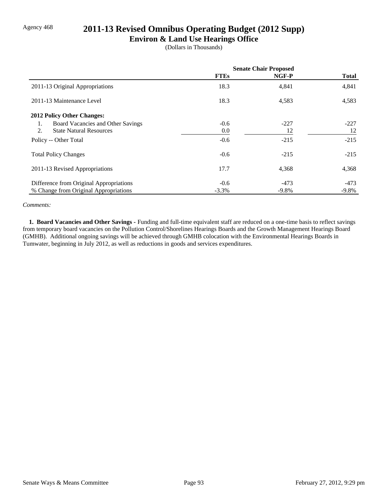### Agency 468 **2011-13 Revised Omnibus Operating Budget (2012 Supp)**

### **Environ & Land Use Hearings Office**

(Dollars in Thousands)

|                                         | <b>Senate Chair Proposed</b> |         |              |
|-----------------------------------------|------------------------------|---------|--------------|
|                                         | <b>FTEs</b>                  | NGF-P   | <b>Total</b> |
| 2011-13 Original Appropriations         | 18.3                         | 4,841   | 4,841        |
| 2011-13 Maintenance Level               | 18.3                         | 4,583   | 4,583        |
| 2012 Policy Other Changes:              |                              |         |              |
| Board Vacancies and Other Savings<br>1. | $-0.6$                       | $-227$  | $-227$       |
| 2.<br><b>State Natural Resources</b>    | 0.0                          | 12      | 12           |
| Policy -- Other Total                   | $-0.6$                       | $-215$  | $-215$       |
| <b>Total Policy Changes</b>             | $-0.6$                       | $-215$  | $-215$       |
| 2011-13 Revised Appropriations          | 17.7                         | 4,368   | 4,368        |
| Difference from Original Appropriations | $-0.6$                       | $-473$  | -473         |
| % Change from Original Appropriations   | $-3.3\%$                     | $-9.8%$ | $-9.8\%$     |

#### *Comments:*

 **1. Board Vacancies and Other Savings -** Funding and full-time equivalent staff are reduced on a one-time basis to reflect savings from temporary board vacancies on the Pollution Control/Shorelines Hearings Boards and the Growth Management Hearings Board (GMHB). Additional ongoing savings will be achieved through GMHB colocation with the Environmental Hearings Boards in Tumwater, beginning in July 2012, as well as reductions in goods and services expenditures.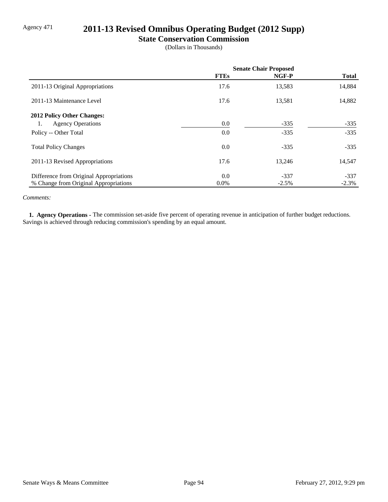# Agency 471 **2011-13 Revised Omnibus Operating Budget (2012 Supp)**

### **State Conservation Commission**

(Dollars in Thousands)

|                                         | <b>Senate Chair Proposed</b> |         |              |
|-----------------------------------------|------------------------------|---------|--------------|
|                                         | <b>FTEs</b>                  | NGF-P   | <b>Total</b> |
| 2011-13 Original Appropriations         | 17.6                         | 13,583  | 14,884       |
| 2011-13 Maintenance Level               | 17.6                         | 13,581  | 14,882       |
| 2012 Policy Other Changes:              |                              |         |              |
| <b>Agency Operations</b><br>1.          | 0.0                          | $-335$  | $-335$       |
| Policy -- Other Total                   | 0.0                          | $-335$  | $-335$       |
| <b>Total Policy Changes</b>             | 0.0                          | $-335$  | $-335$       |
| 2011-13 Revised Appropriations          | 17.6                         | 13,246  | 14,547       |
| Difference from Original Appropriations | 0.0                          | $-337$  | $-337$       |
| % Change from Original Appropriations   | $0.0\%$                      | $-2.5%$ | $-2.3\%$     |

#### *Comments:*

 **1. Agency Operations -** The commission set-aside five percent of operating revenue in anticipation of further budget reductions. Savings is achieved through reducing commission's spending by an equal amount.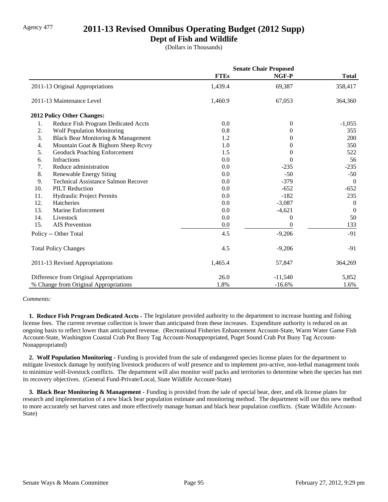### Agency 477 **2011-13 Revised Omnibus Operating Budget (2012 Supp)**

### **Dept of Fish and Wildlife**

(Dollars in Thousands)

|     |                                            | <b>Senate Chair Proposed</b> |                |                  |
|-----|--------------------------------------------|------------------------------|----------------|------------------|
|     |                                            | <b>FTEs</b>                  | NGF-P          | <b>Total</b>     |
|     | 2011-13 Original Appropriations            | 1,439.4                      | 69,387         | 358,417          |
|     | 2011-13 Maintenance Level                  | 1,460.9                      | 67,053         | 364,360          |
|     | 2012 Policy Other Changes:                 |                              |                |                  |
| 1.  | Reduce Fish Program Dedicated Accts        | 0.0                          | $\overline{0}$ | $-1,055$         |
| 2.  | <b>Wolf Population Monitoring</b>          | 0.8                          | 0              | 355              |
| 3.  | Black Bear Monitoring & Management         | 1.2                          | $\Omega$       | 200              |
| 4.  | Mountain Goat & Bighorn Sheep Rcvry        | 1.0                          | 0              | 350              |
| 5.  | Geoduck Poaching Enforcement               | 1.5                          | 0              | 522              |
| 6.  | Infractions                                | 0.0                          | $\Omega$       | 56               |
| 7.  | Reduce administration                      | 0.0                          | $-235$         | $-235$           |
| 8.  | Renewable Energy Siting                    | 0.0                          | $-50$          | $-50$            |
| 9.  | <b>Technical Assistance Salmon Recover</b> | 0.0                          | $-379$         | $\overline{0}$   |
| 10. | <b>PILT Reduction</b>                      | 0.0                          | $-652$         | $-652$           |
| 11. | Hydraulic Project Permits                  | 0.0                          | $-182$         | 235              |
| 12. | Hatcheries                                 | 0.0                          | $-3,087$       | $\boldsymbol{0}$ |
| 13. | Marine Enforcement                         | 0.0                          | $-4,621$       | $\theta$         |
| 14. | Livestock                                  | 0.0                          | $\theta$       | 50               |
| 15. | <b>AIS</b> Prevention                      | 0.0                          | $\overline{0}$ | 133              |
|     | Policy -- Other Total                      | 4.5                          | $-9,206$       | $-91$            |
|     | <b>Total Policy Changes</b>                | 4.5                          | $-9,206$       | $-91$            |
|     | 2011-13 Revised Appropriations             | 1,465.4                      | 57,847         | 364,269          |
|     | Difference from Original Appropriations    | 26.0                         | $-11,540$      | 5,852            |
|     | % Change from Original Appropriations      | 1.8%                         | $-16.6%$       | 1.6%             |

*Comments:*

 **1. Reduce Fish Program Dedicated Accts -** The legislature provided authority to the department to increase hunting and fishing license fees. The current revenue collection is lower than anticipated from these increases. Expenditure authority is reduced on an ongoing basis to reflect lower than anticipated revenue. (Recreational Fisheries Enhancement Account-State, Warm Water Game Fish Account-State, Washington Coastal Crab Pot Buoy Tag Account-Nonappropriated, Puget Sound Crab Pot Buoy Tag Account-Nonappropriated)

 **2. Wolf Population Monitoring -** Funding is provided from the sale of endangered species license plates for the department to mitigate livestock damage by notifying livestock producers of wolf presence and to implement pro-active, non-lethal management tools to minimize wolf-livestock conflicts. The department will also monitor wolf packs and territories to determine when the species has met its recovery objectives. (General Fund-Private/Local, State Wildlife Account-State)

 **3. Black Bear Monitoring & Management -** Funding is provided from the sale of special bear, deer, and elk license plates for research and implementation of a new black bear population estimate and monitoring method. The department will use this new method to more accurately set harvest rates and more effectively manage human and black bear population conflicts. (State Wildlife Account-State)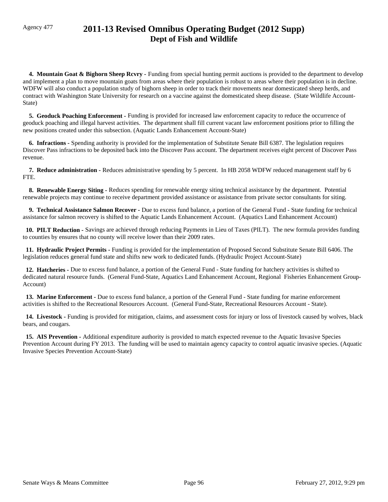## Agency 477 **2011-13 Revised Omnibus Operating Budget (2012 Supp) Dept of Fish and Wildlife**

**4. Mountain Goat & Bighorn Sheep Rcvry -** Funding from special hunting permit auctions is provided to the department to develop and implement a plan to move mountain goats from areas where their population is robust to areas where their population is in decline. WDFW will also conduct a population study of bighorn sheep in order to track their movements near domesticated sheep herds, and contract with Washington State University for research on a vaccine against the domesticated sheep disease. (State Wildlife Account-State)

 **5. Geoduck Poaching Enforcement -** Funding is provided for increased law enforcement capacity to reduce the occurrence of geoduck poaching and illegal harvest activities. The department shall fill current vacant law enforcement positions prior to filling the new positions created under this subsection. (Aquatic Lands Enhancement Account-State)

 **6. Infractions -** Spending authority is provided for the implementation of Substitute Senate Bill 6387. The legislation requires Discover Pass infractions to be deposited back into the Discover Pass account. The department receives eight percent of Discover Pass revenue.

 **7. Reduce administration -** Reduces administrative spending by 5 percent. In HB 2058 WDFW reduced management staff by 6 FTE.

 **8. Renewable Energy Siting -** Reduces spending for renewable energy siting technical assistance by the department. Potential renewable projects may continue to receive department provided assistance or assistance from private sector consultants for siting.

 **9. Technical Assistance Salmon Recover -** Due to excess fund balance, a portion of the General Fund - State funding for technical assistance for salmon recovery is shifted to the Aquatic Lands Enhancement Account. (Aquatics Land Enhancement Account)

 **10. PILT Reduction -** Savings are achieved through reducing Payments in Lieu of Taxes (PILT). The new formula provides funding to counties by ensures that no county will receive lower than their 2009 rates.

 **11. Hydraulic Project Permits -** Funding is provided for the implementation of Proposed Second Substitute Senate Bill 6406. The legislation reduces general fund state and shifts new work to dedicated funds. (Hydraulic Project Account-State)

 **12. Hatcheries -** Due to excess fund balance, a portion of the General Fund - State funding for hatchery activities is shifted to dedicated natural resource funds. (General Fund-State, Aquatics Land Enhancement Account, Regional Fisheries Enhancement Group-Account)

 **13. Marine Enforcement -** Due to excess fund balance, a portion of the General Fund - State funding for marine enforcement activities is shifted to the Recreational Resources Account. (General Fund-State, Recreational Resources Account - State).

14. Livestock - Funding is provided for mitigation, claims, and assessment costs for injury or loss of livestock caused by wolves, black bears, and cougars.

 **15. AIS Prevention -** Additional expenditure authority is provided to match expected revenue to the Aquatic Invasive Species Prevention Account during FY 2013. The funding will be used to maintain agency capacity to control aquatic invasive species. (Aquatic Invasive Species Prevention Account-State)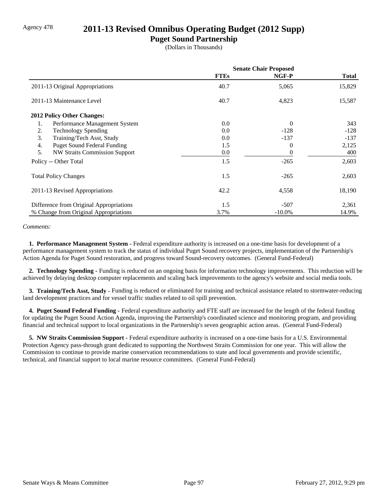### Agency 478 **2011-13 Revised Omnibus Operating Budget (2012 Supp)**

### **Puget Sound Partnership**

(Dollars in Thousands)

|                                            | <b>Senate Chair Proposed</b> |           |              |
|--------------------------------------------|------------------------------|-----------|--------------|
|                                            | <b>FTEs</b>                  | NGF-P     | <b>Total</b> |
| 2011-13 Original Appropriations            | 40.7                         | 5,065     | 15,829       |
| 2011-13 Maintenance Level                  | 40.7                         | 4,823     | 15,587       |
| <b>2012 Policy Other Changes:</b>          |                              |           |              |
| 1.<br>Performance Management System        | 0.0                          | $\Omega$  | 343          |
| 2.<br><b>Technology Spending</b>           | 0.0                          | $-128$    | $-128$       |
| 3.<br>Training/Tech Asst, Study            | 0.0                          | $-137$    | $-137$       |
| 4.<br><b>Puget Sound Federal Funding</b>   | 1.5                          | 0         | 2,125        |
| 5.<br><b>NW Straits Commission Support</b> | 0.0                          | 0         | 400          |
| Policy -- Other Total                      | 1.5                          | $-265$    | 2,603        |
| <b>Total Policy Changes</b>                | 1.5                          | $-265$    | 2,603        |
| 2011-13 Revised Appropriations             | 42.2                         | 4,558     | 18,190       |
| Difference from Original Appropriations    | 1.5                          | $-507$    | 2,361        |
| % Change from Original Appropriations      | 3.7%                         | $-10.0\%$ | 14.9%        |

#### *Comments:*

 **1. Performance Management System -** Federal expenditure authority is increased on a one-time basis for development of a performance management system to track the status of individual Puget Sound recovery projects, implementation of the Partnership's Action Agenda for Puget Sound restoration, and progress toward Sound-recovery outcomes. (General Fund-Federal)

 **2. Technology Spending -** Funding is reduced on an ongoing basis for information technology improvements. This reduction will be achieved by delaying desktop computer replacements and scaling back improvements to the agency's website and social media tools.

 **3. Training/Tech Asst, Study -** Funding is reduced or eliminated for training and technical assistance related to stormwater-reducing land development practices and for vessel traffic studies related to oil spill prevention.

 **4. Puget Sound Federal Funding -** Federal expenditure authority and FTE staff are increased for the length of the federal funding for updating the Puget Sound Action Agenda, improving the Partnership's coordinated science and monitoring program, and providing financial and technical support to local organizations in the Partnership's seven geographic action areas. (General Fund-Federal)

 **5. NW Straits Commission Support -** Federal expenditure authority is increased on a one-time basis for a U.S. Environmental Protection Agency pass-through grant dedicated to supporting the Northwest Straits Commission for one year. This will allow the Commission to continue to provide marine conservation recommendations to state and local governments and provide scientific, technical, and financial support to local marine resource committees. (General Fund-Federal)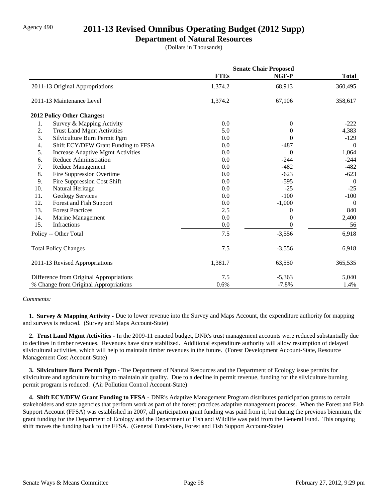### Agency 490 **2011-13 Revised Omnibus Operating Budget (2012 Supp)**

### **Department of Natural Resources**

(Dollars in Thousands)

|     |                                         | <b>Senate Chair Proposed</b> |                  |                |
|-----|-----------------------------------------|------------------------------|------------------|----------------|
|     |                                         | <b>FTEs</b>                  | NGF-P            | <b>Total</b>   |
|     | 2011-13 Original Appropriations         | 1,374.2                      | 68,913           | 360,495        |
|     | 2011-13 Maintenance Level               | 1,374.2                      | 67,106           | 358,617        |
|     | 2012 Policy Other Changes:              |                              |                  |                |
| 1.  | Survey & Mapping Activity               | 0.0                          | $\theta$         | $-222$         |
| 2.  | <b>Trust Land Mgmt Activities</b>       | 5.0                          | $\Omega$         | 4,383          |
| 3.  | Silviculture Burn Permit Pgm            | 0.0                          | $\theta$         | $-129$         |
| 4.  | Shift ECY/DFW Grant Funding to FFSA     | 0.0                          | $-487$           | $\theta$       |
| 5.  | Increase Adaptive Mgmt Activities       | 0.0                          | $\Omega$         | 1,064          |
| 6.  | <b>Reduce Administration</b>            | 0.0                          | $-244$           | $-244$         |
| 7.  | Reduce Management                       | 0.0                          | $-482$           | $-482$         |
| 8.  | Fire Suppression Overtime               | 0.0                          | $-623$           | $-623$         |
| 9.  | Fire Suppression Cost Shift             | 0.0                          | $-595$           | $\overline{0}$ |
| 10. | Natural Heritage                        | 0.0                          | $-25$            | $-25$          |
| 11. | Geology Services                        | 0.0                          | $-100$           | $-100$         |
| 12. | Forest and Fish Support                 | 0.0                          | $-1,000$         | $\overline{0}$ |
| 13. | <b>Forest Practices</b>                 | 2.5                          | 0                | 840            |
| 14. | Marine Management                       | 0.0                          | $\overline{0}$   | 2,400          |
| 15. | <b>Infractions</b>                      | 0.0                          | $\boldsymbol{0}$ | 56             |
|     | Policy -- Other Total                   | 7.5                          | $-3,556$         | 6,918          |
|     | <b>Total Policy Changes</b>             | 7.5                          | $-3,556$         | 6,918          |
|     | 2011-13 Revised Appropriations          | 1,381.7                      | 63,550           | 365,535        |
|     | Difference from Original Appropriations | 7.5                          | $-5,363$         | 5,040          |
|     | % Change from Original Appropriations   | 0.6%                         | $-7.8%$          | 1.4%           |

#### *Comments:*

**1. Survey & Mapping Activity -** Due to lower revenue into the Survey and Maps Account, the expenditure authority for mapping and surveys is reduced. (Survey and Maps Account-State)

 **2. Trust Land Mgmt Activities -** In the 2009-11 enacted budget, DNR's trust management accounts were reduced substantially due to declines in timber revenues. Revenues have since stabilized. Additional expenditure authority will allow resumption of delayed silvicultural activities, which will help to maintain timber revenues in the future. (Forest Development Account-State, Resource Management Cost Account-State)

 **3. Silviculture Burn Permit Pgm -** The Department of Natural Resources and the Department of Ecology issue permits for silviculture and agriculture burning to maintain air quality. Due to a decline in permit revenue, funding for the silviculture burning permit program is reduced. (Air Pollution Control Account-State)

 **4. Shift ECY/DFW Grant Funding to FFSA -** DNR's Adaptive Management Program distributes participation grants to certain stakeholders and state agencies that perform work as part of the forest practices adaptive management process. When the Forest and Fish Support Account (FFSA) was established in 2007, all participation grant funding was paid from it, but during the previous biennium, the grant funding for the Department of Ecology and the Department of Fish and Wildlife was paid from the General Fund. This ongoing shift moves the funding back to the FFSA. (General Fund-State, Forest and Fish Support Account-State)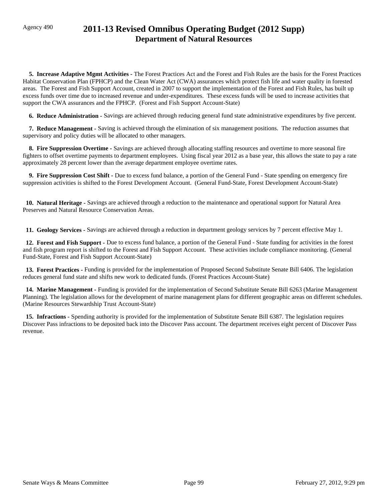## Agency 490 **2011-13 Revised Omnibus Operating Budget (2012 Supp) Department of Natural Resources**

 **5. Increase Adaptive Mgmt Activities -** The Forest Practices Act and the Forest and Fish Rules are the basis for the Forest Practices Habitat Conservation Plan (FPHCP) and the Clean Water Act (CWA) assurances which protect fish life and water quality in forested areas. The Forest and Fish Support Account, created in 2007 to support the implementation of the Forest and Fish Rules, has built up excess funds over time due to increased revenue and under-expenditures. These excess funds will be used to increase activities that support the CWA assurances and the FPHCP. (Forest and Fish Support Account-State)

 **6. Reduce Administration -** Savings are achieved through reducing general fund state administrative expenditures by five percent.

 **7. Reduce Management -** Saving is achieved through the elimination of six management positions. The reduction assumes that supervisory and policy duties will be allocated to other managers.

 **8. Fire Suppression Overtime -** Savings are achieved through allocating staffing resources and overtime to more seasonal fire fighters to offset overtime payments to department employees. Using fiscal year 2012 as a base year, this allows the state to pay a rate approximately 28 percent lower than the average department employee overtime rates.

 **9. Fire Suppression Cost Shift -** Due to excess fund balance, a portion of the General Fund - State spending on emergency fire suppression activities is shifted to the Forest Development Account. (General Fund-State, Forest Development Account-State)

 **10. Natural Heritage -** Savings are achieved through a reduction to the maintenance and operational support for Natural Area Preserves and Natural Resource Conservation Areas.

 **11. Geology Services -** Savings are achieved through a reduction in department geology services by 7 percent effective May 1.

 **12. Forest and Fish Support -** Due to excess fund balance, a portion of the General Fund - State funding for activities in the forest and fish program report is shifted to the Forest and Fish Support Account. These activities include compliance monitoring. (General Fund-State, Forest and Fish Support Account-State)

 **13. Forest Practices -** Funding is provided for the implementation of Proposed Second Substitute Senate Bill 6406. The legislation reduces general fund state and shifts new work to dedicated funds. (Forest Practices Account-State)

 **14. Marine Management -** Funding is provided for the implementation of Second Substitute Senate Bill 6263 (Marine Management Planning). The legislation allows for the development of marine management plans for different geographic areas on different schedules. (Marine Resources Stewardship Trust Account-State)

 **15. Infractions -** Spending authority is provided for the implementation of Substitute Senate Bill 6387. The legislation requires Discover Pass infractions to be deposited back into the Discover Pass account. The department receives eight percent of Discover Pass revenue.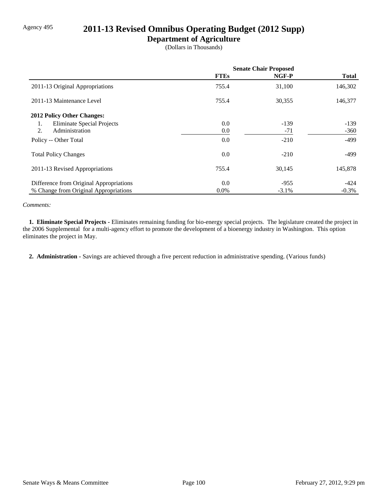### Agency 495 **2011-13 Revised Omnibus Operating Budget (2012 Supp)**

### **Department of Agriculture**

(Dollars in Thousands)

|                                         | <b>Senate Chair Proposed</b> |         |              |
|-----------------------------------------|------------------------------|---------|--------------|
|                                         | <b>FTEs</b>                  | NGF-P   | <b>Total</b> |
| 2011-13 Original Appropriations         | 755.4                        | 31,100  | 146,302      |
| 2011-13 Maintenance Level               | 755.4                        | 30,355  | 146,377      |
| 2012 Policy Other Changes:              |                              |         |              |
| <b>Eliminate Special Projects</b><br>1. | 0.0                          | $-139$  | $-139$       |
| 2.<br>Administration                    | 0.0                          | $-71$   | $-360$       |
| Policy -- Other Total                   | 0.0                          | $-210$  | $-499$       |
| <b>Total Policy Changes</b>             | 0.0                          | $-210$  | $-499$       |
| 2011-13 Revised Appropriations          | 755.4                        | 30,145  | 145,878      |
| Difference from Original Appropriations | 0.0                          | $-955$  | $-424$       |
| % Change from Original Appropriations   | 0.0%                         | $-3.1%$ | $-0.3%$      |

#### *Comments:*

 **1. Eliminate Special Projects -** Eliminates remaining funding for bio-energy special projects. The legislature created the project in the 2006 Supplemental for a multi-agency effort to promote the development of a bioenergy industry in Washington. This option eliminates the project in May.

 **2. Administration -** Savings are achieved through a five percent reduction in administrative spending. (Various funds)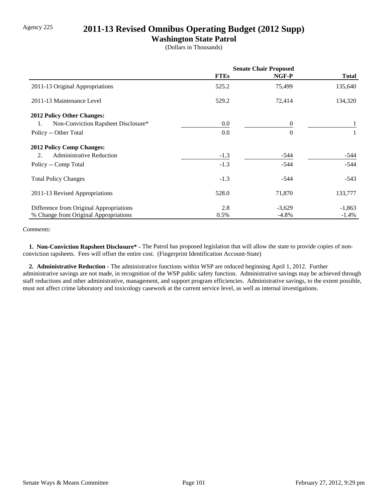## Agency 225 **2011-13 Revised Omnibus Operating Budget (2012 Supp)**

### **Washington State Patrol**

(Dollars in Thousands)

|                                           | <b>Senate Chair Proposed</b> |          |              |
|-------------------------------------------|------------------------------|----------|--------------|
|                                           | <b>FTEs</b>                  | NGF-P    | <b>Total</b> |
| 2011-13 Original Appropriations           | 525.2                        | 75,499   | 135,640      |
| 2011-13 Maintenance Level                 | 529.2                        | 72,414   | 134,320      |
| <b>2012 Policy Other Changes:</b>         |                              |          |              |
| Non-Conviction Rapsheet Disclosure*<br>1. | 0.0                          | $\Omega$ |              |
| Policy -- Other Total                     | 0.0                          | $\Omega$ |              |
| <b>2012 Policy Comp Changes:</b>          |                              |          |              |
| <b>Administrative Reduction</b><br>2.     | $-1.3$                       | -544     | -544         |
| Policy -- Comp Total                      | $-1.3$                       | $-544$   | $-544$       |
| <b>Total Policy Changes</b>               | $-1.3$                       | $-544$   | $-543$       |
| 2011-13 Revised Appropriations            | 528.0                        | 71,870   | 133,777      |
| Difference from Original Appropriations   | 2.8                          | $-3,629$ | $-1,863$     |
| % Change from Original Appropriations     | 0.5%                         | $-4.8\%$ | $-1.4%$      |

#### *Comments:*

 **1. Non-Conviction Rapsheet Disclosure\* -** The Patrol has proposed legislation that will allow the state to provide copies of nonconviction rapsheets. Fees will offset the entire cost. (Fingerprint Identification Account-State)

 **2. Administrative Reduction -** The administrative functions within WSP are reduced beginning April 1, 2012. Further administrative savings are not made, in recognition of the WSP public safety function. Administrative savings may be achieved through staff reductions and other administrative, management, and support program efficiencies. Administrative savings, to the extent possible, must not affect crime laboratory and toxicology casework at the current service level, as well as internal investigations.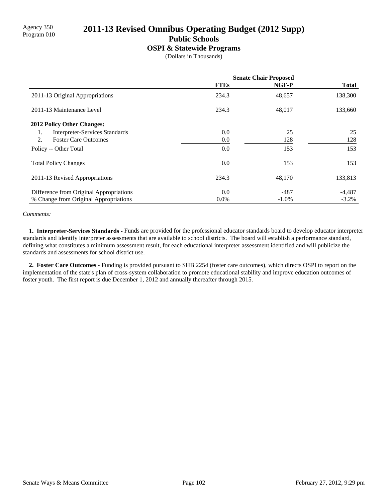# Agency 350 **2011-13 Revised Omnibus Operating Budget (2012 Supp)** Program 010

**Public Schools**

#### **OSPI & Statewide Programs**

(Dollars in Thousands)

|                                             | <b>Senate Chair Proposed</b> |          |              |
|---------------------------------------------|------------------------------|----------|--------------|
|                                             | <b>FTEs</b>                  | NGF-P    | <b>Total</b> |
| 2011-13 Original Appropriations             | 234.3                        | 48,657   | 138,300      |
| 2011-13 Maintenance Level                   | 234.3                        | 48,017   | 133,660      |
| 2012 Policy Other Changes:                  |                              |          |              |
| <b>Interpreter-Services Standards</b><br>1. | 0.0                          | 25       | 25           |
| <b>Foster Care Outcomes</b><br>2.           | 0.0                          | 128      | 128          |
| Policy -- Other Total                       | 0.0                          | 153      | 153          |
| <b>Total Policy Changes</b>                 | 0.0                          | 153      | 153          |
| 2011-13 Revised Appropriations              | 234.3                        | 48,170   | 133,813      |
| Difference from Original Appropriations     | 0.0                          | $-487$   | $-4,487$     |
| % Change from Original Appropriations       | $0.0\%$                      | $-1.0\%$ | $-3.2%$      |

#### *Comments:*

 **1. Interpreter-Services Standards -** Funds are provided for the professional educator standards board to develop educator interpreter standards and identify interpreter assessments that are available to school districts. The board will establish a performance standard, defining what constitutes a minimum assessment result, for each educational interpreter assessment identified and will publicize the standards and assessments for school district use.

 **2. Foster Care Outcomes -** Funding is provided pursuant to SHB 2254 (foster care outcomes), which directs OSPI to report on the implementation of the state's plan of cross-system collaboration to promote educational stability and improve education outcomes of foster youth. The first report is due December 1, 2012 and annually thereafter through 2015.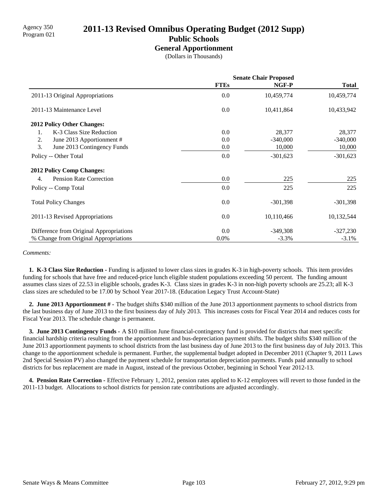# Agency 350 **2011-13 Revised Omnibus Operating Budget (2012 Supp)** Program 021

### **Public Schools**

**General Apportionment**

(Dollars in Thousands)

|                                         | <b>Senate Chair Proposed</b> |            |              |
|-----------------------------------------|------------------------------|------------|--------------|
|                                         | <b>FTEs</b>                  | NGF-P      | <b>Total</b> |
| 2011-13 Original Appropriations         | 0.0                          | 10,459,774 | 10,459,774   |
| 2011-13 Maintenance Level               | 0.0                          | 10,411,864 | 10,433,942   |
| 2012 Policy Other Changes:              |                              |            |              |
| K-3 Class Size Reduction<br>1.          | 0.0                          | 28,377     | 28,377       |
| 2.<br>June 2013 Apportionment #         | 0.0                          | $-340,000$ | $-340,000$   |
| 3.<br>June 2013 Contingency Funds       | 0.0                          | 10,000     | 10,000       |
| Policy -- Other Total                   | 0.0                          | $-301,623$ | $-301,623$   |
| <b>2012 Policy Comp Changes:</b>        |                              |            |              |
| <b>Pension Rate Correction</b><br>4.    | 0.0                          | 225        | 225          |
| Policy -- Comp Total                    | 0.0                          | 225        | 225          |
| <b>Total Policy Changes</b>             | 0.0                          | $-301,398$ | $-301,398$   |
| 2011-13 Revised Appropriations          | 0.0                          | 10,110,466 | 10,132,544   |
| Difference from Original Appropriations | 0.0                          | $-349,308$ | $-327,230$   |
| % Change from Original Appropriations   | $0.0\%$                      | $-3.3%$    | $-3.1\%$     |

#### *Comments:*

 **1. K-3 Class Size Reduction -** Funding is adjusted to lower class sizes in grades K-3 in high-poverty schools. This item provides funding for schools that have free and reduced-price lunch eligible student populations exceeding 50 percent. The funding amount assumes class sizes of 22.53 in eligible schools, grades K-3. Class sizes in grades K-3 in non-high poverty schools are 25.23; all K-3 class sizes are scheduled to be 17.00 by School Year 2017-18. (Education Legacy Trust Account-State)

 **2. June 2013 Apportionment # -** The budget shifts \$340 million of the June 2013 apportionment payments to school districts from the last business day of June 2013 to the first business day of July 2013. This increases costs for Fiscal Year 2014 and reduces costs for Fiscal Year 2013. The schedule change is permanent.

 **3. June 2013 Contingency Funds -** A \$10 million June financial-contingency fund is provided for districts that meet specific financial hardship criteria resulting from the apportionment and bus-depreciation payment shifts. The budget shifts \$340 million of the June 2013 apportionment payments to school districts from the last business day of June 2013 to the first business day of July 2013. This change to the apportionment schedule is permanent. Further, the supplemental budget adopted in December 2011 (Chapter 9, 2011 Laws 2nd Special Session PV) also changed the payment schedule for transportation depreciation payments. Funds paid annually to school districts for bus replacement are made in August, instead of the previous October, beginning in School Year 2012-13.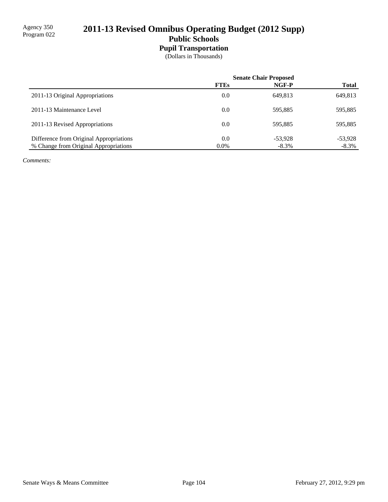## 2011-13 Revised Omnibus Operating Budget (2012 Supp) **Public Schools**

# **Pupil Transportation**

(Dollars in Thousands)

|                                         | <b>Senate Chair Proposed</b> |           |              |
|-----------------------------------------|------------------------------|-----------|--------------|
|                                         | <b>FTEs</b>                  | NGF-P     | <b>Total</b> |
| 2011-13 Original Appropriations         | 0.0                          | 649.813   | 649,813      |
| 2011-13 Maintenance Level               | 0.0                          | 595.885   | 595,885      |
| 2011-13 Revised Appropriations          | 0.0                          | 595.885   | 595,885      |
| Difference from Original Appropriations | 0.0                          | $-53.928$ | $-53,928$    |
| % Change from Original Appropriations   | $0.0\%$                      | $-8.3\%$  | $-8.3\%$     |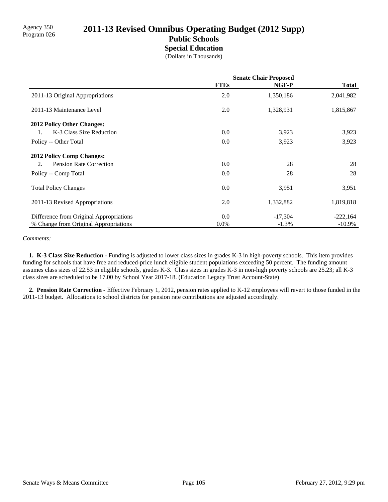# Agency 350<br>Program 026 **2011-13 Revised Omnibus Operating Budget (2012 Supp)**

### **Public Schools Special Education**

(Dollars in Thousands)

|                                         | <b>Senate Chair Proposed</b> |           |              |
|-----------------------------------------|------------------------------|-----------|--------------|
|                                         | <b>FTEs</b>                  | NGF-P     | <b>Total</b> |
| 2011-13 Original Appropriations         | 2.0                          | 1,350,186 | 2,041,982    |
| 2011-13 Maintenance Level               | 2.0                          | 1,328,931 | 1,815,867    |
| <b>2012 Policy Other Changes:</b>       |                              |           |              |
| K-3 Class Size Reduction<br>1.          | 0.0                          | 3,923     | 3,923        |
| Policy -- Other Total                   | 0.0                          | 3,923     | 3,923        |
| <b>2012 Policy Comp Changes:</b>        |                              |           |              |
| <b>Pension Rate Correction</b><br>2.    | 0.0                          | 28        | 28           |
| Policy -- Comp Total                    | 0.0                          | 28        | 28           |
| <b>Total Policy Changes</b>             | 0.0                          | 3,951     | 3,951        |
| 2011-13 Revised Appropriations          | 2.0                          | 1,332,882 | 1,819,818    |
| Difference from Original Appropriations | 0.0                          | $-17,304$ | $-222,164$   |
| % Change from Original Appropriations   | 0.0%                         | $-1.3%$   | $-10.9\%$    |

#### *Comments:*

 **1. K-3 Class Size Reduction -** Funding is adjusted to lower class sizes in grades K-3 in high-poverty schools. This item provides funding for schools that have free and reduced-price lunch eligible student populations exceeding 50 percent. The funding amount assumes class sizes of 22.53 in eligible schools, grades K-3. Class sizes in grades K-3 in non-high poverty schools are 25.23; all K-3 class sizes are scheduled to be 17.00 by School Year 2017-18. (Education Legacy Trust Account-State)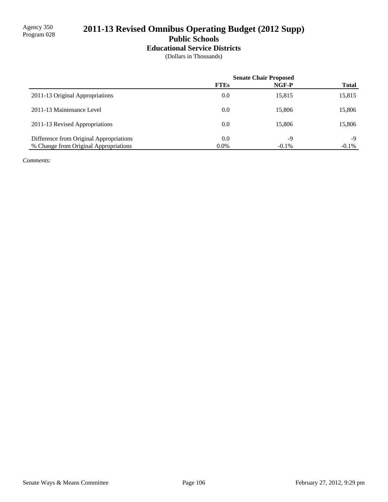### 2011-13 Revised Omnibus Operating Budget (2012 Supp) **Public Schools**

## **Educational Service Districts**

(Dollars in Thousands)

|                                         | <b>Senate Chair Proposed</b> |          |              |
|-----------------------------------------|------------------------------|----------|--------------|
|                                         | <b>FTEs</b>                  | NGF-P    | <b>Total</b> |
| 2011-13 Original Appropriations         | 0.0                          | 15,815   | 15,815       |
| 2011-13 Maintenance Level               | 0.0                          | 15,806   | 15,806       |
| 2011-13 Revised Appropriations          | 0.0                          | 15,806   | 15,806       |
| Difference from Original Appropriations | 0.0                          | -9       | -9           |
| % Change from Original Appropriations   | $0.0\%$                      | $-0.1\%$ | $-0.1\%$     |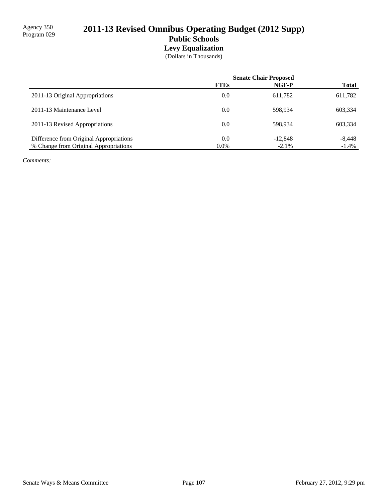## 2011-13 Revised Omnibus Operating Budget (2012 Supp) **Public Schools Levy Equalization**

(Dollars in Thousands)

|                                         | <b>Senate Chair Proposed</b> |           |              |
|-----------------------------------------|------------------------------|-----------|--------------|
|                                         | <b>FTEs</b>                  | NGF-P     | <b>Total</b> |
| 2011-13 Original Appropriations         | 0.0                          | 611,782   | 611,782      |
| 2011-13 Maintenance Level               | 0.0                          | 598.934   | 603,334      |
| 2011-13 Revised Appropriations          | 0.0                          | 598.934   | 603,334      |
| Difference from Original Appropriations | 0.0                          | $-12,848$ | $-8,448$     |
| % Change from Original Appropriations   | $0.0\%$                      | $-2.1\%$  | $-1.4\%$     |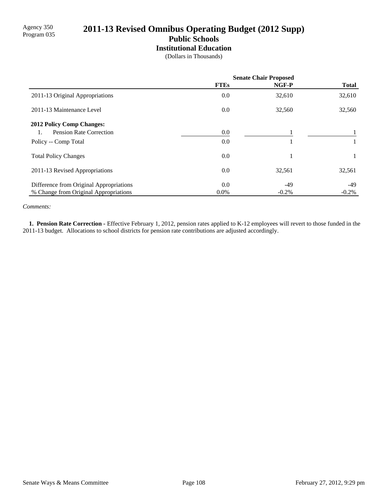### 2011-13 Revised Omnibus Operating Budget (2012 Supp) **Public Schools**

## **Institutional Education**

(Dollars in Thousands)

|                                         | <b>Senate Chair Proposed</b> |          |              |
|-----------------------------------------|------------------------------|----------|--------------|
|                                         | <b>FTEs</b>                  | NGF-P    | <b>Total</b> |
| 2011-13 Original Appropriations         | 0.0                          | 32,610   | 32,610       |
| 2011-13 Maintenance Level               | 0.0                          | 32,560   | 32,560       |
| <b>2012 Policy Comp Changes:</b>        |                              |          |              |
| <b>Pension Rate Correction</b>          | 0.0                          |          |              |
| Policy -- Comp Total                    | 0.0                          |          |              |
| <b>Total Policy Changes</b>             | 0.0                          |          |              |
| 2011-13 Revised Appropriations          | 0.0                          | 32,561   | 32,561       |
| Difference from Original Appropriations | 0.0                          | -49      | -49          |
| % Change from Original Appropriations   | $0.0\%$                      | $-0.2\%$ | $-0.2\%$     |

*Comments:*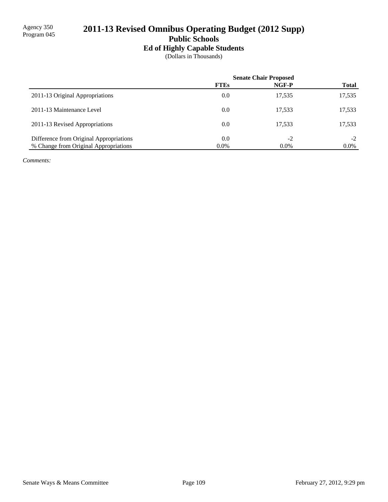# 2011-13 Revised Omnibus Operating Budget (2012 Supp)

## **Public Schools**

### **Ed of Highly Capable Students**

(Dollars in Thousands)

|                                         | <b>Senate Chair Proposed</b> |         |              |
|-----------------------------------------|------------------------------|---------|--------------|
|                                         | <b>FTEs</b>                  | NGF-P   | <b>Total</b> |
| 2011-13 Original Appropriations         | 0.0                          | 17,535  | 17,535       |
| 2011-13 Maintenance Level               | 0.0                          | 17,533  | 17,533       |
| 2011-13 Revised Appropriations          | 0.0                          | 17,533  | 17,533       |
| Difference from Original Appropriations | 0.0                          | $-2$    | $-2$         |
| % Change from Original Appropriations   | $0.0\%$                      | $0.0\%$ | $0.0\%$      |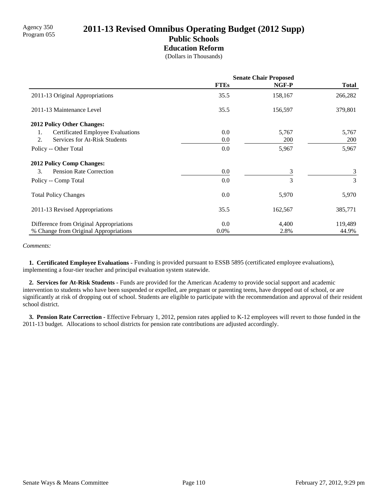## Agency 350<br>Program 055 **2011-13 Revised Omnibus Operating Budget (2012 Supp) Public Schools**

#### **Education Reform**

(Dollars in Thousands)

|                                                | <b>Senate Chair Proposed</b> |            |              |
|------------------------------------------------|------------------------------|------------|--------------|
|                                                | <b>FTEs</b>                  | NGF-P      | <b>Total</b> |
| 2011-13 Original Appropriations                | 35.5                         | 158,167    | 266,282      |
| 2011-13 Maintenance Level                      | 35.5                         | 156,597    | 379,801      |
| 2012 Policy Other Changes:                     |                              |            |              |
| <b>Certificated Employee Evaluations</b><br>1. | 0.0                          | 5,767      | 5,767        |
| Services for At-Risk Students<br>2.            | 0.0                          | <b>200</b> | <b>200</b>   |
| Policy -- Other Total                          | 0.0                          | 5,967      | 5,967        |
| <b>2012 Policy Comp Changes:</b>               |                              |            |              |
| 3.<br><b>Pension Rate Correction</b>           | 0.0                          | 3          | 3            |
| Policy -- Comp Total                           | 0.0                          | 3          | 3            |
| <b>Total Policy Changes</b>                    | 0.0                          | 5,970      | 5,970        |
| 2011-13 Revised Appropriations                 | 35.5                         | 162,567    | 385,771      |
| Difference from Original Appropriations        | 0.0                          | 4,400      | 119,489      |
| % Change from Original Appropriations          | $0.0\%$                      | 2.8%       | 44.9%        |

*Comments:*

 **1. Certificated Employee Evaluations -** Funding is provided pursuant to ESSB 5895 (certificated employee evaluations), implementing a four-tier teacher and principal evaluation system statewide.

 **2. Services for At-Risk Students -** Funds are provided for the American Academy to provide social support and academic intervention to students who have been suspended or expelled, are pregnant or parenting teens, have dropped out of school, or are significantly at risk of dropping out of school. Students are eligible to participate with the recommendation and approval of their resident school district.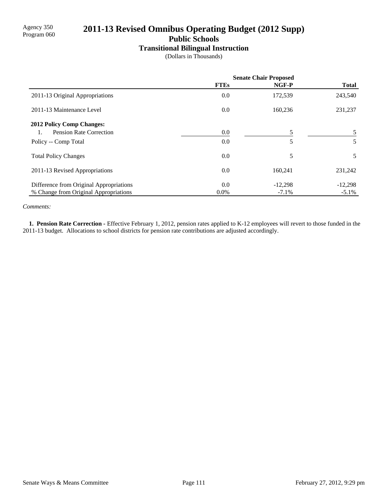## 2011-13 Revised Omnibus Operating Budget (2012 Supp)

**Public Schools**

#### **Transitional Bilingual Instruction**

(Dollars in Thousands)

|                                         | <b>Senate Chair Proposed</b> |           |              |
|-----------------------------------------|------------------------------|-----------|--------------|
|                                         | <b>FTEs</b>                  | NGF-P     | <b>Total</b> |
| 2011-13 Original Appropriations         | 0.0                          | 172,539   | 243,540      |
| 2011-13 Maintenance Level               | 0.0                          | 160,236   | 231,237      |
| <b>2012 Policy Comp Changes:</b>        |                              |           |              |
| Pension Rate Correction                 | 0.0                          | 5         | 5            |
| Policy -- Comp Total                    | 0.0                          | 5         | 5            |
| <b>Total Policy Changes</b>             | 0.0                          | 5         | 5            |
| 2011-13 Revised Appropriations          | 0.0                          | 160.241   | 231,242      |
| Difference from Original Appropriations | 0.0                          | $-12,298$ | $-12,298$    |
| % Change from Original Appropriations   | $0.0\%$                      | $-7.1\%$  | $-5.1\%$     |

*Comments:*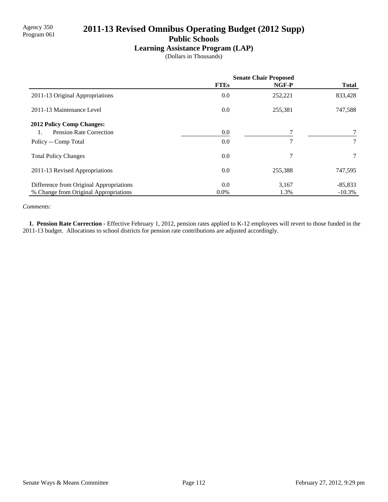## 2011-13 Revised Omnibus Operating Budget (2012 Supp)

**Public Schools**

### **Learning Assistance Program (LAP)**

(Dollars in Thousands)

|                                         | <b>Senate Chair Proposed</b> |                |                 |
|-----------------------------------------|------------------------------|----------------|-----------------|
|                                         | <b>FTEs</b>                  | NGF-P          | <b>Total</b>    |
| 2011-13 Original Appropriations         | 0.0                          | 252,221        | 833,428         |
| 2011-13 Maintenance Level               | 0.0                          | 255,381        | 747,588         |
| <b>2012 Policy Comp Changes:</b>        |                              |                |                 |
| <b>Pension Rate Correction</b>          | 0.0                          |                |                 |
| Policy -- Comp Total                    | 0.0                          | $\overline{7}$ | $\tau$          |
| <b>Total Policy Changes</b>             | 0.0                          | $\overline{7}$ | $7\overline{ }$ |
| 2011-13 Revised Appropriations          | 0.0                          | 255,388        | 747,595         |
| Difference from Original Appropriations | 0.0                          | 3,167          | $-85,833$       |
| % Change from Original Appropriations   | $0.0\%$                      | 1.3%           | $-10.3%$        |

*Comments:*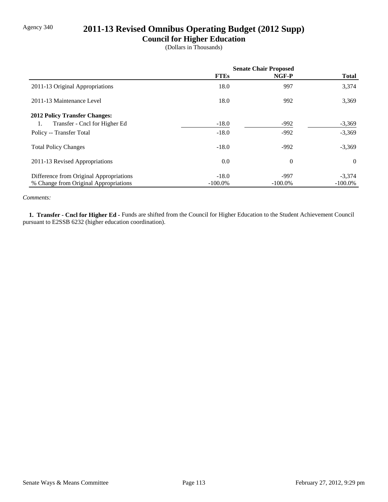## Agency 340 **2011-13 Revised Omnibus Operating Budget (2012 Supp)**

### **Council for Higher Education**

(Dollars in Thousands)

|                                         | <b>Senate Chair Proposed</b> |            |              |
|-----------------------------------------|------------------------------|------------|--------------|
|                                         | <b>FTEs</b>                  | NGF-P      | <b>Total</b> |
| 2011-13 Original Appropriations         | 18.0                         | 997        | 3,374        |
| 2011-13 Maintenance Level               | 18.0                         | 992        | 3,369        |
| <b>2012 Policy Transfer Changes:</b>    |                              |            |              |
| Transfer - Cncl for Higher Ed<br>1.     | $-18.0$                      | $-992$     | $-3,369$     |
| Policy -- Transfer Total                | $-18.0$                      | $-992$     | $-3,369$     |
| <b>Total Policy Changes</b>             | $-18.0$                      | $-992$     | $-3,369$     |
| 2011-13 Revised Appropriations          | 0.0                          | $\theta$   | $\theta$     |
| Difference from Original Appropriations | $-18.0$                      | $-997$     | $-3,374$     |
| % Change from Original Appropriations   | $-100.0\%$                   | $-100.0\%$ | $-100.0\%$   |

#### *Comments:*

 **1. Transfer - Cncl for Higher Ed -** Funds are shifted from the Council for Higher Education to the Student Achievement Council pursuant to E2SSB 6232 (higher education coordination).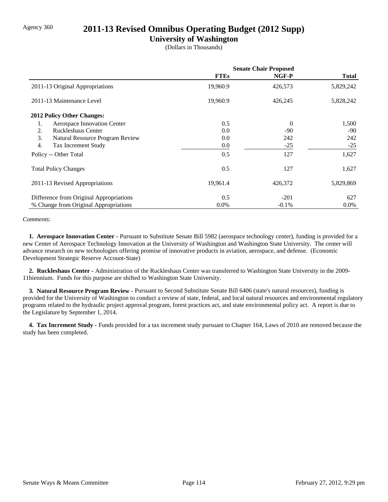### Agency 360 **2011-13 Revised Omnibus Operating Budget (2012 Supp)**

### **University of Washington**

(Dollars in Thousands)

|                                         | <b>Senate Chair Proposed</b> |          |              |
|-----------------------------------------|------------------------------|----------|--------------|
|                                         | <b>FTEs</b>                  | NGF-P    | <b>Total</b> |
| 2011-13 Original Appropriations         | 19,960.9                     | 426,573  | 5,829,242    |
| 2011-13 Maintenance Level               | 19,960.9                     | 426,245  | 5,828,242    |
| 2012 Policy Other Changes:              |                              |          |              |
| Aerospace Innovation Center<br>1.       | 0.5                          | $\theta$ | 1,500        |
| 2.<br>Ruckleshaus Center                | 0.0                          | $-90$    | $-90$        |
| 3.<br>Natural Resource Program Review   | 0.0                          | 242      | 242          |
| 4.<br>Tax Increment Study               | 0.0                          | $-25$    | $-25$        |
| Policy -- Other Total                   | 0.5                          | 127      | 1,627        |
| <b>Total Policy Changes</b>             | 0.5                          | 127      | 1,627        |
| 2011-13 Revised Appropriations          | 19,961.4                     | 426,372  | 5,829,869    |
| Difference from Original Appropriations | 0.5                          | $-201$   | 627          |
| % Change from Original Appropriations   | $0.0\%$                      | $-0.1\%$ | $0.0\%$      |

#### *Comments:*

 **1. Aerospace Innovation Center -** Pursuant to Substitute Senate Bill 5982 (aerospace technology center), funding is provided for a new Center of Aerospace Technology Innovation at the University of Washington and Washington State University. The center will advance research on new technologies offering promise of innovative products in aviation, aerospace, and defense. (Economic Development Strategic Reserve Account-State)

 **2. Ruckleshaus Center -** Administration of the Ruckleshaus Center was transferred to Washington State University in the 2009- 11biennium. Funds for this purpose are shifted to Washington State University.

 **3. Natural Resource Program Review -** Pursuant to Second Substitute Senate Bill 6406 (state's natural resources), funding is provided for the University of Washington to conduct a review of state, federal, and local natural resources and environmental regulatory programs related to the hydraulic project approval program, forest practices act, and state environmental policy act. A report is due to the Legislature by September 1, 2014.

 **4. Tax Increment Study -** Funds provided for a tax increment study pursuant to Chapter 164, Laws of 2010 are removed because the study has been completed.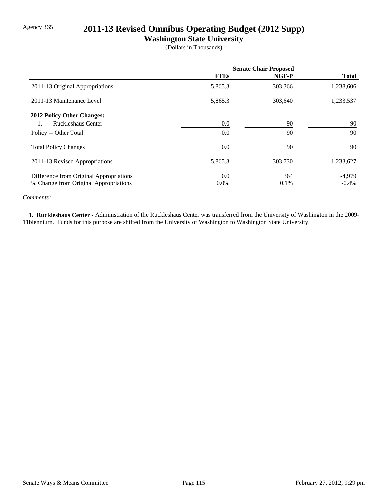## Agency 365 **2011-13 Revised Omnibus Operating Budget (2012 Supp)**

**Washington State University**

(Dollars in Thousands)

|                                         | <b>Senate Chair Proposed</b> |         |              |
|-----------------------------------------|------------------------------|---------|--------------|
|                                         | <b>FTEs</b>                  | NGF-P   | <b>Total</b> |
| 2011-13 Original Appropriations         | 5,865.3                      | 303,366 | 1,238,606    |
| 2011-13 Maintenance Level               | 5,865.3                      | 303,640 | 1,233,537    |
| <b>2012 Policy Other Changes:</b>       |                              |         |              |
| Ruckleshaus Center                      | 0.0                          | 90      | 90           |
| Policy -- Other Total                   | 0.0                          | 90      | 90           |
| <b>Total Policy Changes</b>             | 0.0                          | 90      | 90           |
| 2011-13 Revised Appropriations          | 5,865.3                      | 303,730 | 1,233,627    |
| Difference from Original Appropriations | 0.0                          | 364     | $-4,979$     |
| % Change from Original Appropriations   | $0.0\%$                      | 0.1%    | $-0.4\%$     |

#### *Comments:*

 **1. Ruckleshaus Center -** Administration of the Ruckleshaus Center was transferred from the University of Washington in the 2009- 11biennium. Funds for this purpose are shifted from the University of Washington to Washington State University.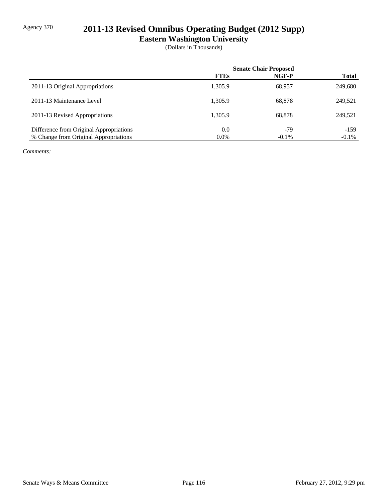## Agency 370 **2011-13 Revised Omnibus Operating Budget (2012 Supp)**

**Eastern Washington University**

(Dollars in Thousands)

|                                         | <b>Senate Chair Proposed</b> |          |              |
|-----------------------------------------|------------------------------|----------|--------------|
|                                         | <b>FTEs</b>                  | NGF-P    | <b>Total</b> |
| 2011-13 Original Appropriations         | 1,305.9                      | 68,957   | 249,680      |
| 2011-13 Maintenance Level               | 1.305.9                      | 68,878   | 249,521      |
| 2011-13 Revised Appropriations          | 1.305.9                      | 68.878   | 249,521      |
| Difference from Original Appropriations | 0.0                          | $-79$    | $-159$       |
| % Change from Original Appropriations   | $0.0\%$                      | $-0.1\%$ | $-0.1\%$     |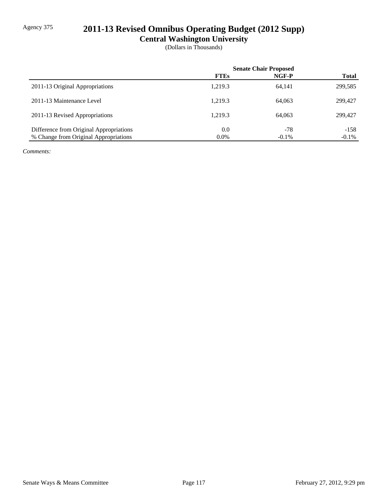## Agency 375 **2011-13 Revised Omnibus Operating Budget (2012 Supp)**

**Central Washington University**

(Dollars in Thousands)

|                                         | <b>Senate Chair Proposed</b> |          |              |
|-----------------------------------------|------------------------------|----------|--------------|
|                                         | <b>FTEs</b>                  | NGF-P    | <b>Total</b> |
| 2011-13 Original Appropriations         | 1.219.3                      | 64,141   | 299,585      |
| 2011-13 Maintenance Level               | 1.219.3                      | 64,063   | 299,427      |
| 2011-13 Revised Appropriations          | 1.219.3                      | 64,063   | 299,427      |
| Difference from Original Appropriations | 0.0                          | $-78$    | $-158$       |
| % Change from Original Appropriations   | $0.0\%$                      | $-0.1\%$ | $-0.1\%$     |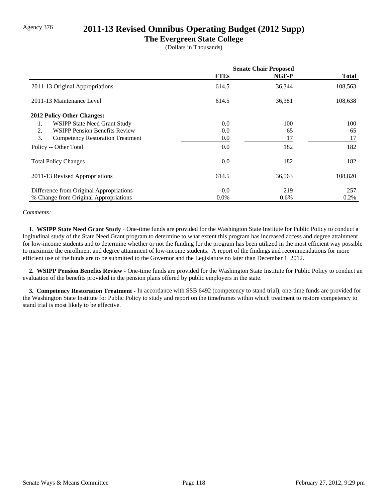### Agency 376 **2011-13 Revised Omnibus Operating Budget (2012 Supp)**

#### **The Evergreen State College**

(Dollars in Thousands)

|                                               | <b>Senate Chair Proposed</b> |         |              |
|-----------------------------------------------|------------------------------|---------|--------------|
|                                               | <b>FTEs</b>                  | NGF-P   | <b>Total</b> |
| 2011-13 Original Appropriations               | 614.5                        | 36,344  | 108,563      |
| 2011-13 Maintenance Level                     | 614.5                        | 36,381  | 108,638      |
| <b>2012 Policy Other Changes:</b>             |                              |         |              |
| WSIPP State Need Grant Study<br>1.            | 0.0                          | 100     | 100          |
| <b>WSIPP Pension Benefits Review</b><br>2.    | 0.0                          | 65      | 65           |
| 3.<br><b>Competency Restoration Treatment</b> | 0.0                          | 17      | 17           |
| Policy -- Other Total                         | 0.0                          | 182     | 182          |
| <b>Total Policy Changes</b>                   | 0.0                          | 182     | 182          |
| 2011-13 Revised Appropriations                | 614.5                        | 36,563  | 108,820      |
| Difference from Original Appropriations       | 0.0                          | 219     | 257          |
| % Change from Original Appropriations         | $0.0\%$                      | $0.6\%$ | 0.2%         |

#### *Comments:*

 **1. WSIPP State Need Grant Study -** One-time funds are provided for the Washington State Institute for Public Policy to conduct a logitudinal study of the State Need Grant program to determine to what extent this program has increased access and degree attainment for low-income students and to determine whether or not the funding for the program has been utilized in the most efficient way possible to maximize the enrollment and degree attainment of low-income students. A report of the findings and recommendations for more efficient use of the funds are to be submitted to the Governor and the Legislature no later than December 1, 2012.

 **2. WSIPP Pension Benefits Review -** One-time funds are provided for the Washington State Institute for Public Policy to conduct an evaluation of the benefits provided in the pension plans offered by public employers in the state.

 **3. Competency Restoration Treatment -** In accordance with SSB 6492 (competency to stand trial), one-time funds are provided for the Washington State Institute for Public Policy to study and report on the timeframes within which treatment to restore competency to stand trial is most likely to be effective.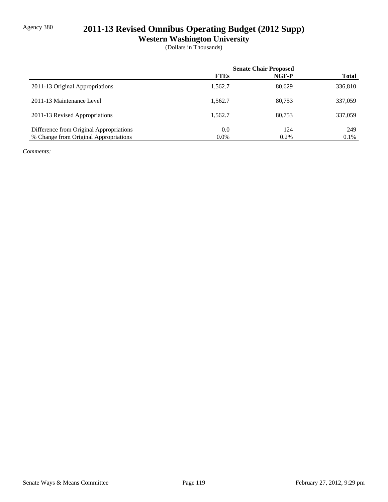## Agency 380 **2011-13 Revised Omnibus Operating Budget (2012 Supp)**

**Western Washington University**

(Dollars in Thousands)

|                                         | <b>Senate Chair Proposed</b> |         |              |
|-----------------------------------------|------------------------------|---------|--------------|
|                                         | <b>FTEs</b>                  | NGF-P   | <b>Total</b> |
| 2011-13 Original Appropriations         | 1,562.7                      | 80.629  | 336,810      |
| 2011-13 Maintenance Level               | 1.562.7                      | 80.753  | 337,059      |
| 2011-13 Revised Appropriations          | 1.562.7                      | 80.753  | 337,059      |
| Difference from Original Appropriations | 0.0                          | 124     | 249          |
| % Change from Original Appropriations   | $0.0\%$                      | $0.2\%$ | 0.1%         |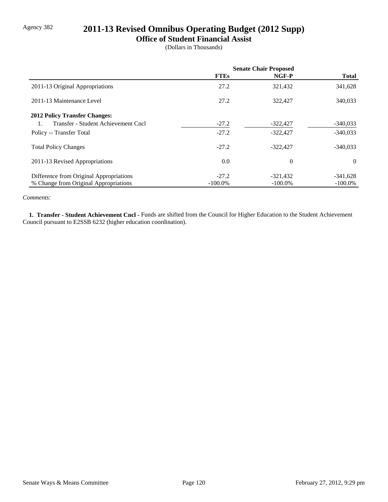## Agency 382 **2011-13 Revised Omnibus Operating Budget (2012 Supp)**

### **Office of Student Financial Assist**

(Dollars in Thousands)

|                                         | <b>Senate Chair Proposed</b> |                |              |
|-----------------------------------------|------------------------------|----------------|--------------|
|                                         | <b>FTEs</b>                  | NGF-P          | <b>Total</b> |
| 2011-13 Original Appropriations         | 27.2                         | 321,432        | 341,628      |
| 2011-13 Maintenance Level               | 27.2                         | 322,427        | 340,033      |
| <b>2012 Policy Transfer Changes:</b>    |                              |                |              |
| Transfer - Student Achievement Cncl     | $-27.2$                      | $-322,427$     | $-340,033$   |
| Policy -- Transfer Total                | $-27.2$                      | $-322,427$     | $-340,033$   |
| <b>Total Policy Changes</b>             | $-27.2$                      | $-322.427$     | $-340,033$   |
| 2011-13 Revised Appropriations          | 0.0                          | $\overline{0}$ | $\theta$     |
| Difference from Original Appropriations | $-27.2$                      | $-321,432$     | $-341,628$   |
| % Change from Original Appropriations   | $-100.0\%$                   | $-100.0\%$     | $-100.0\%$   |

#### *Comments:*

 **1. Transfer - Student Achievement Cncl -** Funds are shifted from the Council for Higher Education to the Student Achievement Council pursuant to E2SSB 6232 (higher education coordination).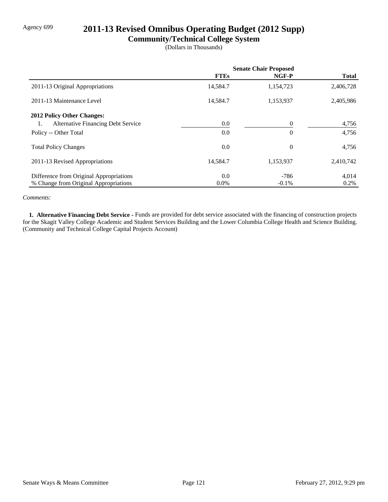## Agency 699 **2011-13 Revised Omnibus Operating Budget (2012 Supp)**

### **Community/Technical College System**

(Dollars in Thousands)

|                                                 | <b>Senate Chair Proposed</b> |                |              |
|-------------------------------------------------|------------------------------|----------------|--------------|
|                                                 | <b>FTEs</b>                  | NGF-P          | <b>Total</b> |
| 2011-13 Original Appropriations                 | 14,584.7                     | 1,154,723      | 2,406,728    |
| 2011-13 Maintenance Level                       | 14,584.7                     | 1,153,937      | 2,405,986    |
| <b>2012 Policy Other Changes:</b>               |                              |                |              |
| <b>Alternative Financing Debt Service</b><br>1. | 0.0                          | $\theta$       | 4,756        |
| Policy -- Other Total                           | 0.0                          | $\theta$       | 4,756        |
| <b>Total Policy Changes</b>                     | 0.0                          | $\overline{0}$ | 4,756        |
| 2011-13 Revised Appropriations                  | 14,584.7                     | 1,153,937      | 2,410,742    |
| Difference from Original Appropriations         | 0.0                          | -786           | 4,014        |
| % Change from Original Appropriations           | $0.0\%$                      | $-0.1\%$       | 0.2%         |

#### *Comments:*

 **1. Alternative Financing Debt Service -** Funds are provided for debt service associated with the financing of construction projects for the Skagit Valley College Academic and Student Services Building and the Lower Columbia College Health and Science Building. (Community and Technical College Capital Projects Account)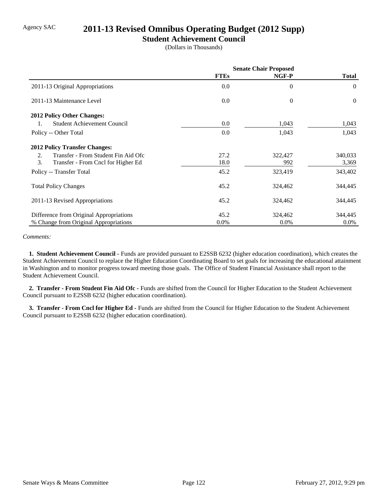## Agency SAC **2011-13 Revised Omnibus Operating Budget (2012 Supp)**

### **Student Achievement Council**

(Dollars in Thousands)

|                                           | <b>Senate Chair Proposed</b> |                |                |
|-------------------------------------------|------------------------------|----------------|----------------|
|                                           | <b>FTEs</b>                  | NGF-P          | <b>Total</b>   |
| 2011-13 Original Appropriations           | 0.0                          | $\overline{0}$ | $\theta$       |
| 2011-13 Maintenance Level                 | 0.0                          | $\theta$       | $\overline{0}$ |
| <b>2012 Policy Other Changes:</b>         |                              |                |                |
| <b>Student Achievement Council</b><br>1.  | 0.0                          | 1,043          | 1,043          |
| Policy -- Other Total                     | 0.0                          | 1,043          | 1,043          |
| <b>2012 Policy Transfer Changes:</b>      |                              |                |                |
| Transfer - From Student Fin Aid Ofc<br>2. | 27.2                         | 322,427        | 340,033        |
| 3.<br>Transfer - From Cncl for Higher Ed  | 18.0                         | 992            | 3,369          |
| Policy -- Transfer Total                  | 45.2                         | 323,419        | 343,402        |
| <b>Total Policy Changes</b>               | 45.2                         | 324,462        | 344,445        |
| 2011-13 Revised Appropriations            | 45.2                         | 324,462        | 344,445        |
| Difference from Original Appropriations   | 45.2                         | 324,462        | 344,445        |
| % Change from Original Appropriations     | $0.0\%$                      | $0.0\%$        | $0.0\%$        |

#### *Comments:*

 **1. Student Achievement Council -** Funds are provided pursuant to E2SSB 6232 (higher education coordination), which creates the Student Achievement Council to replace the Higher Education Coordinating Board to set goals for increasing the educational attainment in Washington and to monitor progress toward meeting those goals. The Office of Student Financial Assistance shall report to the Student Achievement Council.

 **2. Transfer - From Student Fin Aid Ofc -** Funds are shifted from the Council for Higher Education to the Student Achievement Council pursuant to E2SSB 6232 (higher education coordination).

 **3. Transfer - From Cncl for Higher Ed -** Funds are shifted from the Council for Higher Education to the Student Achievement Council pursuant to E2SSB 6232 (higher education coordination).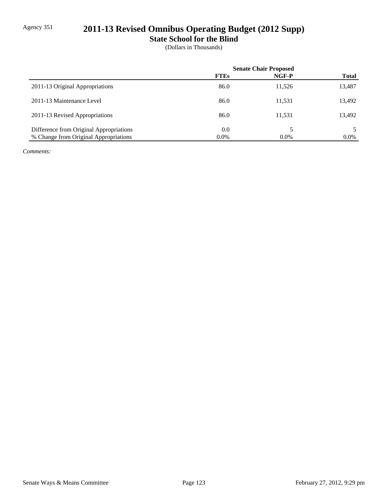# Agency 351 **2011-13 Revised Omnibus Operating Budget (2012 Supp)**

**State School for the Blind**

(Dollars in Thousands)

|                                         | <b>Senate Chair Proposed</b> |         |              |
|-----------------------------------------|------------------------------|---------|--------------|
|                                         | <b>FTEs</b>                  | NGF-P   | <b>Total</b> |
| 2011-13 Original Appropriations         | 86.0                         | 11,526  | 13,487       |
| 2011-13 Maintenance Level               | 86.0                         | 11,531  | 13,492       |
| 2011-13 Revised Appropriations          | 86.0                         | 11,531  | 13,492       |
| Difference from Original Appropriations | 0.0                          |         |              |
| % Change from Original Appropriations   | $0.0\%$                      | $0.0\%$ | $0.0\%$      |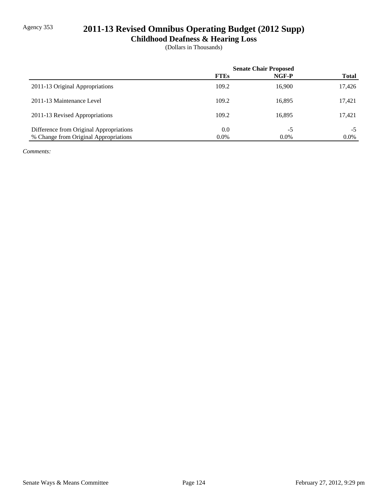## Agency 353 **2011-13 Revised Omnibus Operating Budget (2012 Supp)**

**Childhood Deafness & Hearing Loss**

(Dollars in Thousands)

|                                         | <b>Senate Chair Proposed</b> |         |              |
|-----------------------------------------|------------------------------|---------|--------------|
|                                         | <b>FTEs</b>                  | NGF-P   | <b>Total</b> |
| 2011-13 Original Appropriations         | 109.2                        | 16,900  | 17,426       |
| 2011-13 Maintenance Level               | 109.2                        | 16,895  | 17,421       |
| 2011-13 Revised Appropriations          | 109.2                        | 16,895  | 17,421       |
| Difference from Original Appropriations | 0.0                          | $-5$    | -5           |
| % Change from Original Appropriations   | $0.0\%$                      | $0.0\%$ | $0.0\%$      |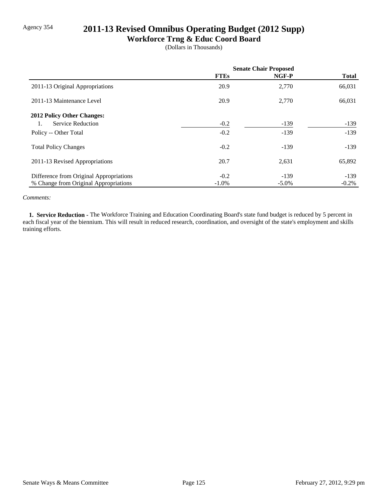## Agency 354 **2011-13 Revised Omnibus Operating Budget (2012 Supp)**

### **Workforce Trng & Educ Coord Board**

(Dollars in Thousands)

|                                         | <b>Senate Chair Proposed</b> |          |              |
|-----------------------------------------|------------------------------|----------|--------------|
|                                         | <b>FTEs</b>                  | NGF-P    | <b>Total</b> |
| 2011-13 Original Appropriations         | 20.9                         | 2,770    | 66,031       |
| 2011-13 Maintenance Level               | 20.9                         | 2,770    | 66,031       |
| 2012 Policy Other Changes:              |                              |          |              |
| Service Reduction<br>1.                 | $-0.2$                       | $-139$   | $-139$       |
| Policy -- Other Total                   | $-0.2$                       | $-139$   | $-139$       |
| <b>Total Policy Changes</b>             | $-0.2$                       | $-139$   | $-139$       |
| 2011-13 Revised Appropriations          | 20.7                         | 2,631    | 65,892       |
| Difference from Original Appropriations | $-0.2$                       | $-139$   | $-139$       |
| % Change from Original Appropriations   | $-1.0\%$                     | $-5.0\%$ | $-0.2\%$     |

#### *Comments:*

 **1. Service Reduction -** The Workforce Training and Education Coordinating Board's state fund budget is reduced by 5 percent in each fiscal year of the biennium. This will result in reduced research, coordination, and oversight of the state's employment and skills training efforts.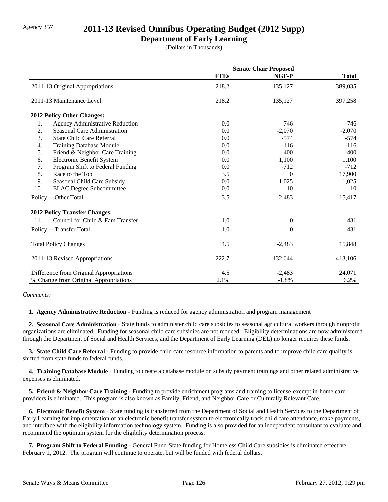### Agency 357 **2011-13 Revised Omnibus Operating Budget (2012 Supp)**

### **Department of Early Learning**

(Dollars in Thousands)

|                                              | <b>Senate Chair Proposed</b> |                  |              |
|----------------------------------------------|------------------------------|------------------|--------------|
|                                              | <b>FTEs</b>                  | NGF-P            | <b>Total</b> |
| 2011-13 Original Appropriations              | 218.2                        | 135,127          | 389,035      |
| 2011-13 Maintenance Level                    | 218.2                        | 135,127          | 397,258      |
| 2012 Policy Other Changes:                   |                              |                  |              |
| <b>Agency Administrative Reduction</b><br>1. | 0.0                          | $-746$           | -746         |
| 2.<br>Seasonal Care Administration           | 0.0                          | $-2,070$         | $-2,070$     |
| 3.<br><b>State Child Care Referral</b>       | 0.0                          | $-574$           | $-574$       |
| 4.<br><b>Training Database Module</b>        | 0.0                          | $-116$           | $-116$       |
| 5.<br>Friend & Neighbor Care Training        | 0.0                          | $-400$           | $-400$       |
| Electronic Benefit System<br>6.              | 0.0                          | 1,100            | 1,100        |
| 7.<br>Program Shift to Federal Funding       | 0.0                          | $-712$           | $-712$       |
| 8.<br>Race to the Top                        | 3.5                          | $\Omega$         | 17,900       |
| 9.<br>Seasonal Child Care Subsidy            | 0.0                          | 1,025            | 1,025        |
| 10.<br><b>ELAC</b> Degree Subcommittee       | 0.0                          | 10               | 10           |
| Policy -- Other Total                        | 3.5                          | $-2,483$         | 15,417       |
| <b>2012 Policy Transfer Changes:</b>         |                              |                  |              |
| Council for Child & Fam Transfer<br>11.      | 1.0                          | $\boldsymbol{0}$ | 431          |
| Policy -- Transfer Total                     | 1.0                          | $\boldsymbol{0}$ | 431          |
| <b>Total Policy Changes</b>                  | 4.5                          | $-2,483$         | 15,848       |
| 2011-13 Revised Appropriations               | 222.7                        | 132,644          | 413,106      |
| Difference from Original Appropriations      | 4.5                          | $-2,483$         | 24,071       |
| % Change from Original Appropriations        | 2.1%                         | $-1.8%$          | 6.2%         |

#### *Comments:*

 **1. Agency Administrative Reduction -** Funding is reduced for agency administration and program management

 **2. Seasonal Care Administration -** State funds to administer child care subsidies to seasonal agricultural workers through nonprofit organizations are eliminated. Funding for seasonal child care subsidies are not reduced. Eligibility determinations are now administered through the Department of Social and Health Services, and the Department of Early Learning (DEL) no longer requires these funds.

 **3. State Child Care Referral -** Funding to provide child care resource information to parents and to improve child care quality is shifted from state funds to federal funds.

 **4. Training Database Module -** Funding to create a database module on subsidy payment trainings and other related administrative expenses is eliminated.

 **5. Friend & Neighbor Care Training -** Funding to provide enrichment programs and training to license-exempt in-home care providers is eliminated. This program is also known as Family, Friend, and Neighbor Care or Culturally Relevant Care.

 **6. Electronic Benefit System -** State funding is transferred from the Department of Social and Health Services to the Department of Early Learning for implementation of an electronic benefit transfer system to electronically track child care attendance, make payments, and interface with the eligibility information technology system. Funding is also provided for an independent consultant to evaluate and recommend the optimum system for the eligibility determination process.

 **7. Program Shift to Federal Funding -** General Fund-State funding for Homeless Child Care subsidies is eliminated effective February 1, 2012. The program will continue to operate, but will be funded with federal dollars.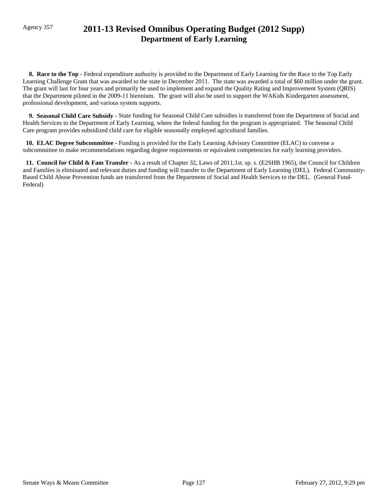## Agency 357 **2011-13 Revised Omnibus Operating Budget (2012 Supp) Department of Early Learning**

**8. Race to the Top -** Federal expenditure authority is provided to the Department of Early Learning for the Race to the Top Early Learning Challenge Grant that was awarded to the state in December 2011. The state was awarded a total of \$60 million under the grant. The grant will last for four years and primarily be used to implement and expand the Quality Rating and Improvement System (QRIS) that the Department piloted in the 2009-11 biennium. The grant will also be used to support the WAKids Kindergarten assessment, professional development, and various system supports.

 **9. Seasonal Child Care Subsidy -** State funding for Seasonal Child Care subsidies is transferred from the Department of Social and Health Services to the Department of Early Learning, where the federal funding for the program is appropriated. The Seasonal Child Care program provides subsidized child care for eligible seasonally employed agricultural families.

 **10. ELAC Degree Subcommittee -** Funding is provided for the Early Learning Advisory Committee (ELAC) to convene a subcommittee to make recommendations regarding degree requirements or equivalent competencies for early learning providers.

 **11. Council for Child & Fam Transfer -** As a result of Chapter 32, Laws of 2011,1st. sp. s. (E2SHB 1965), the Council for Children and Families is eliminated and relevant duties and funding will transfer to the Department of Early Learning (DEL). Federal Community-Based Child Abuse Prevention funds are transferred from the Department of Social and Health Services to the DEL. (General Fund-Federal)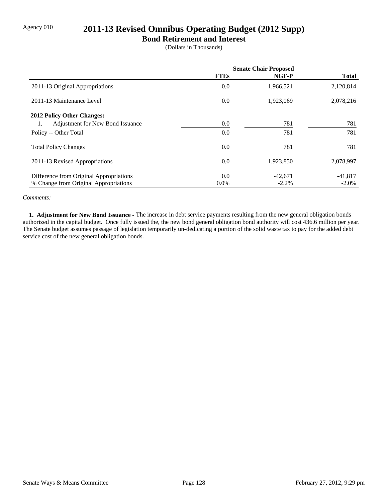## Agency 010 **2011-13 Revised Omnibus Operating Budget (2012 Supp)**

### **Bond Retirement and Interest**

(Dollars in Thousands)

|                                         | <b>Senate Chair Proposed</b> |           |              |
|-----------------------------------------|------------------------------|-----------|--------------|
|                                         | <b>FTEs</b>                  | NGF-P     | <b>Total</b> |
| 2011-13 Original Appropriations         | 0.0                          | 1,966,521 | 2,120,814    |
| 2011-13 Maintenance Level               | 0.0                          | 1,923,069 | 2,078,216    |
| 2012 Policy Other Changes:              |                              |           |              |
| Adjustment for New Bond Issuance<br>1.  | 0.0                          | 781       | 781          |
| Policy -- Other Total                   | 0.0                          | 781       | 781          |
| <b>Total Policy Changes</b>             | 0.0                          | 781       | 781          |
| 2011-13 Revised Appropriations          | 0.0                          | 1,923,850 | 2,078,997    |
| Difference from Original Appropriations | 0.0                          | $-42.671$ | $-41,817$    |
| % Change from Original Appropriations   | $0.0\%$                      | $-2.2%$   | $-2.0\%$     |

#### *Comments:*

 **1. Adjustment for New Bond Issuance -** The increase in debt service payments resulting from the new general obligation bonds authorized in the capital budget. Once fully issued the, the new bond general obligation bond authority will cost 436.6 million per year. The Senate budget assumes passage of legislation temporarily un-dedicating a portion of the solid waste tax to pay for the added debt service cost of the new general obligation bonds.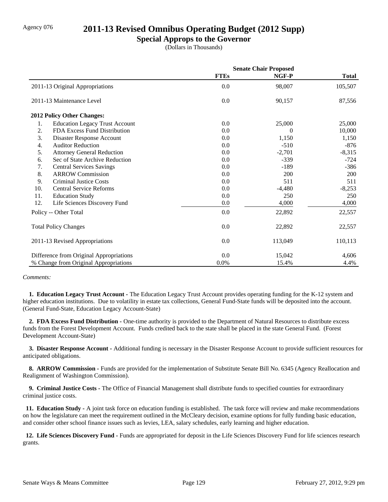### Agency 076 **2011-13 Revised Omnibus Operating Budget (2012 Supp)**

### **Special Approps to the Governor**

(Dollars in Thousands)

|     |                                         | <b>Senate Chair Proposed</b> |          |              |
|-----|-----------------------------------------|------------------------------|----------|--------------|
|     |                                         | <b>FTEs</b>                  | NGF-P    | <b>Total</b> |
|     | 2011-13 Original Appropriations         | 0.0                          | 98,007   | 105,507      |
|     | 2011-13 Maintenance Level               | 0.0                          | 90,157   | 87,556       |
|     | 2012 Policy Other Changes:              |                              |          |              |
| 1.  | <b>Education Legacy Trust Account</b>   | 0.0                          | 25,000   | 25,000       |
| 2.  | FDA Excess Fund Distribution            | 0.0                          | $\theta$ | 10,000       |
| 3.  | Disaster Response Account               | 0.0                          | 1,150    | 1,150        |
| 4.  | <b>Auditor Reduction</b>                | 0.0                          | $-510$   | $-876$       |
| 5.  | <b>Attorney General Reduction</b>       | 0.0                          | $-2,701$ | $-8,315$     |
| 6.  | Sec of State Archive Reduction          | 0.0                          | $-339$   | $-724$       |
| 7.  | <b>Central Services Savings</b>         | 0.0                          | $-189$   | $-386$       |
| 8.  | <b>ARROW Commission</b>                 | 0.0                          | 200      | 200          |
| 9.  | <b>Criminal Justice Costs</b>           | 0.0                          | 511      | 511          |
| 10. | <b>Central Service Reforms</b>          | 0.0                          | $-4,480$ | $-8,253$     |
| 11. | <b>Education Study</b>                  | 0.0                          | 250      | 250          |
| 12. | Life Sciences Discovery Fund            | $0.0\,$                      | 4,000    | 4,000        |
|     | Policy -- Other Total                   | 0.0                          | 22,892   | 22,557       |
|     | <b>Total Policy Changes</b>             | 0.0                          | 22,892   | 22,557       |
|     | 2011-13 Revised Appropriations          | 0.0                          | 113,049  | 110,113      |
|     | Difference from Original Appropriations | 0.0                          | 15,042   | 4,606        |
|     | % Change from Original Appropriations   | 0.0%                         | 15.4%    | 4.4%         |

#### *Comments:*

**1. Education Legacy Trust Account -** The Education Legacy Trust Account provides operating funding for the K-12 system and higher education institutions. Due to volatility in estate tax collections, General Fund-State funds will be deposited into the account. (General Fund-State, Education Legacy Account-State)

 **2. FDA Excess Fund Distribution -** One-time authority is provided to the Department of Natural Resources to distribute excess funds from the Forest Development Account. Funds credited back to the state shall be placed in the state General Fund. (Forest Development Account-State)

 **3. Disaster Response Account -** Additional funding is necessary in the Disaster Response Account to provide sufficient resources for anticipated obligations.

 **8. ARROW Commission -** Funds are provided for the implementation of Substitute Senate Bill No. 6345 (Agency Reallocation and Realignment of Washington Commission).

 **9. Criminal Justice Costs -** The Office of Financial Management shall distribute funds to specified counties for extraordinary criminal justice costs.

**11. Education Study -** A joint task force on education funding is established. The task force will review and make recommendations on how the legislature can meet the requirement outlined in the McCleary decision, examine options for fully funding basic education, and consider other school finance issues such as levies, LEA, salary schedules, early learning and higher education.

 **12. Life Sciences Discovery Fund -** Funds are appropriated for deposit in the Life Sciences Discovery Fund for life sciences research grants.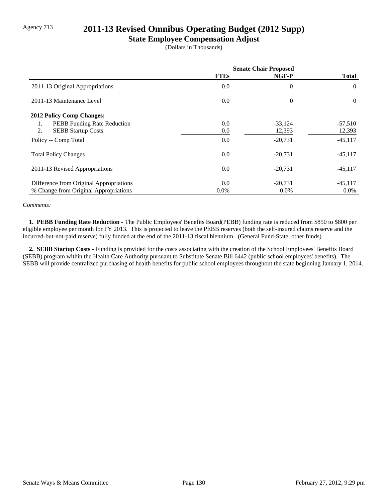### Agency 713 **2011-13 Revised Omnibus Operating Budget (2012 Supp)**

### **State Employee Compensation Adjust**

(Dollars in Thousands)

|                                         | <b>Senate Chair Proposed</b> |                |              |
|-----------------------------------------|------------------------------|----------------|--------------|
|                                         | <b>FTEs</b>                  | NGF-P          | <b>Total</b> |
| 2011-13 Original Appropriations         | 0.0                          | $\overline{0}$ | $\theta$     |
| 2011-13 Maintenance Level               | 0.0                          | $\theta$       | $\theta$     |
| <b>2012 Policy Comp Changes:</b>        |                              |                |              |
| PEBB Funding Rate Reduction<br>1.       | 0.0                          | $-33,124$      | $-57,510$    |
| 2.<br><b>SEBB Startup Costs</b>         | 0.0                          | 12,393         | 12,393       |
| Policy -- Comp Total                    | 0.0                          | $-20,731$      | $-45,117$    |
| <b>Total Policy Changes</b>             | 0.0                          | $-20,731$      | $-45,117$    |
| 2011-13 Revised Appropriations          | 0.0                          | $-20,731$      | $-45,117$    |
| Difference from Original Appropriations | 0.0                          | $-20.731$      | $-45,117$    |
| % Change from Original Appropriations   | $0.0\%$                      | $0.0\%$        | $0.0\%$      |

#### *Comments:*

 **1. PEBB Funding Rate Reduction -** The Public Employees' Benefits Board(PEBB) funding rate is reduced from \$850 to \$800 per eligible employee per month for FY 2013. This is projected to leave the PEBB reserves (both the self-insured claims reserve and the incurred-but-not-paid reserve) fully funded at the end of the 2011-13 fiscal biennium. (General Fund-State, other funds)

 **2. SEBB Startup Costs -** Funding is provided for the costs associating with the creation of the School Employees' Benefits Board (SEBB) program within the Health Care Authority pursuant to Substitute Senate Bill 6442 (public school employees' benefits). The SEBB will provide centralized purchasing of health benefits for public school employees throughout the state beginning January 1, 2014.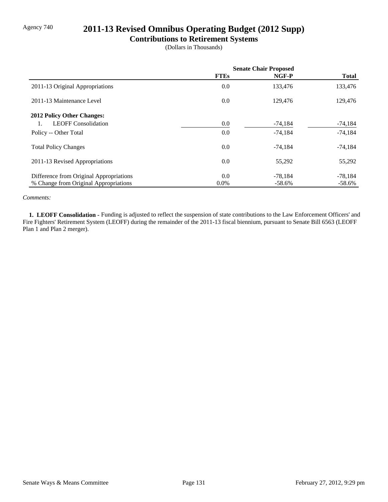## Agency 740 **2011-13 Revised Omnibus Operating Budget (2012 Supp)**

### **Contributions to Retirement Systems**

(Dollars in Thousands)

|                                         | <b>Senate Chair Proposed</b> |           |              |
|-----------------------------------------|------------------------------|-----------|--------------|
|                                         | <b>FTEs</b>                  | NGF-P     | <b>Total</b> |
| 2011-13 Original Appropriations         | 0.0                          | 133,476   | 133,476      |
| 2011-13 Maintenance Level               | 0.0                          | 129,476   | 129,476      |
| 2012 Policy Other Changes:              |                              |           |              |
| <b>LEOFF Consolidation</b><br>1.        | 0.0                          | $-74,184$ | -74,184      |
| Policy -- Other Total                   | 0.0                          | $-74,184$ | $-74,184$    |
| <b>Total Policy Changes</b>             | 0.0                          | $-74,184$ | $-74,184$    |
| 2011-13 Revised Appropriations          | 0.0                          | 55,292    | 55,292       |
| Difference from Original Appropriations | 0.0                          | $-78,184$ | $-78,184$    |
| % Change from Original Appropriations   | $0.0\%$                      | $-58.6%$  | $-58.6\%$    |

#### *Comments:*

 **1. LEOFF Consolidation -** Funding is adjusted to reflect the suspension of state contributions to the Law Enforcement Officers' and Fire Fighters' Retirement System (LEOFF) during the remainder of the 2011-13 fiscal biennium, pursuant to Senate Bill 6563 (LEOFF Plan 1 and Plan 2 merger).